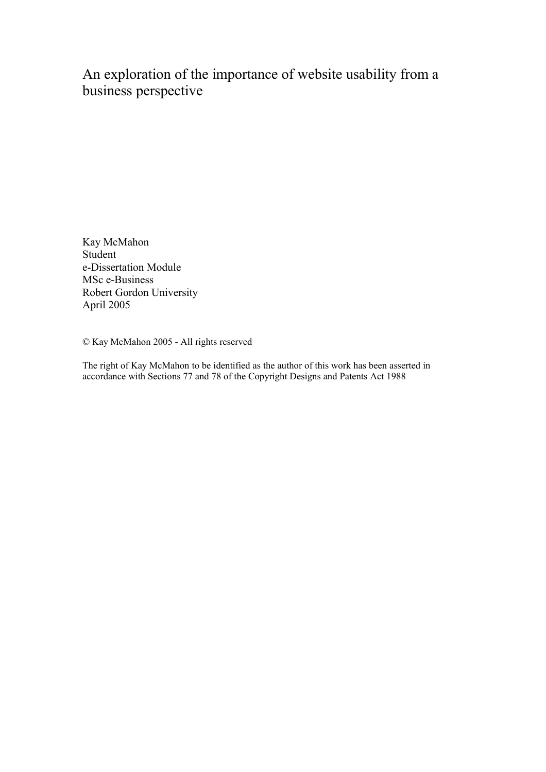An exploration of the importance of website usability from a business perspective

Kay McMahon Student e-Dissertation Module MSc e-Business Robert Gordon University April 2005

© Kay McMahon 2005 - All rights reserved

The right of Kay McMahon to be identified as the author of this work has been asserted in accordance with Sections 77 and 78 of the Copyright Designs and Patents Act 1988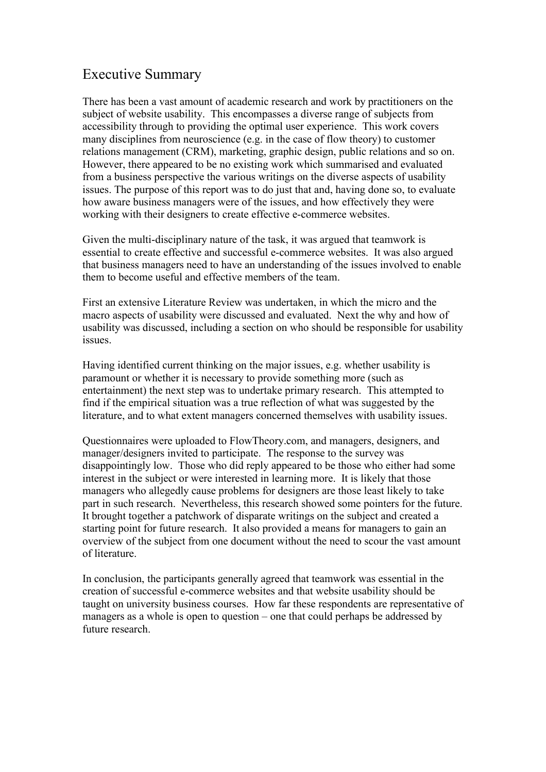## Executive Summary

There has been a vast amount of academic research and work by practitioners on the subject of website usability. This encompasses a diverse range of subjects from accessibility through to providing the optimal user experience. This work covers many disciplines from neuroscience (e.g. in the case of flow theory) to customer relations management (CRM), marketing, graphic design, public relations and so on. However, there appeared to be no existing work which summarised and evaluated from a business perspective the various writings on the diverse aspects of usability issues. The purpose of this report was to do just that and, having done so, to evaluate how aware business managers were of the issues, and how effectively they were working with their designers to create effective e-commerce websites.

Given the multi-disciplinary nature of the task, it was argued that teamwork is essential to create effective and successful e-commerce websites. It was also argued that business managers need to have an understanding of the issues involved to enable them to become useful and effective members of the team.

First an extensive Literature Review was undertaken, in which the micro and the macro aspects of usability were discussed and evaluated. Next the why and how of usability was discussed, including a section on who should be responsible for usability issues.

Having identified current thinking on the major issues, e.g. whether usability is paramount or whether it is necessary to provide something more (such as entertainment) the next step was to undertake primary research. This attempted to find if the empirical situation was a true reflection of what was suggested by the literature, and to what extent managers concerned themselves with usability issues.

Questionnaires were uploaded to FlowTheory.com, and managers, designers, and manager/designers invited to participate. The response to the survey was disappointingly low. Those who did reply appeared to be those who either had some interest in the subject or were interested in learning more. It is likely that those managers who allegedly cause problems for designers are those least likely to take part in such research. Nevertheless, this research showed some pointers for the future. It brought together a patchwork of disparate writings on the subject and created a starting point for future research. It also provided a means for managers to gain an overview of the subject from one document without the need to scour the vast amount of literature.

In conclusion, the participants generally agreed that teamwork was essential in the creation of successful e-commerce websites and that website usability should be taught on university business courses. How far these respondents are representative of managers as a whole is open to question – one that could perhaps be addressed by future research.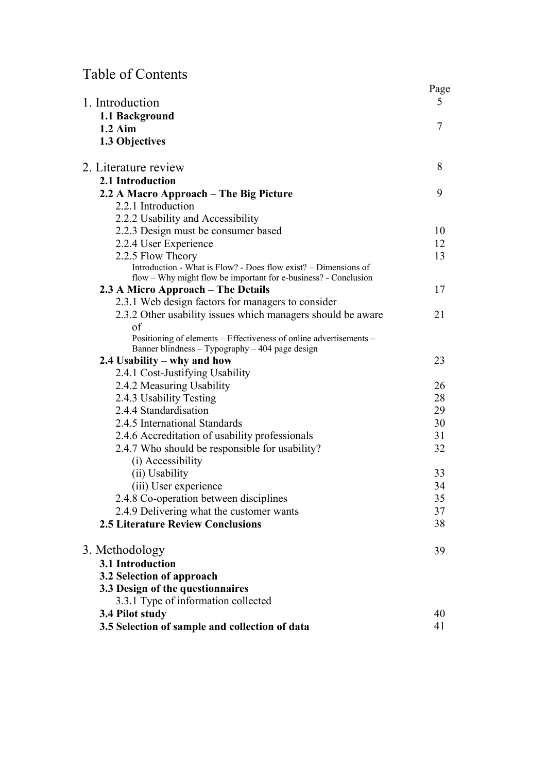# Table of Contents

| 1. Introduction                                                                                                       | Page<br>5 |
|-----------------------------------------------------------------------------------------------------------------------|-----------|
| 1.1 Background                                                                                                        |           |
| $1.2$ Aim                                                                                                             | 7         |
| 1.3 Objectives                                                                                                        |           |
| 2. Literature review                                                                                                  | 8         |
| 2.1 Introduction                                                                                                      |           |
| 2.2 A Macro Approach – The Big Picture                                                                                | 9         |
| 2.2.1 Introduction                                                                                                    |           |
| 2.2.2 Usability and Accessibility                                                                                     |           |
| 2.2.3 Design must be consumer based                                                                                   | 10        |
| 2.2.4 User Experience                                                                                                 | 12        |
| 2.2.5 Flow Theory                                                                                                     | 13        |
| Introduction - What is Flow? - Does flow exist? – Dimensions of                                                       |           |
| flow – Why might flow be important for e-business? - Conclusion                                                       |           |
| 2.3 A Micro Approach – The Details                                                                                    | 17        |
| 2.3.1 Web design factors for managers to consider                                                                     |           |
| 2.3.2 Other usability issues which managers should be aware                                                           | 21        |
| of                                                                                                                    |           |
| Positioning of elements – Effectiveness of online advertisements –<br>Banner blindness – Typography – 404 page design |           |
| 2.4 Usability – why and how                                                                                           | 23        |
| 2.4.1 Cost-Justifying Usability                                                                                       |           |
| 2.4.2 Measuring Usability                                                                                             | 26        |
| 2.4.3 Usability Testing                                                                                               | 28        |
| 2.4.4 Standardisation                                                                                                 | 29        |
| 2.4.5 International Standards                                                                                         | 30        |
| 2.4.6 Accreditation of usability professionals                                                                        | 31        |
| 2.4.7 Who should be responsible for usability?                                                                        | 32        |
| (i) Accessibility                                                                                                     |           |
| (ii) Usability                                                                                                        | 33        |
|                                                                                                                       | 34        |
| (iii) User experience                                                                                                 |           |
| 2.4.8 Co-operation between disciplines                                                                                | 35        |
| 2.4.9 Delivering what the customer wants                                                                              | 37        |
| <b>2.5 Literature Review Conclusions</b>                                                                              | 38        |
| 3. Methodology                                                                                                        | 39        |
| 3.1 Introduction                                                                                                      |           |
| 3.2 Selection of approach                                                                                             |           |
| 3.3 Design of the questionnaires                                                                                      |           |
| 3.3.1 Type of information collected                                                                                   |           |
| 3.4 Pilot study                                                                                                       | 40        |
| 3.5 Selection of sample and collection of data                                                                        | 41        |
|                                                                                                                       |           |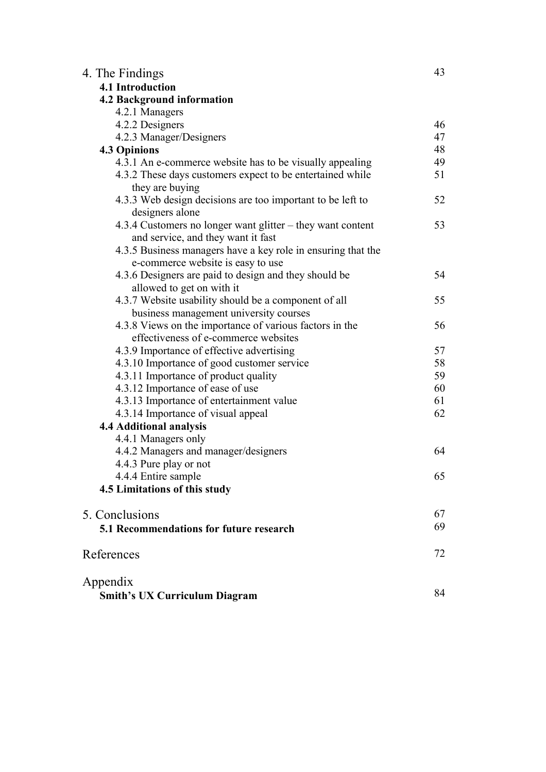| 4. The Findings                                                                                  | 43 |
|--------------------------------------------------------------------------------------------------|----|
| 4.1 Introduction                                                                                 |    |
| <b>4.2 Background information</b>                                                                |    |
| 4.2.1 Managers                                                                                   |    |
| 4.2.2 Designers                                                                                  | 46 |
| 4.2.3 Manager/Designers                                                                          | 47 |
| <b>4.3 Opinions</b>                                                                              | 48 |
| 4.3.1 An e-commerce website has to be visually appealing                                         | 49 |
| 4.3.2 These days customers expect to be entertained while                                        | 51 |
| they are buying                                                                                  |    |
| 4.3.3 Web design decisions are too important to be left to                                       | 52 |
| designers alone                                                                                  |    |
| 4.3.4 Customers no longer want glitter – they want content<br>and service, and they want it fast | 53 |
| 4.3.5 Business managers have a key role in ensuring that the                                     |    |
| e-commerce website is easy to use                                                                |    |
| 4.3.6 Designers are paid to design and they should be                                            | 54 |
| allowed to get on with it                                                                        |    |
| 4.3.7 Website usability should be a component of all                                             | 55 |
| business management university courses                                                           |    |
| 4.3.8 Views on the importance of various factors in the                                          | 56 |
| effectiveness of e-commerce websites                                                             |    |
| 4.3.9 Importance of effective advertising                                                        | 57 |
| 4.3.10 Importance of good customer service                                                       | 58 |
| 4.3.11 Importance of product quality                                                             |    |
| 4.3.12 Importance of ease of use                                                                 | 60 |
| 4.3.13 Importance of entertainment value                                                         |    |
| 4.3.14 Importance of visual appeal                                                               | 62 |
| <b>4.4 Additional analysis</b>                                                                   |    |
| 4.4.1 Managers only                                                                              |    |
| 4.4.2 Managers and manager/designers                                                             | 64 |
| 4.4.3 Pure play or not                                                                           |    |
| 4.4.4 Entire sample                                                                              | 65 |
| 4.5 Limitations of this study                                                                    |    |
| 5. Conclusions                                                                                   | 67 |
| <b>5.1 Recommendations for future research</b>                                                   |    |
|                                                                                                  |    |
| References                                                                                       | 72 |
|                                                                                                  |    |
|                                                                                                  |    |

| Appendix                             |    |
|--------------------------------------|----|
| <b>Smith's UX Curriculum Diagram</b> | 84 |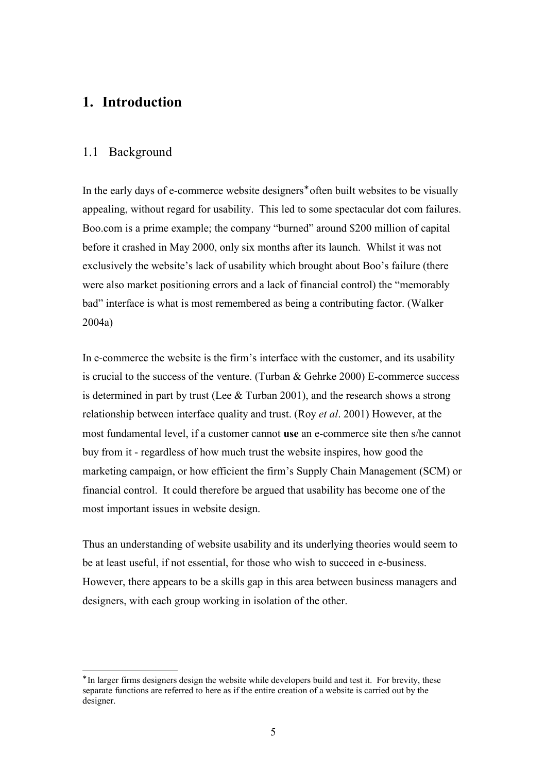## **1. Introduction**

## 1.1 Background

In the early days of e-commerce website designers<sup>\*</sup> often built websites to be visually appealing, without regard for usability. This led to some spectacular dot com failures. Boo.com is a prime example; the company "burned" around \$200 million of capital before it crashed in May 2000, only six months after its launch. Whilst it was not exclusively the website's lack of usability which brought about Boo's failure (there were also market positioning errors and a lack of financial control) the "memorably bad" interface is what is most remembered as being a contributing factor. (Walker 2004a)

In e-commerce the website is the firm's interface with the customer, and its usability is crucial to the success of the venture. (Turban & Gehrke 2000) E-commerce success is determined in part by trust (Lee & Turban 2001), and the research shows a strong relationship between interface quality and trust. (Roy *et al*. 2001) However, at the most fundamental level, if a customer cannot **use** an e-commerce site then s/he cannot buy from it - regardless of how much trust the website inspires, how good the marketing campaign, or how efficient the firm's Supply Chain Management (SCM) or financial control. It could therefore be argued that usability has become one of the most important issues in website design.

Thus an understanding of website usability and its underlying theories would seem to be at least useful, if not essential, for those who wish to succeed in e-business. However, there appears to be a skills gap in this area between business managers and designers, with each group working in isolation of the other.

<sup>∗</sup> In larger firms designers design the website while developers build and test it. For brevity, these separate functions are referred to here as if the entire creation of a website is carried out by the designer.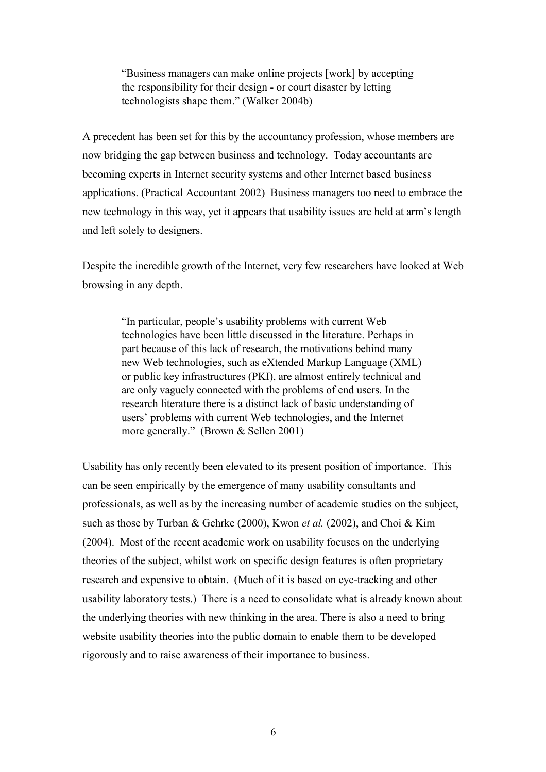"Business managers can make online projects [work] by accepting the responsibility for their design - or court disaster by letting technologists shape them." (Walker 2004b)

A precedent has been set for this by the accountancy profession, whose members are now bridging the gap between business and technology. Today accountants are becoming experts in Internet security systems and other Internet based business applications. (Practical Accountant 2002) Business managers too need to embrace the new technology in this way, yet it appears that usability issues are held at arm's length and left solely to designers.

Despite the incredible growth of the Internet, very few researchers have looked at Web browsing in any depth.

> "In particular, people's usability problems with current Web technologies have been little discussed in the literature. Perhaps in part because of this lack of research, the motivations behind many new Web technologies, such as eXtended Markup Language (XML) or public key infrastructures (PKI), are almost entirely technical and are only vaguely connected with the problems of end users. In the research literature there is a distinct lack of basic understanding of users' problems with current Web technologies, and the Internet more generally." (Brown & Sellen 2001)

Usability has only recently been elevated to its present position of importance. This can be seen empirically by the emergence of many usability consultants and professionals, as well as by the increasing number of academic studies on the subject, such as those by Turban & Gehrke (2000), Kwon *et al.* (2002), and Choi & Kim (2004). Most of the recent academic work on usability focuses on the underlying theories of the subject, whilst work on specific design features is often proprietary research and expensive to obtain. (Much of it is based on eye-tracking and other usability laboratory tests.) There is a need to consolidate what is already known about the underlying theories with new thinking in the area. There is also a need to bring website usability theories into the public domain to enable them to be developed rigorously and to raise awareness of their importance to business.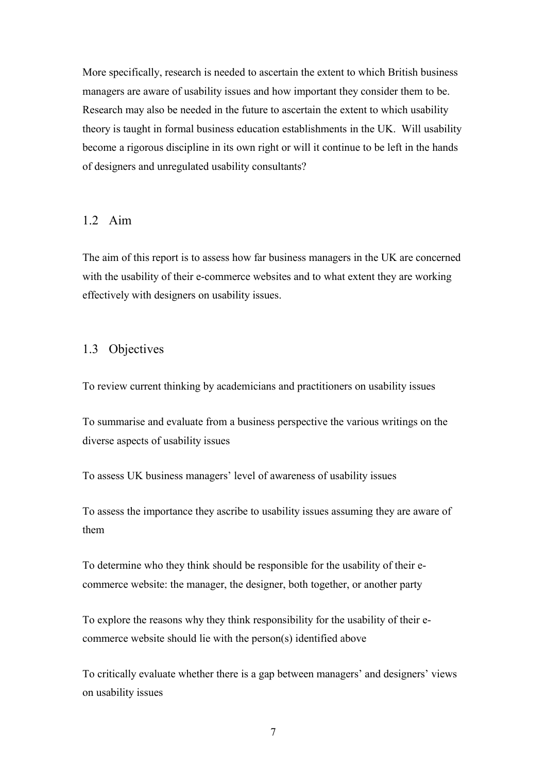More specifically, research is needed to ascertain the extent to which British business managers are aware of usability issues and how important they consider them to be. Research may also be needed in the future to ascertain the extent to which usability theory is taught in formal business education establishments in the UK. Will usability become a rigorous discipline in its own right or will it continue to be left in the hands of designers and unregulated usability consultants?

## 1.2 Aim

The aim of this report is to assess how far business managers in the UK are concerned with the usability of their e-commerce websites and to what extent they are working effectively with designers on usability issues.

## 1.3 Objectives

To review current thinking by academicians and practitioners on usability issues

To summarise and evaluate from a business perspective the various writings on the diverse aspects of usability issues

To assess UK business managers' level of awareness of usability issues

To assess the importance they ascribe to usability issues assuming they are aware of them

To determine who they think should be responsible for the usability of their ecommerce website: the manager, the designer, both together, or another party

To explore the reasons why they think responsibility for the usability of their ecommerce website should lie with the person(s) identified above

To critically evaluate whether there is a gap between managers' and designers' views on usability issues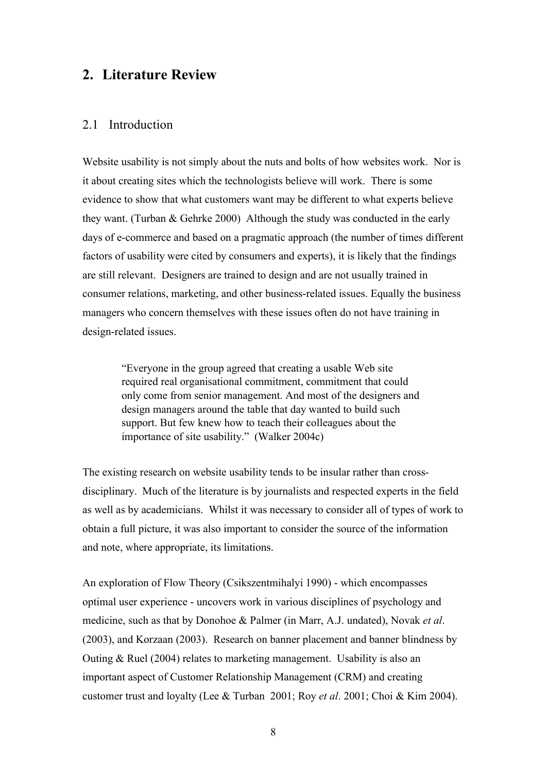## **2. Literature Review**

#### 2.1 Introduction

Website usability is not simply about the nuts and bolts of how websites work. Nor is it about creating sites which the technologists believe will work. There is some evidence to show that what customers want may be different to what experts believe they want. (Turban & Gehrke 2000) Although the study was conducted in the early days of e-commerce and based on a pragmatic approach (the number of times different factors of usability were cited by consumers and experts), it is likely that the findings are still relevant. Designers are trained to design and are not usually trained in consumer relations, marketing, and other business-related issues. Equally the business managers who concern themselves with these issues often do not have training in design-related issues.

> "Everyone in the group agreed that creating a usable Web site required real organisational commitment, commitment that could only come from senior management. And most of the designers and design managers around the table that day wanted to build such support. But few knew how to teach their colleagues about the importance of site usability." (Walker 2004c)

The existing research on website usability tends to be insular rather than crossdisciplinary. Much of the literature is by journalists and respected experts in the field as well as by academicians. Whilst it was necessary to consider all of types of work to obtain a full picture, it was also important to consider the source of the information and note, where appropriate, its limitations.

An exploration of Flow Theory (Csikszentmihalyi 1990) - which encompasses optimal user experience - uncovers work in various disciplines of psychology and medicine, such as that by Donohoe & Palmer (in Marr, A.J. undated), Novak *et al*. (2003), and Korzaan (2003). Research on banner placement and banner blindness by Outing & Ruel (2004) relates to marketing management. Usability is also an important aspect of Customer Relationship Management (CRM) and creating customer trust and loyalty (Lee & Turban 2001; Roy *et al*. 2001; Choi & Kim 2004).

8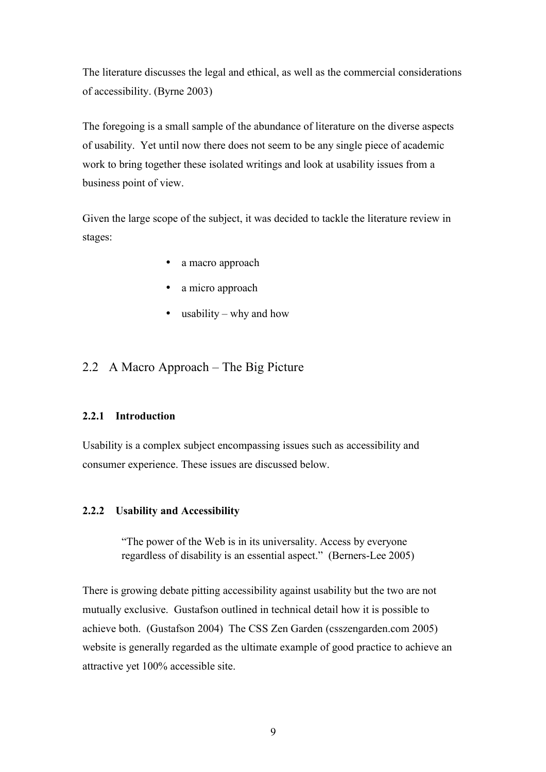The literature discusses the legal and ethical, as well as the commercial considerations of accessibility. (Byrne 2003)

The foregoing is a small sample of the abundance of literature on the diverse aspects of usability. Yet until now there does not seem to be any single piece of academic work to bring together these isolated writings and look at usability issues from a business point of view.

Given the large scope of the subject, it was decided to tackle the literature review in stages:

- a macro approach
- a micro approach
- usability why and how

## 2.2 A Macro Approach – The Big Picture

### **2.2.1 Introduction**

Usability is a complex subject encompassing issues such as accessibility and consumer experience. These issues are discussed below.

### **2.2.2 Usability and Accessibility**

"The power of the Web is in its universality. Access by everyone regardless of disability is an essential aspect." (Berners-Lee 2005)

There is growing debate pitting accessibility against usability but the two are not mutually exclusive. Gustafson outlined in technical detail how it is possible to achieve both. (Gustafson 2004) The CSS Zen Garden (csszengarden.com 2005) website is generally regarded as the ultimate example of good practice to achieve an attractive yet 100% accessible site.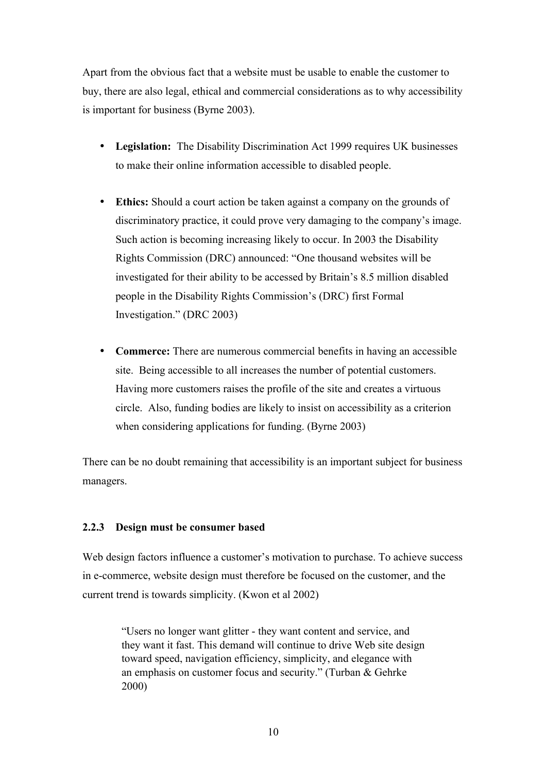Apart from the obvious fact that a website must be usable to enable the customer to buy, there are also legal, ethical and commercial considerations as to why accessibility is important for business (Byrne 2003).

- **Legislation:** The Disability Discrimination Act 1999 requires UK businesses to make their online information accessible to disabled people.
- **Ethics:** Should a court action be taken against a company on the grounds of discriminatory practice, it could prove very damaging to the company's image. Such action is becoming increasing likely to occur. In 2003 the Disability Rights Commission (DRC) announced: "One thousand websites will be investigated for their ability to be accessed by Britain's 8.5 million disabled people in the Disability Rights Commission's (DRC) first Formal Investigation." (DRC 2003)
- **Commerce:** There are numerous commercial benefits in having an accessible site. Being accessible to all increases the number of potential customers. Having more customers raises the profile of the site and creates a virtuous circle. Also, funding bodies are likely to insist on accessibility as a criterion when considering applications for funding. (Byrne 2003)

There can be no doubt remaining that accessibility is an important subject for business managers.

## **2.2.3 Design must be consumer based**

Web design factors influence a customer's motivation to purchase. To achieve success in e-commerce, website design must therefore be focused on the customer, and the current trend is towards simplicity. (Kwon et al 2002)

> "Users no longer want glitter - they want content and service, and they want it fast. This demand will continue to drive Web site design toward speed, navigation efficiency, simplicity, and elegance with an emphasis on customer focus and security." (Turban & Gehrke 2000)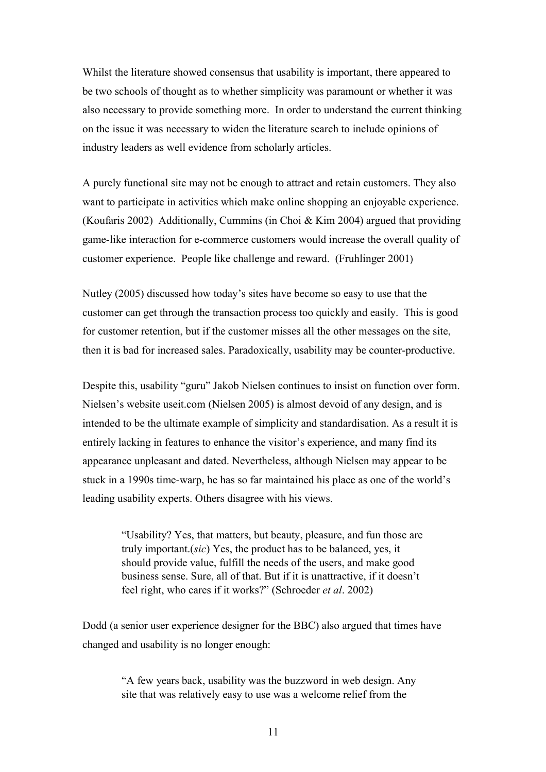Whilst the literature showed consensus that usability is important, there appeared to be two schools of thought as to whether simplicity was paramount or whether it was also necessary to provide something more. In order to understand the current thinking on the issue it was necessary to widen the literature search to include opinions of industry leaders as well evidence from scholarly articles.

A purely functional site may not be enough to attract and retain customers. They also want to participate in activities which make online shopping an enjoyable experience. (Koufaris 2002) Additionally, Cummins (in Choi & Kim 2004) argued that providing game-like interaction for e-commerce customers would increase the overall quality of customer experience. People like challenge and reward. (Fruhlinger 2001)

Nutley (2005) discussed how today's sites have become so easy to use that the customer can get through the transaction process too quickly and easily. This is good for customer retention, but if the customer misses all the other messages on the site, then it is bad for increased sales. Paradoxically, usability may be counter-productive.

Despite this, usability "guru" Jakob Nielsen continues to insist on function over form. Nielsen's website useit.com (Nielsen 2005) is almost devoid of any design, and is intended to be the ultimate example of simplicity and standardisation. As a result it is entirely lacking in features to enhance the visitor's experience, and many find its appearance unpleasant and dated. Nevertheless, although Nielsen may appear to be stuck in a 1990s time-warp, he has so far maintained his place as one of the world's leading usability experts. Others disagree with his views.

> "Usability? Yes, that matters, but beauty, pleasure, and fun those are truly important.(*sic*) Yes, the product has to be balanced, yes, it should provide value, fulfill the needs of the users, and make good business sense. Sure, all of that. But if it is unattractive, if it doesn't feel right, who cares if it works?" (Schroeder *et al*. 2002)

Dodd (a senior user experience designer for the BBC) also argued that times have changed and usability is no longer enough:

> "A few years back, usability was the buzzword in web design. Any site that was relatively easy to use was a welcome relief from the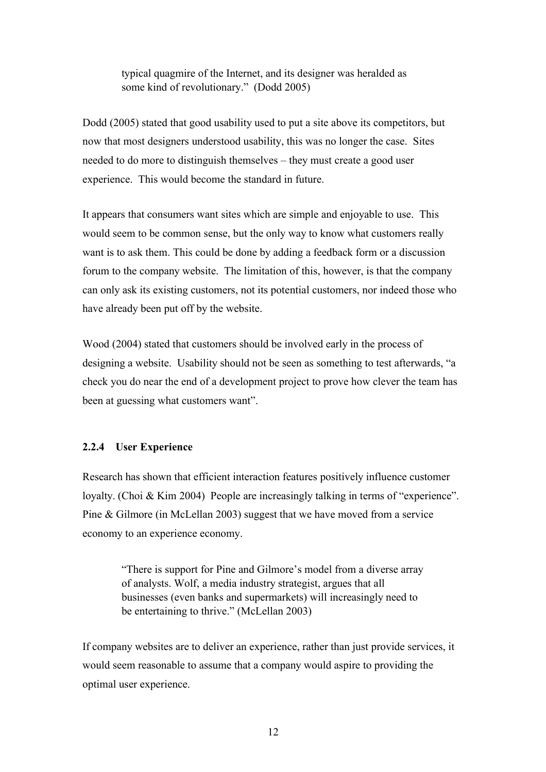typical quagmire of the Internet, and its designer was heralded as some kind of revolutionary." (Dodd 2005)

Dodd (2005) stated that good usability used to put a site above its competitors, but now that most designers understood usability, this was no longer the case. Sites needed to do more to distinguish themselves – they must create a good user experience. This would become the standard in future.

It appears that consumers want sites which are simple and enjoyable to use. This would seem to be common sense, but the only way to know what customers really want is to ask them. This could be done by adding a feedback form or a discussion forum to the company website. The limitation of this, however, is that the company can only ask its existing customers, not its potential customers, nor indeed those who have already been put off by the website.

Wood (2004) stated that customers should be involved early in the process of designing a website. Usability should not be seen as something to test afterwards, "a check you do near the end of a development project to prove how clever the team has been at guessing what customers want".

## **2.2.4 User Experience**

Research has shown that efficient interaction features positively influence customer loyalty. (Choi & Kim 2004) People are increasingly talking in terms of "experience". Pine & Gilmore (in McLellan 2003) suggest that we have moved from a service economy to an experience economy.

> "There is support for Pine and Gilmore's model from a diverse array of analysts. Wolf, a media industry strategist, argues that all businesses (even banks and supermarkets) will increasingly need to be entertaining to thrive." (McLellan 2003)

If company websites are to deliver an experience, rather than just provide services, it would seem reasonable to assume that a company would aspire to providing the optimal user experience.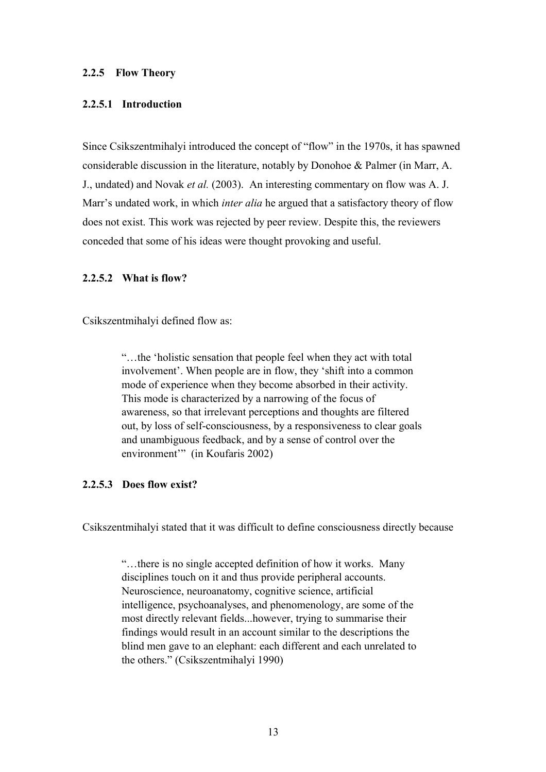### **2.2.5 Flow Theory**

#### **2.2.5.1 Introduction**

Since Csikszentmihalyi introduced the concept of "flow" in the 1970s, it has spawned considerable discussion in the literature, notably by Donohoe & Palmer (in Marr, A. J., undated) and Novak *et al.* (2003). An interesting commentary on flow was A. J. Marr's undated work, in which *inter alia* he argued that a satisfactory theory of flow does not exist. This work was rejected by peer review. Despite this, the reviewers conceded that some of his ideas were thought provoking and useful.

#### **2.2.5.2 What is flow?**

Csikszentmihalyi defined flow as:

"…the 'holistic sensation that people feel when they act with total involvement'. When people are in flow, they 'shift into a common mode of experience when they become absorbed in their activity. This mode is characterized by a narrowing of the focus of awareness, so that irrelevant perceptions and thoughts are filtered out, by loss of self-consciousness, by a responsiveness to clear goals and unambiguous feedback, and by a sense of control over the environment'" (in Koufaris 2002)

### **2.2.5.3 Does flow exist?**

Csikszentmihalyi stated that it was difficult to define consciousness directly because

"…there is no single accepted definition of how it works. Many disciplines touch on it and thus provide peripheral accounts. Neuroscience, neuroanatomy, cognitive science, artificial intelligence, psychoanalyses, and phenomenology, are some of the most directly relevant fields...however, trying to summarise their findings would result in an account similar to the descriptions the blind men gave to an elephant: each different and each unrelated to the others." (Csikszentmihalyi 1990)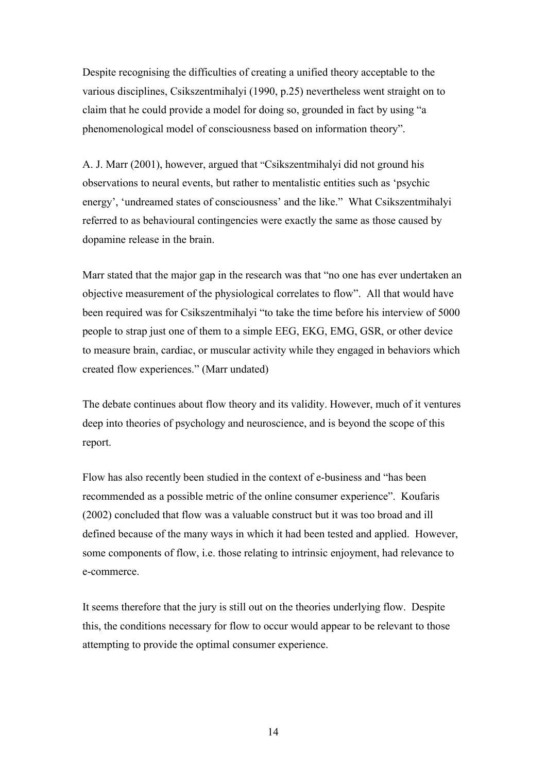Despite recognising the difficulties of creating a unified theory acceptable to the various disciplines, Csikszentmihalyi (1990, p.25) nevertheless went straight on to claim that he could provide a model for doing so, grounded in fact by using "a phenomenological model of consciousness based on information theory".

A. J. Marr (2001), however, argued that "Csikszentmihalyi did not ground his observations to neural events, but rather to mentalistic entities such as 'psychic energy', 'undreamed states of consciousness' and the like." What Csikszentmihalyi referred to as behavioural contingencies were exactly the same as those caused by dopamine release in the brain.

Marr stated that the major gap in the research was that "no one has ever undertaken an objective measurement of the physiological correlates to flow". All that would have been required was for Csikszentmihalyi "to take the time before his interview of 5000 people to strap just one of them to a simple EEG, EKG, EMG, GSR, or other device to measure brain, cardiac, or muscular activity while they engaged in behaviors which created flow experiences." (Marr undated)

The debate continues about flow theory and its validity. However, much of it ventures deep into theories of psychology and neuroscience, and is beyond the scope of this report.

Flow has also recently been studied in the context of e-business and "has been recommended as a possible metric of the online consumer experience". Koufaris (2002) concluded that flow was a valuable construct but it was too broad and ill defined because of the many ways in which it had been tested and applied. However, some components of flow, i.e. those relating to intrinsic enjoyment, had relevance to e-commerce.

It seems therefore that the jury is still out on the theories underlying flow. Despite this, the conditions necessary for flow to occur would appear to be relevant to those attempting to provide the optimal consumer experience.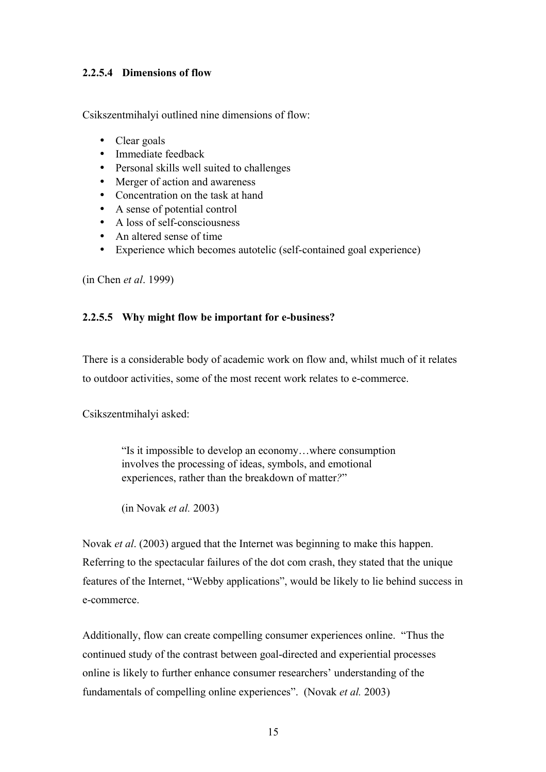## **2.2.5.4 Dimensions of flow**

Csikszentmihalyi outlined nine dimensions of flow:

- Clear goals
- Immediate feedback
- Personal skills well suited to challenges
- Merger of action and awareness
- Concentration on the task at hand
- A sense of potential control
- A loss of self-consciousness
- An altered sense of time
- Experience which becomes autotelic (self-contained goal experience)

(in Chen *et al*. 1999)

## **2.2.5.5 Why might flow be important for e-business?**

There is a considerable body of academic work on flow and, whilst much of it relates to outdoor activities, some of the most recent work relates to e-commerce.

Csikszentmihalyi asked:

"Is it impossible to develop an economy…where consumption involves the processing of ideas, symbols, and emotional experiences, rather than the breakdown of matter*?*"

(in Novak *et al.* 2003)

Novak *et al*. (2003) argued that the Internet was beginning to make this happen. Referring to the spectacular failures of the dot com crash, they stated that the unique features of the Internet, "Webby applications", would be likely to lie behind success in e-commerce.

Additionally, flow can create compelling consumer experiences online. "Thus the continued study of the contrast between goal-directed and experiential processes online is likely to further enhance consumer researchers' understanding of the fundamentals of compelling online experiences". (Novak *et al.* 2003)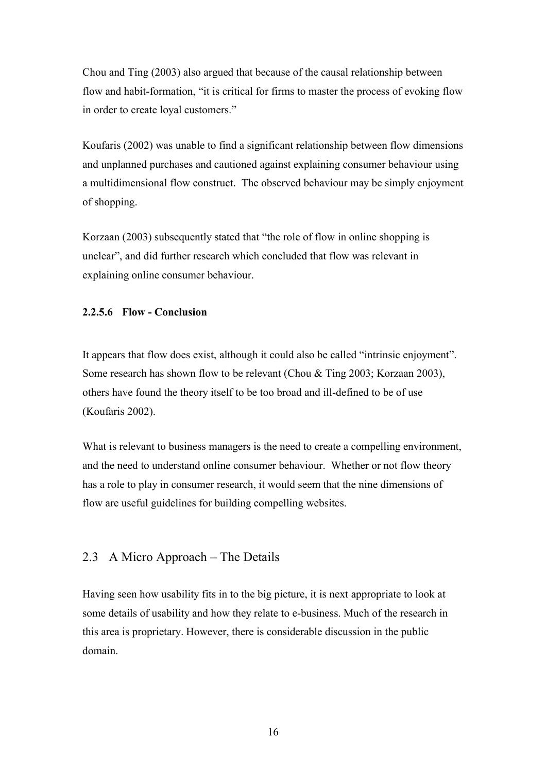Chou and Ting (2003) also argued that because of the causal relationship between flow and habit-formation, "it is critical for firms to master the process of evoking flow in order to create loyal customers."

Koufaris (2002) was unable to find a significant relationship between flow dimensions and unplanned purchases and cautioned against explaining consumer behaviour using a multidimensional flow construct. The observed behaviour may be simply enjoyment of shopping.

Korzaan (2003) subsequently stated that "the role of flow in online shopping is unclear", and did further research which concluded that flow was relevant in explaining online consumer behaviour.

## **2.2.5.6 Flow - Conclusion**

It appears that flow does exist, although it could also be called "intrinsic enjoyment". Some research has shown flow to be relevant (Chou & Ting 2003; Korzaan 2003), others have found the theory itself to be too broad and ill-defined to be of use (Koufaris 2002).

What is relevant to business managers is the need to create a compelling environment, and the need to understand online consumer behaviour. Whether or not flow theory has a role to play in consumer research, it would seem that the nine dimensions of flow are useful guidelines for building compelling websites.

## 2.3 A Micro Approach – The Details

Having seen how usability fits in to the big picture, it is next appropriate to look at some details of usability and how they relate to e-business. Much of the research in this area is proprietary. However, there is considerable discussion in the public domain.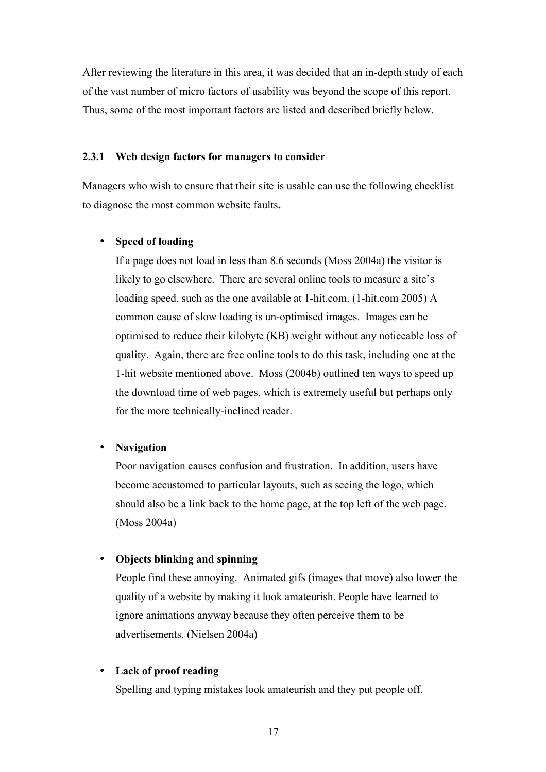After reviewing the literature in this area, it was decided that an in-depth study of each of the vast number of micro factors of usability was beyond the scope of this report. Thus, some of the most important factors are listed and described briefly below.

#### **2.3.1 Web design factors for managers to consider**

Managers who wish to ensure that their site is usable can use the following checklist to diagnose the most common website faults**.** 

#### • **Speed of loading**

If a page does not load in less than 8.6 seconds (Moss 2004a) the visitor is likely to go elsewhere. There are several online tools to measure a site's loading speed, such as the one available at 1-hit.com. (1-hit.com 2005) A common cause of slow loading is un-optimised images. Images can be optimised to reduce their kilobyte (KB) weight without any noticeable loss of quality. Again, there are free online tools to do this task, including one at the 1-hit website mentioned above. Moss (2004b) outlined ten ways to speed up the download time of web pages, which is extremely useful but perhaps only for the more technically-inclined reader.

#### • **Navigation**

Poor navigation causes confusion and frustration. In addition, users have become accustomed to particular layouts, such as seeing the logo, which should also be a link back to the home page, at the top left of the web page. (Moss 2004a)

## • **Objects blinking and spinning**

People find these annoying. Animated gifs (images that move) also lower the quality of a website by making it look amateurish. People have learned to ignore animations anyway because they often perceive them to be advertisements. (Nielsen 2004a)

#### • **Lack of proof reading**

Spelling and typing mistakes look amateurish and they put people off.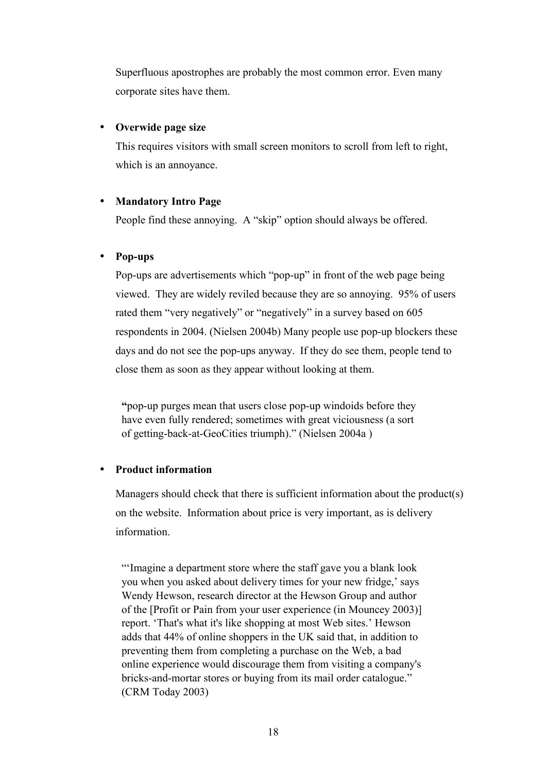Superfluous apostrophes are probably the most common error. Even many corporate sites have them.

## • **Overwide page size**

This requires visitors with small screen monitors to scroll from left to right, which is an annoyance.

## • **Mandatory Intro Page**

People find these annoying. A "skip" option should always be offered.

## • **Pop-ups**

Pop-ups are advertisements which "pop-up" in front of the web page being viewed. They are widely reviled because they are so annoying. 95% of users rated them "very negatively" or "negatively" in a survey based on 605 respondents in 2004. (Nielsen 2004b) Many people use pop-up blockers these days and do not see the pop-ups anyway. If they do see them, people tend to close them as soon as they appear without looking at them.

**"**pop-up purges mean that users close pop-up windoids before they have even fully rendered; sometimes with great viciousness (a sort of getting-back-at-GeoCities triumph)." (Nielsen 2004a )

## • **Product information**

Managers should check that there is sufficient information about the product(s) on the website. Information about price is very important, as is delivery information.

"'Imagine a department store where the staff gave you a blank look you when you asked about delivery times for your new fridge,' says Wendy Hewson, research director at the Hewson Group and author of the [Profit or Pain from your user experience (in Mouncey 2003)] report. 'That's what it's like shopping at most Web sites.' Hewson adds that 44% of online shoppers in the UK said that, in addition to preventing them from completing a purchase on the Web, a bad online experience would discourage them from visiting a company's bricks-and-mortar stores or buying from its mail order catalogue." (CRM Today 2003)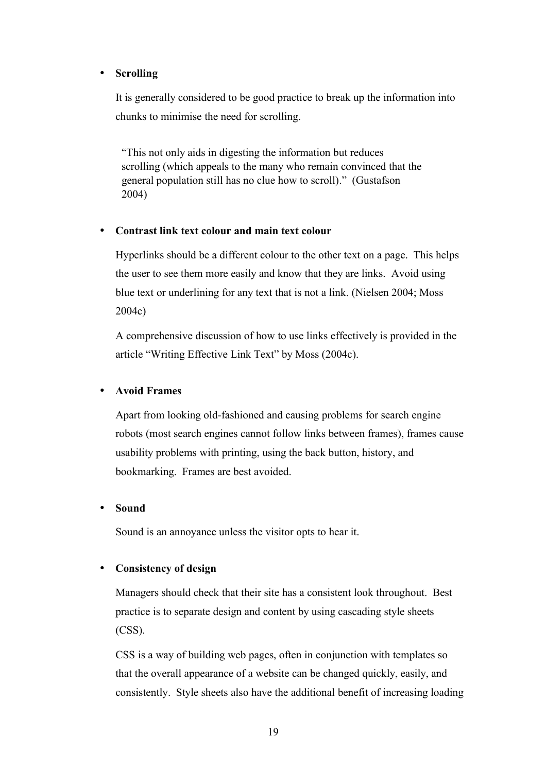## • **Scrolling**

It is generally considered to be good practice to break up the information into chunks to minimise the need for scrolling.

"This not only aids in digesting the information but reduces scrolling (which appeals to the many who remain convinced that the general population still has no clue how to scroll)." (Gustafson 2004)

## • **Contrast link text colour and main text colour**

Hyperlinks should be a different colour to the other text on a page. This helps the user to see them more easily and know that they are links. Avoid using blue text or underlining for any text that is not a link. (Nielsen 2004; Moss 2004c)

A comprehensive discussion of how to use links effectively is provided in the article "Writing Effective Link Text" by Moss (2004c).

### • **Avoid Frames**

Apart from looking old-fashioned and causing problems for search engine robots (most search engines cannot follow links between frames), frames cause usability problems with printing, using the back button, history, and bookmarking. Frames are best avoided.

### • **Sound**

Sound is an annoyance unless the visitor opts to hear it.

## • **Consistency of design**

Managers should check that their site has a consistent look throughout. Best practice is to separate design and content by using cascading style sheets (CSS).

CSS is a way of building web pages, often in conjunction with templates so that the overall appearance of a website can be changed quickly, easily, and consistently. Style sheets also have the additional benefit of increasing loading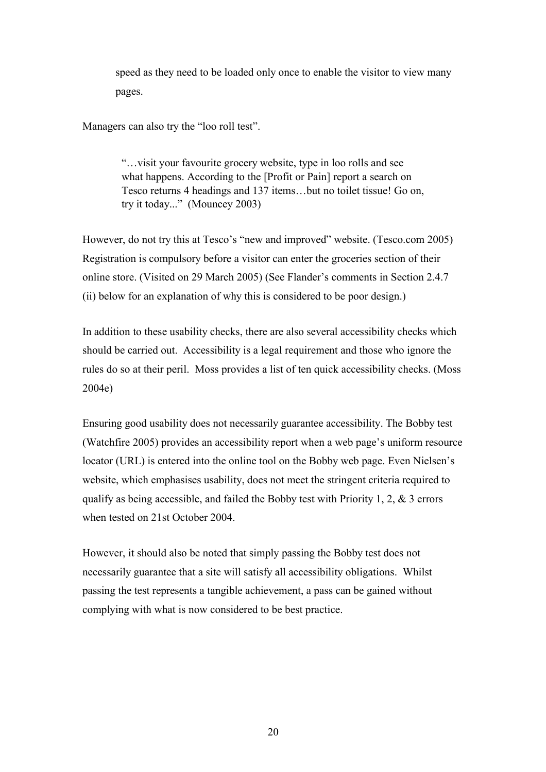speed as they need to be loaded only once to enable the visitor to view many pages.

Managers can also try the "loo roll test".

"…visit your favourite grocery website, type in loo rolls and see what happens. According to the [Profit or Pain] report a search on Tesco returns 4 headings and 137 items…but no toilet tissue! Go on, try it today..." (Mouncey 2003)

However, do not try this at Tesco's "new and improved" website. (Tesco.com 2005) Registration is compulsory before a visitor can enter the groceries section of their online store. (Visited on 29 March 2005) (See Flander's comments in Section 2.4.7 (ii) below for an explanation of why this is considered to be poor design.)

In addition to these usability checks, there are also several accessibility checks which should be carried out. Accessibility is a legal requirement and those who ignore the rules do so at their peril. Moss provides a list of ten quick accessibility checks. (Moss 2004e)

Ensuring good usability does not necessarily guarantee accessibility. The Bobby test (Watchfire 2005) provides an accessibility report when a web page's uniform resource locator (URL) is entered into the online tool on the Bobby web page. Even Nielsen's website, which emphasises usability, does not meet the stringent criteria required to qualify as being accessible, and failed the Bobby test with Priority 1, 2,  $\&$  3 errors when tested on 21st October 2004.

However, it should also be noted that simply passing the Bobby test does not necessarily guarantee that a site will satisfy all accessibility obligations. Whilst passing the test represents a tangible achievement, a pass can be gained without complying with what is now considered to be best practice.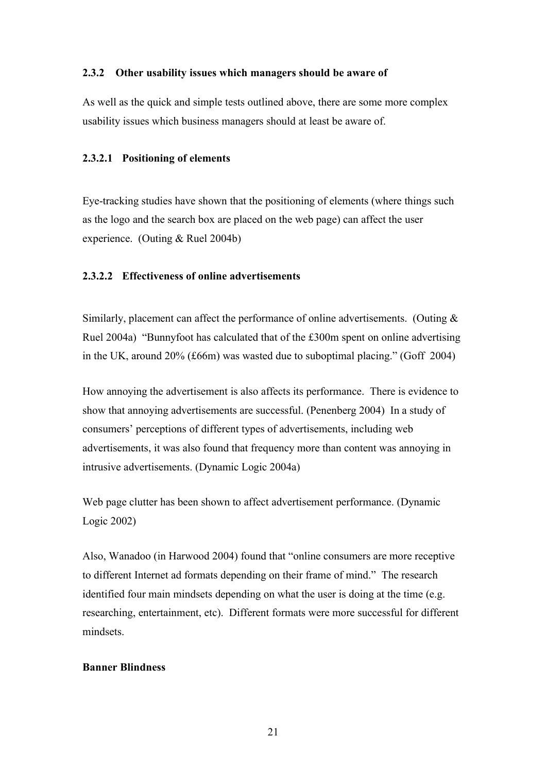#### **2.3.2 Other usability issues which managers should be aware of**

As well as the quick and simple tests outlined above, there are some more complex usability issues which business managers should at least be aware of.

#### **2.3.2.1 Positioning of elements**

Eye-tracking studies have shown that the positioning of elements (where things such as the logo and the search box are placed on the web page) can affect the user experience. (Outing & Ruel 2004b)

### **2.3.2.2 Effectiveness of online advertisements**

Similarly, placement can affect the performance of online advertisements. (Outing  $\&$ Ruel 2004a) "Bunnyfoot has calculated that of the £300m spent on online advertising in the UK, around 20% (£66m) was wasted due to suboptimal placing." (Goff 2004)

How annoying the advertisement is also affects its performance. There is evidence to show that annoying advertisements are successful. (Penenberg 2004) In a study of consumers' perceptions of different types of advertisements, including web advertisements, it was also found that frequency more than content was annoying in intrusive advertisements. (Dynamic Logic 2004a)

Web page clutter has been shown to affect advertisement performance. (Dynamic Logic 2002)

Also, Wanadoo (in Harwood 2004) found that "online consumers are more receptive to different Internet ad formats depending on their frame of mind." The research identified four main mindsets depending on what the user is doing at the time (e.g. researching, entertainment, etc). Different formats were more successful for different mindsets.

#### **Banner Blindness**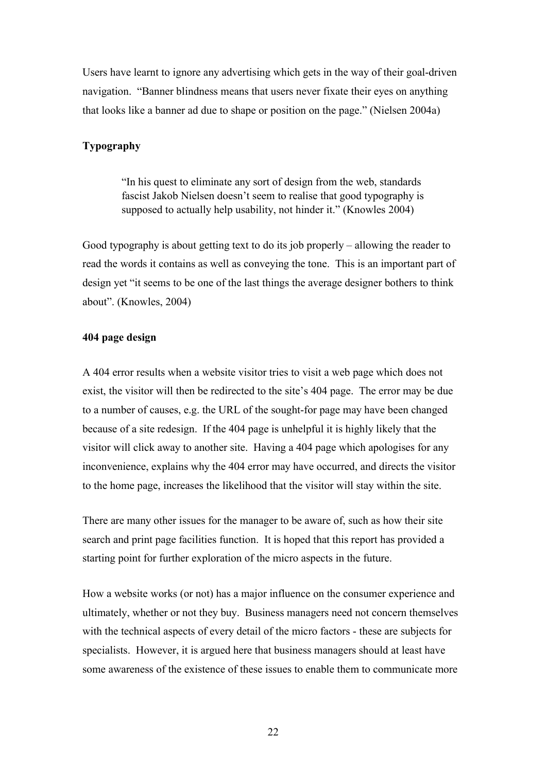Users have learnt to ignore any advertising which gets in the way of their goal-driven navigation."Banner blindness means that users never fixate their eyes on anything that looks like a banner ad due to shape or position on the page." (Nielsen 2004a)

#### **Typography**

"In his quest to eliminate any sort of design from the web, standards fascist Jakob Nielsen doesn't seem to realise that good typography is supposed to actually help usability, not hinder it." (Knowles 2004)

Good typography is about getting text to do its job properly – allowing the reader to read the words it contains as well as conveying the tone. This is an important part of design yet "it seems to be one of the last things the average designer bothers to think about". (Knowles, 2004)

#### **404 page design**

A 404 error results when a website visitor tries to visit a web page which does not exist, the visitor will then be redirected to the site's 404 page. The error may be due to a number of causes, e.g. the URL of the sought-for page may have been changed because of a site redesign. If the 404 page is unhelpful it is highly likely that the visitor will click away to another site. Having a 404 page which apologises for any inconvenience, explains why the 404 error may have occurred, and directs the visitor to the home page, increases the likelihood that the visitor will stay within the site.

There are many other issues for the manager to be aware of, such as how their site search and print page facilities function. It is hoped that this report has provided a starting point for further exploration of the micro aspects in the future.

How a website works (or not) has a major influence on the consumer experience and ultimately, whether or not they buy. Business managers need not concern themselves with the technical aspects of every detail of the micro factors - these are subjects for specialists. However, it is argued here that business managers should at least have some awareness of the existence of these issues to enable them to communicate more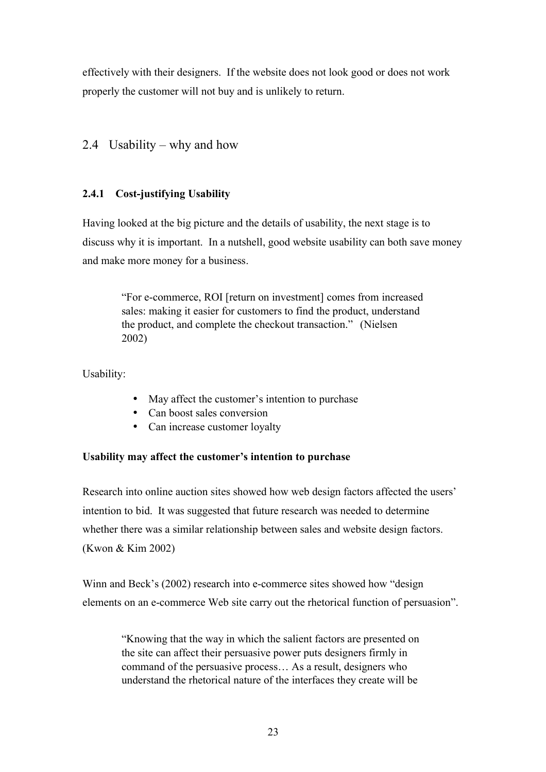effectively with their designers. If the website does not look good or does not work properly the customer will not buy and is unlikely to return.

## 2.4 Usability – why and how

## **2.4.1 Cost-justifying Usability**

Having looked at the big picture and the details of usability, the next stage is to discuss why it is important. In a nutshell, good website usability can both save money and make more money for a business.

> "For e-commerce, ROI [return on investment] comes from increased sales: making it easier for customers to find the product, understand the product, and complete the checkout transaction." (Nielsen 2002)

Usability:

- May affect the customer's intention to purchase
- Can boost sales conversion
- Can increase customer loyalty

## **Usability may affect the customer's intention to purchase**

Research into online auction sites showed how web design factors affected the users' intention to bid. It was suggested that future research was needed to determine whether there was a similar relationship between sales and website design factors. (Kwon & Kim 2002)

Winn and Beck's (2002) research into e-commerce sites showed how "design" elements on an e-commerce Web site carry out the rhetorical function of persuasion".

> "Knowing that the way in which the salient factors are presented on the site can affect their persuasive power puts designers firmly in command of the persuasive process… As a result, designers who understand the rhetorical nature of the interfaces they create will be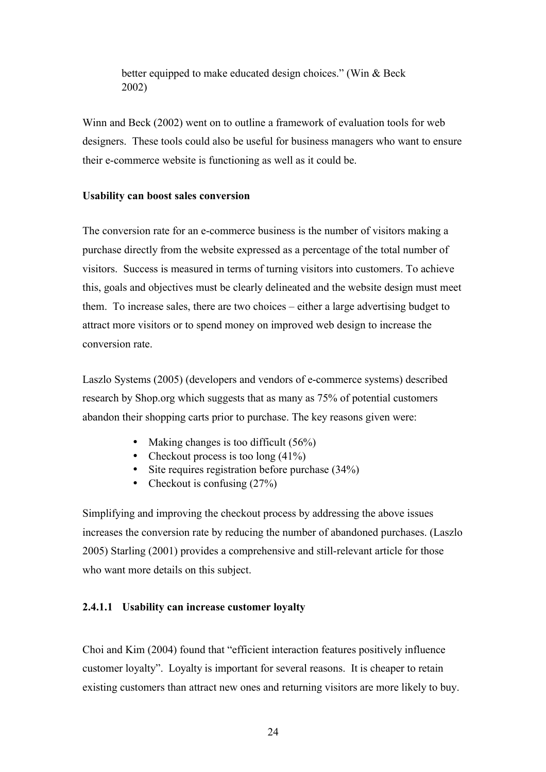better equipped to make educated design choices." (Win & Beck 2002)

Winn and Beck (2002) went on to outline a framework of evaluation tools for web designers. These tools could also be useful for business managers who want to ensure their e-commerce website is functioning as well as it could be.

### **Usability can boost sales conversion**

The conversion rate for an e-commerce business is the number of visitors making a purchase directly from the website expressed as a percentage of the total number of visitors. Success is measured in terms of turning visitors into customers. To achieve this, goals and objectives must be clearly delineated and the website design must meet them. To increase sales, there are two choices – either a large advertising budget to attract more visitors or to spend money on improved web design to increase the conversion rate.

Laszlo Systems (2005) (developers and vendors of e-commerce systems) described research by Shop.org which suggests that as many as 75% of potential customers abandon their shopping carts prior to purchase. The key reasons given were:

- Making changes is too difficult (56%)
- Checkout process is too long  $(41\%)$
- Site requires registration before purchase (34%)
- Checkout is confusing  $(27%)$

Simplifying and improving the checkout process by addressing the above issues increases the conversion rate by reducing the number of abandoned purchases. (Laszlo 2005) Starling (2001) provides a comprehensive and still-relevant article for those who want more details on this subject.

### **2.4.1.1 Usability can increase customer loyalty**

Choi and Kim (2004) found that "efficient interaction features positively influence customer loyalty". Loyalty is important for several reasons. It is cheaper to retain existing customers than attract new ones and returning visitors are more likely to buy.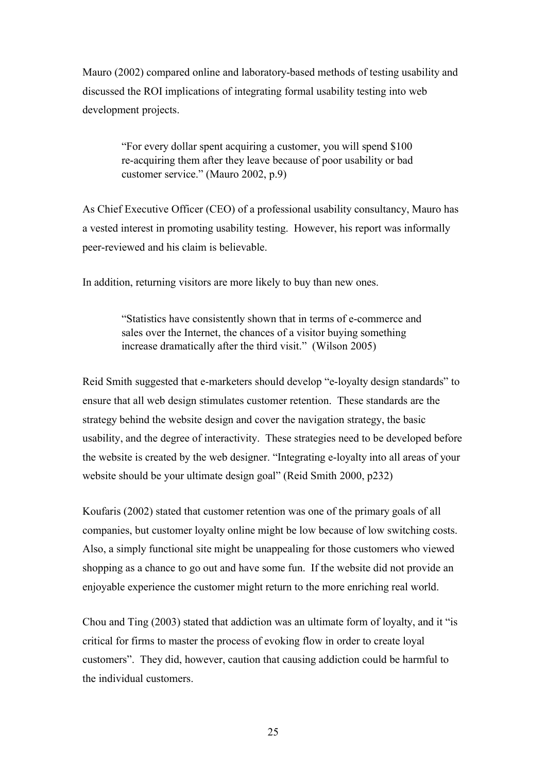Mauro (2002) compared online and laboratory-based methods of testing usability and discussed the ROI implications of integrating formal usability testing into web development projects.

> "For every dollar spent acquiring a customer, you will spend \$100 re-acquiring them after they leave because of poor usability or bad customer service." (Mauro 2002, p.9)

As Chief Executive Officer (CEO) of a professional usability consultancy, Mauro has a vested interest in promoting usability testing. However, his report was informally peer-reviewed and his claim is believable.

In addition, returning visitors are more likely to buy than new ones.

"Statistics have consistently shown that in terms of e-commerce and sales over the Internet, the chances of a visitor buying something increase dramatically after the third visit." (Wilson 2005)

Reid Smith suggested that e-marketers should develop "e-loyalty design standards" to ensure that all web design stimulates customer retention. These standards are the strategy behind the website design and cover the navigation strategy, the basic usability, and the degree of interactivity. These strategies need to be developed before the website is created by the web designer. "Integrating e-loyalty into all areas of your website should be your ultimate design goal" (Reid Smith 2000, p232)

Koufaris (2002) stated that customer retention was one of the primary goals of all companies, but customer loyalty online might be low because of low switching costs. Also, a simply functional site might be unappealing for those customers who viewed shopping as a chance to go out and have some fun. If the website did not provide an enjoyable experience the customer might return to the more enriching real world.

Chou and Ting (2003) stated that addiction was an ultimate form of loyalty, and it "is critical for firms to master the process of evoking flow in order to create loyal customers". They did, however, caution that causing addiction could be harmful to the individual customers.

25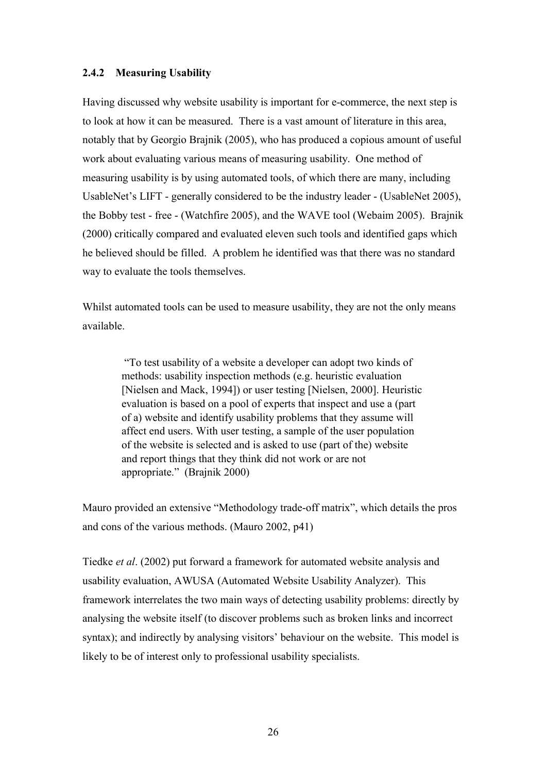## **2.4.2 Measuring Usability**

Having discussed why website usability is important for e-commerce, the next step is to look at how it can be measured. There is a vast amount of literature in this area, notably that by Georgio Brajnik (2005), who has produced a copious amount of useful work about evaluating various means of measuring usability. One method of measuring usability is by using automated tools, of which there are many, including UsableNet's LIFT - generally considered to be the industry leader - (UsableNet 2005), the Bobby test - free - (Watchfire 2005), and the WAVE tool (Webaim 2005). Brajnik (2000) critically compared and evaluated eleven such tools and identified gaps which he believed should be filled. A problem he identified was that there was no standard way to evaluate the tools themselves.

Whilst automated tools can be used to measure usability, they are not the only means available.

> "To test usability of a website a developer can adopt two kinds of methods: usability inspection methods (e.g. heuristic evaluation [Nielsen and Mack, 1994]) or user testing [Nielsen, 2000]. Heuristic evaluation is based on a pool of experts that inspect and use a (part of a) website and identify usability problems that they assume will affect end users. With user testing, a sample of the user population of the website is selected and is asked to use (part of the) website and report things that they think did not work or are not appropriate." (Brajnik 2000)

Mauro provided an extensive "Methodology trade-off matrix", which details the pros and cons of the various methods. (Mauro 2002, p41)

Tiedke *et al*. (2002) put forward a framework for automated website analysis and usability evaluation, AWUSA (Automated Website Usability Analyzer). This framework interrelates the two main ways of detecting usability problems: directly by analysing the website itself (to discover problems such as broken links and incorrect syntax); and indirectly by analysing visitors' behaviour on the website. This model is likely to be of interest only to professional usability specialists.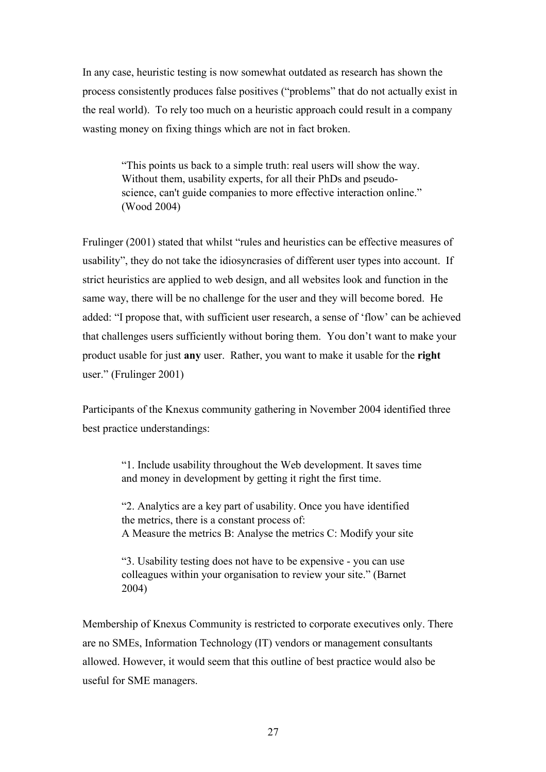In any case, heuristic testing is now somewhat outdated as research has shown the process consistently produces false positives ("problems" that do not actually exist in the real world). To rely too much on a heuristic approach could result in a company wasting money on fixing things which are not in fact broken.

> "This points us back to a simple truth: real users will show the way. Without them, usability experts, for all their PhDs and pseudoscience, can't guide companies to more effective interaction online." (Wood 2004)

Frulinger (2001) stated that whilst "rules and heuristics can be effective measures of usability", they do not take the idiosyncrasies of different user types into account. If strict heuristics are applied to web design, and all websites look and function in the same way, there will be no challenge for the user and they will become bored. He added: "I propose that, with sufficient user research, a sense of 'flow' can be achieved that challenges users sufficiently without boring them. You don't want to make your product usable for just **any** user. Rather, you want to make it usable for the **right** user." (Frulinger 2001)

Participants of the Knexus community gathering in November 2004 identified three best practice understandings:

> "1. Include usability throughout the Web development. It saves time and money in development by getting it right the first time.

"2. Analytics are a key part of usability. Once you have identified the metrics, there is a constant process of: A Measure the metrics B: Analyse the metrics C: Modify your site

"3. Usability testing does not have to be expensive - you can use colleagues within your organisation to review your site." (Barnet 2004)

Membership of Knexus Community is restricted to corporate executives only. There are no SMEs, Information Technology (IT) vendors or management consultants allowed. However, it would seem that this outline of best practice would also be useful for SME managers.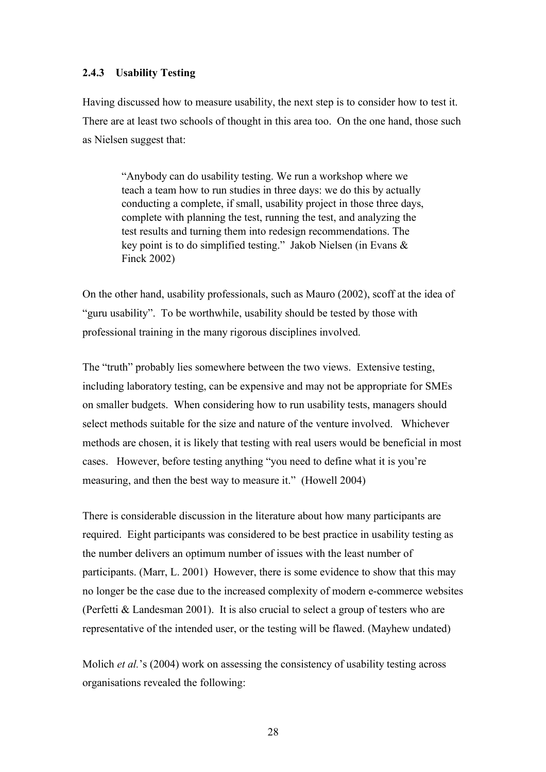#### **2.4.3 Usability Testing**

Having discussed how to measure usability, the next step is to consider how to test it. There are at least two schools of thought in this area too. On the one hand, those such as Nielsen suggest that:

> "Anybody can do usability testing. We run a workshop where we teach a team how to run studies in three days: we do this by actually conducting a complete, if small, usability project in those three days, complete with planning the test, running the test, and analyzing the test results and turning them into redesign recommendations. The key point is to do simplified testing." Jakob Nielsen (in Evans & Finck 2002)

On the other hand, usability professionals, such as Mauro (2002), scoff at the idea of "guru usability". To be worthwhile, usability should be tested by those with professional training in the many rigorous disciplines involved.

The "truth" probably lies somewhere between the two views. Extensive testing, including laboratory testing, can be expensive and may not be appropriate for SMEs on smaller budgets. When considering how to run usability tests, managers should select methods suitable for the size and nature of the venture involved. Whichever methods are chosen, it is likely that testing with real users would be beneficial in most cases. However, before testing anything "you need to define what it is you're measuring, and then the best way to measure it." (Howell 2004)

There is considerable discussion in the literature about how many participants are required. Eight participants was considered to be best practice in usability testing as the number delivers an optimum number of issues with the least number of participants. (Marr, L. 2001) However, there is some evidence to show that this may no longer be the case due to the increased complexity of modern e-commerce websites (Perfetti & Landesman 2001). It is also crucial to select a group of testers who are representative of the intended user, or the testing will be flawed. (Mayhew undated)

Molich *et al.*'s (2004) work on assessing the consistency of usability testing across organisations revealed the following: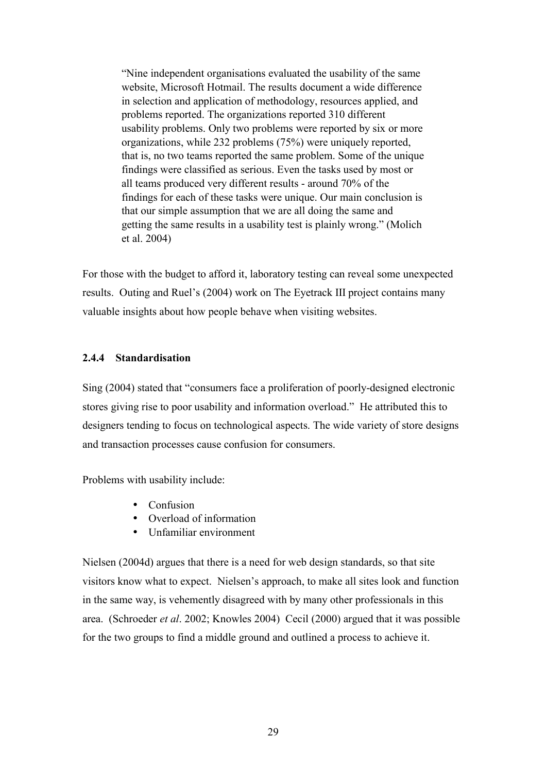"Nine independent organisations evaluated the usability of the same website, Microsoft Hotmail. The results document a wide difference in selection and application of methodology, resources applied, and problems reported. The organizations reported 310 different usability problems. Only two problems were reported by six or more organizations, while 232 problems (75%) were uniquely reported, that is, no two teams reported the same problem. Some of the unique findings were classified as serious. Even the tasks used by most or all teams produced very different results - around 70% of the findings for each of these tasks were unique. Our main conclusion is that our simple assumption that we are all doing the same and getting the same results in a usability test is plainly wrong." (Molich et al. 2004)

For those with the budget to afford it, laboratory testing can reveal some unexpected results. Outing and Ruel's (2004) work on The Eyetrack III project contains many valuable insights about how people behave when visiting websites.

## **2.4.4 Standardisation**

Sing (2004) stated that "consumers face a proliferation of poorly-designed electronic stores giving rise to poor usability and information overload." He attributed this to designers tending to focus on technological aspects. The wide variety of store designs and transaction processes cause confusion for consumers.

Problems with usability include:

- Confusion
- Overload of information
- Unfamiliar environment

Nielsen (2004d) argues that there is a need for web design standards, so that site visitors know what to expect. Nielsen's approach, to make all sites look and function in the same way, is vehemently disagreed with by many other professionals in this area. (Schroeder *et al*. 2002; Knowles 2004) Cecil (2000) argued that it was possible for the two groups to find a middle ground and outlined a process to achieve it.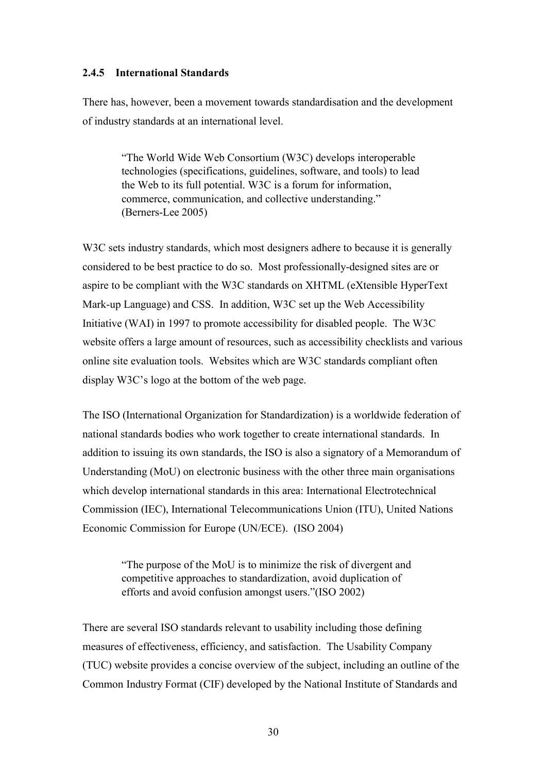#### **2.4.5 International Standards**

There has, however, been a movement towards standardisation and the development of industry standards at an international level.

> "The World Wide Web Consortium (W3C) develops interoperable technologies (specifications, guidelines, software, and tools) to lead the Web to its full potential. W3C is a forum for information, commerce, communication, and collective understanding." (Berners-Lee 2005)

W<sub>3</sub>C sets industry standards, which most designers adhere to because it is generally considered to be best practice to do so. Most professionally-designed sites are or aspire to be compliant with the W3C standards on XHTML (eXtensible HyperText Mark-up Language) and CSS. In addition, W3C set up the Web Accessibility Initiative (WAI) in 1997 to promote accessibility for disabled people. The W3C website offers a large amount of resources, such as accessibility checklists and various online site evaluation tools. Websites which are W3C standards compliant often display W3C's logo at the bottom of the web page.

The ISO (International Organization for Standardization) is a worldwide federation of national standards bodies who work together to create international standards. In addition to issuing its own standards, the ISO is also a signatory of a Memorandum of Understanding (MoU) on electronic business with the other three main organisations which develop international standards in this area: International Electrotechnical Commission (IEC), International Telecommunications Union (ITU), United Nations Economic Commission for Europe (UN/ECE). (ISO 2004)

> "The purpose of the MoU is to minimize the risk of divergent and competitive approaches to standardization, avoid duplication of efforts and avoid confusion amongst users."(ISO 2002)

There are several ISO standards relevant to usability including those defining measures of effectiveness, efficiency, and satisfaction. The Usability Company (TUC) website provides a concise overview of the subject, including an outline of the Common Industry Format (CIF) developed by the National Institute of Standards and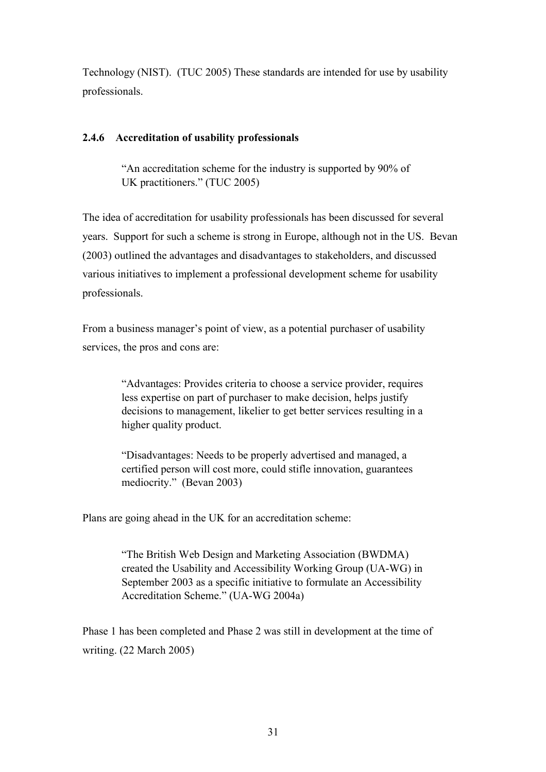Technology (NIST). (TUC 2005) These standards are intended for use by usability professionals.

## **2.4.6 Accreditation of usability professionals**

"An accreditation scheme for the industry is supported by 90% of UK practitioners." (TUC 2005)

The idea of accreditation for usability professionals has been discussed for several years. Support for such a scheme is strong in Europe, although not in the US. Bevan (2003) outlined the advantages and disadvantages to stakeholders, and discussed various initiatives to implement a professional development scheme for usability professionals.

From a business manager's point of view, as a potential purchaser of usability services, the pros and cons are:

> "Advantages: Provides criteria to choose a service provider, requires less expertise on part of purchaser to make decision, helps justify decisions to management, likelier to get better services resulting in a higher quality product.

"Disadvantages: Needs to be properly advertised and managed, a certified person will cost more, could stifle innovation, guarantees mediocrity." (Bevan 2003)

Plans are going ahead in the UK for an accreditation scheme:

"The British Web Design and Marketing Association (BWDMA) created the Usability and Accessibility Working Group (UA-WG) in September 2003 as a specific initiative to formulate an Accessibility Accreditation Scheme." (UA-WG 2004a)

Phase 1 has been completed and Phase 2 was still in development at the time of writing. (22 March 2005)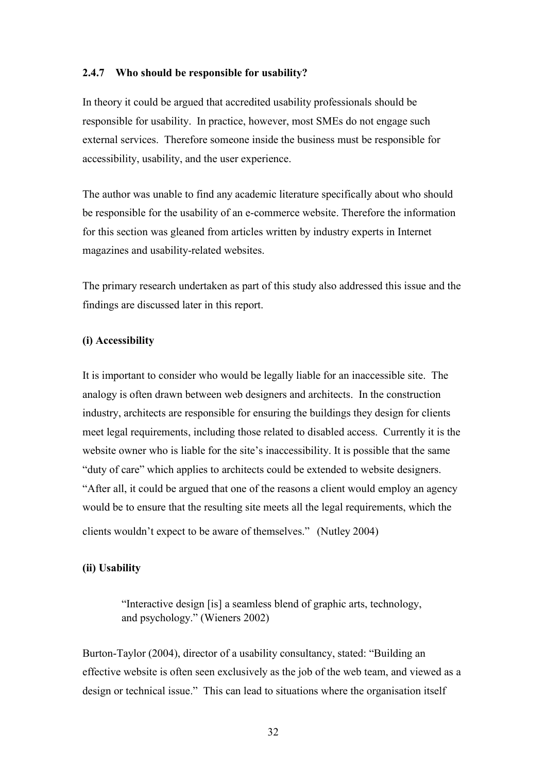#### **2.4.7 Who should be responsible for usability?**

In theory it could be argued that accredited usability professionals should be responsible for usability. In practice, however, most SMEs do not engage such external services. Therefore someone inside the business must be responsible for accessibility, usability, and the user experience.

The author was unable to find any academic literature specifically about who should be responsible for the usability of an e-commerce website. Therefore the information for this section was gleaned from articles written by industry experts in Internet magazines and usability-related websites.

The primary research undertaken as part of this study also addressed this issue and the findings are discussed later in this report.

#### **(i) Accessibility**

It is important to consider who would be legally liable for an inaccessible site. The analogy is often drawn between web designers and architects. In the construction industry, architects are responsible for ensuring the buildings they design for clients meet legal requirements, including those related to disabled access. Currently it is the website owner who is liable for the site's inaccessibility. It is possible that the same "duty of care" which applies to architects could be extended to website designers. "After all, it could be argued that one of the reasons a client would employ an agency would be to ensure that the resulting site meets all the legal requirements, which the clients wouldn't expect to be aware of themselves." (Nutley 2004)

#### **(ii) Usability**

"Interactive design [is] a seamless blend of graphic arts, technology, and psychology." (Wieners 2002)

Burton-Taylor (2004), director of a usability consultancy, stated: "Building an effective website is often seen exclusively as the job of the web team, and viewed as a design or technical issue." This can lead to situations where the organisation itself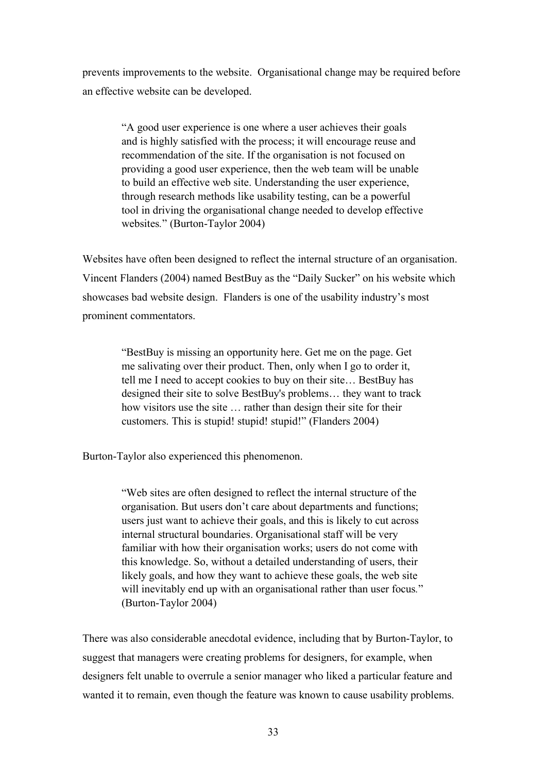prevents improvements to the website. Organisational change may be required before an effective website can be developed.

> "A good user experience is one where a user achieves their goals and is highly satisfied with the process; it will encourage reuse and recommendation of the site. If the organisation is not focused on providing a good user experience, then the web team will be unable to build an effective web site. Understanding the user experience, through research methods like usability testing, can be a powerful tool in driving the organisational change needed to develop effective websites*.*" (Burton-Taylor 2004)

Websites have often been designed to reflect the internal structure of an organisation. Vincent Flanders (2004) named BestBuy as the "Daily Sucker" on his website which showcases bad website design. Flanders is one of the usability industry's most prominent commentators.

> "BestBuy is missing an opportunity here. Get me on the page. Get me salivating over their product. Then, only when I go to order it, tell me I need to accept cookies to buy on their site… BestBuy has designed their site to solve BestBuy's problems… they want to track how visitors use the site … rather than design their site for their customers. This is stupid! stupid! stupid!" (Flanders 2004)

Burton-Taylor also experienced this phenomenon.

"Web sites are often designed to reflect the internal structure of the organisation. But users don't care about departments and functions; users just want to achieve their goals, and this is likely to cut across internal structural boundaries. Organisational staff will be very familiar with how their organisation works; users do not come with this knowledge. So, without a detailed understanding of users, their likely goals, and how they want to achieve these goals, the web site will inevitably end up with an organisational rather than user focus*.*" (Burton-Taylor 2004)

There was also considerable anecdotal evidence, including that by Burton-Taylor, to suggest that managers were creating problems for designers, for example, when designers felt unable to overrule a senior manager who liked a particular feature and wanted it to remain, even though the feature was known to cause usability problems.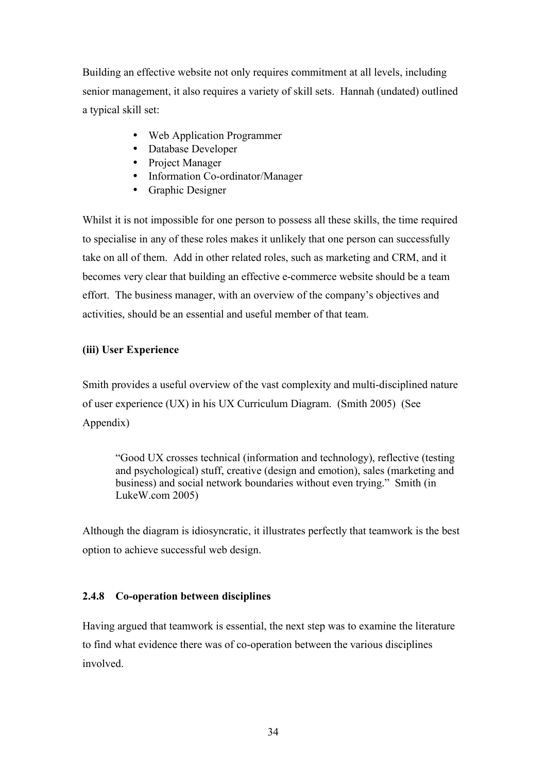Building an effective website not only requires commitment at all levels, including senior management, it also requires a variety of skill sets. Hannah (undated) outlined a typical skill set:

- Web Application Programmer
- Database Developer
- Project Manager
- Information Co-ordinator/Manager
- Graphic Designer

Whilst it is not impossible for one person to possess all these skills, the time required to specialise in any of these roles makes it unlikely that one person can successfully take on all of them. Add in other related roles, such as marketing and CRM, and it becomes very clear that building an effective e-commerce website should be a team effort. The business manager, with an overview of the company's objectives and activities, should be an essential and useful member of that team.

## **(iii) User Experience**

Smith provides a useful overview of the vast complexity and multi-disciplined nature of user experience (UX) in his UX Curriculum Diagram. (Smith 2005) (See Appendix)

"Good UX crosses technical (information and technology), reflective (testing and psychological) stuff, creative (design and emotion), sales (marketing and business) and social network boundaries without even trying." Smith (in LukeW.com 2005)

Although the diagram is idiosyncratic, it illustrates perfectly that teamwork is the best option to achieve successful web design.

## **2.4.8 Co-operation between disciplines**

Having argued that teamwork is essential, the next step was to examine the literature to find what evidence there was of co-operation between the various disciplines involved.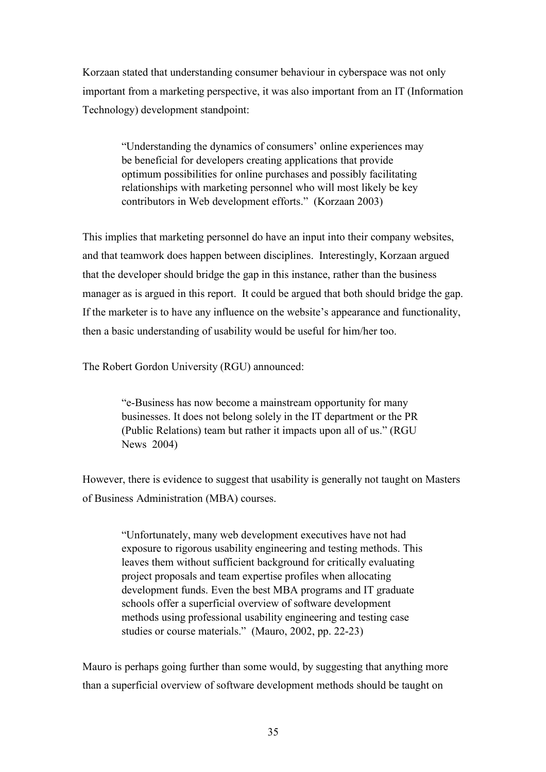Korzaan stated that understanding consumer behaviour in cyberspace was not only important from a marketing perspective, it was also important from an IT (Information Technology) development standpoint:

> "Understanding the dynamics of consumers' online experiences may be beneficial for developers creating applications that provide optimum possibilities for online purchases and possibly facilitating relationships with marketing personnel who will most likely be key contributors in Web development efforts." (Korzaan 2003)

This implies that marketing personnel do have an input into their company websites, and that teamwork does happen between disciplines. Interestingly, Korzaan argued that the developer should bridge the gap in this instance, rather than the business manager as is argued in this report. It could be argued that both should bridge the gap. If the marketer is to have any influence on the website's appearance and functionality, then a basic understanding of usability would be useful for him/her too.

The Robert Gordon University (RGU) announced:

"e-Business has now become a mainstream opportunity for many businesses. It does not belong solely in the IT department or the PR (Public Relations) team but rather it impacts upon all of us." (RGU News 2004)

However, there is evidence to suggest that usability is generally not taught on Masters of Business Administration (MBA) courses.

> "Unfortunately, many web development executives have not had exposure to rigorous usability engineering and testing methods. This leaves them without sufficient background for critically evaluating project proposals and team expertise profiles when allocating development funds. Even the best MBA programs and IT graduate schools offer a superficial overview of software development methods using professional usability engineering and testing case studies or course materials." (Mauro, 2002, pp. 22-23)

Mauro is perhaps going further than some would, by suggesting that anything more than a superficial overview of software development methods should be taught on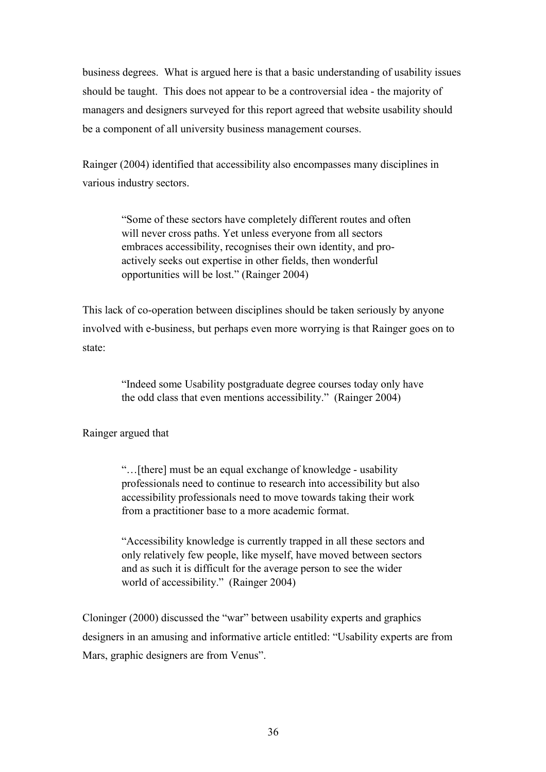business degrees. What is argued here is that a basic understanding of usability issues should be taught. This does not appear to be a controversial idea - the majority of managers and designers surveyed for this report agreed that website usability should be a component of all university business management courses.

Rainger (2004) identified that accessibility also encompasses many disciplines in various industry sectors.

> "Some of these sectors have completely different routes and often will never cross paths. Yet unless everyone from all sectors embraces accessibility, recognises their own identity, and proactively seeks out expertise in other fields, then wonderful opportunities will be lost." (Rainger 2004)

This lack of co-operation between disciplines should be taken seriously by anyone involved with e-business, but perhaps even more worrying is that Rainger goes on to state:

> "Indeed some Usability postgraduate degree courses today only have the odd class that even mentions accessibility." (Rainger 2004)

### Rainger argued that

"…[there] must be an equal exchange of knowledge - usability professionals need to continue to research into accessibility but also accessibility professionals need to move towards taking their work from a practitioner base to a more academic format.

"Accessibility knowledge is currently trapped in all these sectors and only relatively few people, like myself, have moved between sectors and as such it is difficult for the average person to see the wider world of accessibility." (Rainger 2004)

Cloninger (2000) discussed the "war" between usability experts and graphics designers in an amusing and informative article entitled: "Usability experts are from Mars, graphic designers are from Venus".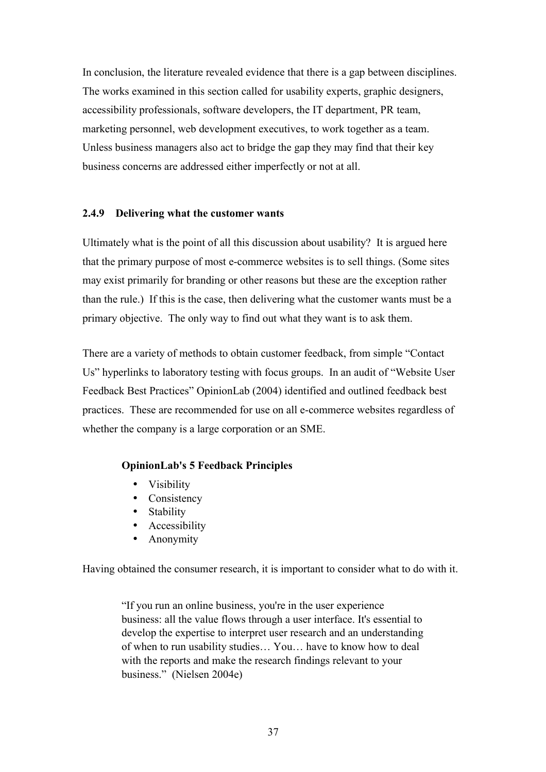In conclusion, the literature revealed evidence that there is a gap between disciplines. The works examined in this section called for usability experts, graphic designers, accessibility professionals, software developers, the IT department, PR team, marketing personnel, web development executives, to work together as a team. Unless business managers also act to bridge the gap they may find that their key business concerns are addressed either imperfectly or not at all.

### **2.4.9 Delivering what the customer wants**

Ultimately what is the point of all this discussion about usability? It is argued here that the primary purpose of most e-commerce websites is to sell things. (Some sites may exist primarily for branding or other reasons but these are the exception rather than the rule.) If this is the case, then delivering what the customer wants must be a primary objective. The only way to find out what they want is to ask them.

There are a variety of methods to obtain customer feedback, from simple "Contact Us" hyperlinks to laboratory testing with focus groups. In an audit of "Website User Feedback Best Practices" OpinionLab (2004) identified and outlined feedback best practices. These are recommended for use on all e-commerce websites regardless of whether the company is a large corporation or an SME.

## **OpinionLab's 5 Feedback Principles**

- Visibility
- Consistency
- Stability
- Accessibility
- Anonymity

Having obtained the consumer research, it is important to consider what to do with it.

"If you run an online business, you're in the user experience business: all the value flows through a user interface. It's essential to develop the expertise to interpret user research and an understanding of when to run usability studies… You… have to know how to deal with the reports and make the research findings relevant to your business." (Nielsen 2004e)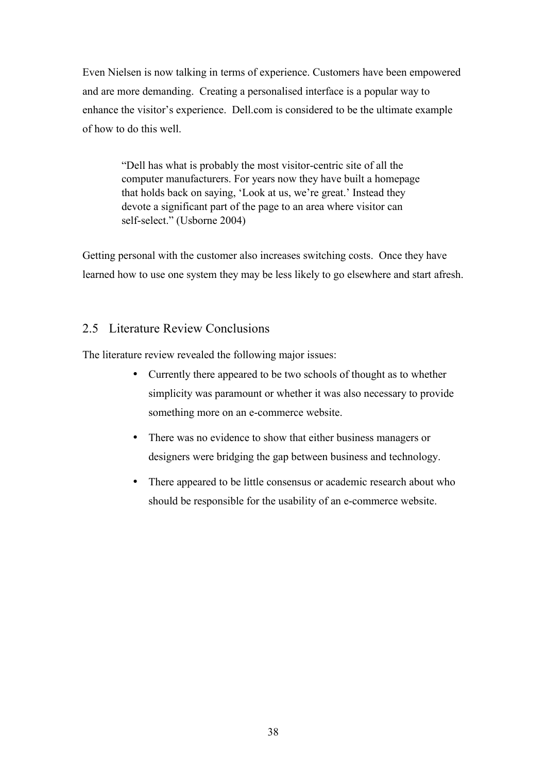Even Nielsen is now talking in terms of experience. Customers have been empowered and are more demanding. Creating a personalised interface is a popular way to enhance the visitor's experience. Dell.com is considered to be the ultimate example of how to do this well.

> "Dell has what is probably the most visitor-centric site of all the computer manufacturers. For years now they have built a homepage that holds back on saying, 'Look at us, we're great.' Instead they devote a significant part of the page to an area where visitor can self-select." (Usborne 2004)

Getting personal with the customer also increases switching costs. Once they have learned how to use one system they may be less likely to go elsewhere and start afresh.

## 2.5 Literature Review Conclusions

The literature review revealed the following major issues:

- Currently there appeared to be two schools of thought as to whether simplicity was paramount or whether it was also necessary to provide something more on an e-commerce website.
- There was no evidence to show that either business managers or designers were bridging the gap between business and technology.
- There appeared to be little consensus or academic research about who should be responsible for the usability of an e-commerce website.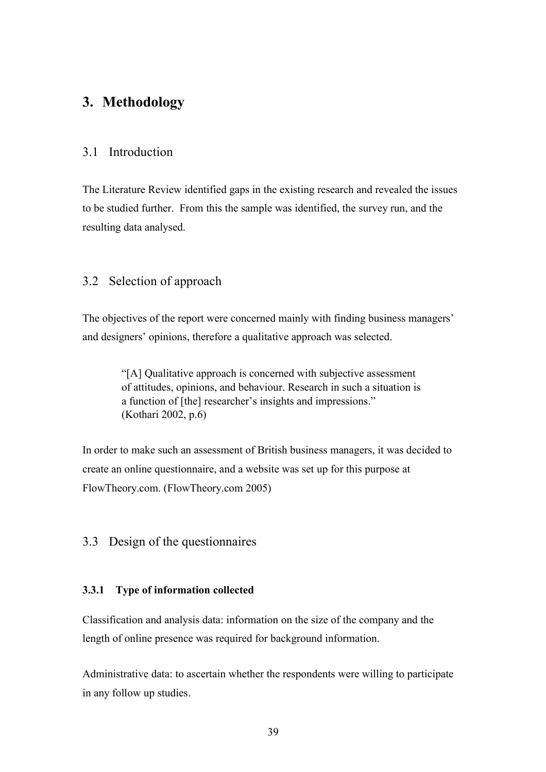# **3. Methodology**

### 3.1 Introduction

The Literature Review identified gaps in the existing research and revealed the issues to be studied further. From this the sample was identified, the survey run, and the resulting data analysed.

# 3.2 Selection of approach

The objectives of the report were concerned mainly with finding business managers' and designers' opinions, therefore a qualitative approach was selected.

> "[A] Qualitative approach is concerned with subjective assessment of attitudes, opinions, and behaviour. Research in such a situation is a function of [the] researcher's insights and impressions." (Kothari 2002, p.6)

In order to make such an assessment of British business managers, it was decided to create an online questionnaire, and a website was set up for this purpose at FlowTheory.com. (FlowTheory.com 2005)

## 3.3 Design of the questionnaires

#### **3.3.1 Type of information collected**

Classification and analysis data: information on the size of the company and the length of online presence was required for background information.

Administrative data: to ascertain whether the respondents were willing to participate in any follow up studies.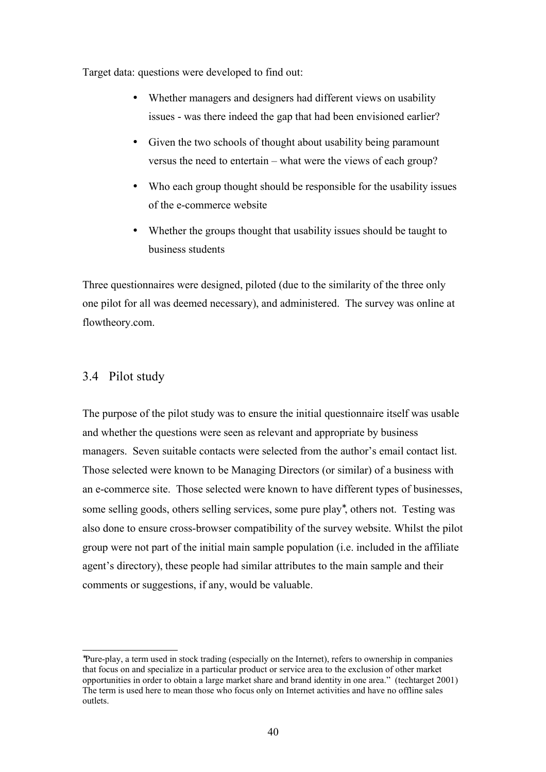Target data: questions were developed to find out:

- Whether managers and designers had different views on usability issues - was there indeed the gap that had been envisioned earlier?
- Given the two schools of thought about usability being paramount versus the need to entertain – what were the views of each group?
- Who each group thought should be responsible for the usability issues of the e-commerce website
- Whether the groups thought that usability issues should be taught to business students

Three questionnaires were designed, piloted (due to the similarity of the three only one pilot for all was deemed necessary), and administered. The survey was online at flowtheory.com.

## 3.4 Pilot study

The purpose of the pilot study was to ensure the initial questionnaire itself was usable and whether the questions were seen as relevant and appropriate by business managers. Seven suitable contacts were selected from the author's email contact list. Those selected were known to be Managing Directors (or similar) of a business with an e-commerce site. Those selected were known to have different types of businesses, some selling goods, others selling services, some pure play<sup>\*</sup>, others not. Testing was also done to ensure cross-browser compatibility of the survey website. Whilst the pilot group were not part of the initial main sample population (i.e. included in the affiliate agent's directory), these people had similar attributes to the main sample and their comments or suggestions, if any, would be valuable.

<sup>∗</sup> Pure-play, a term used in stock trading (especially on the Internet), refers to ownership in companies that focus on and specialize in a particular product or service area to the exclusion of other market opportunities in order to obtain a large market share and brand identity in one area." (techtarget 2001) The term is used here to mean those who focus only on Internet activities and have no offline sales outlets.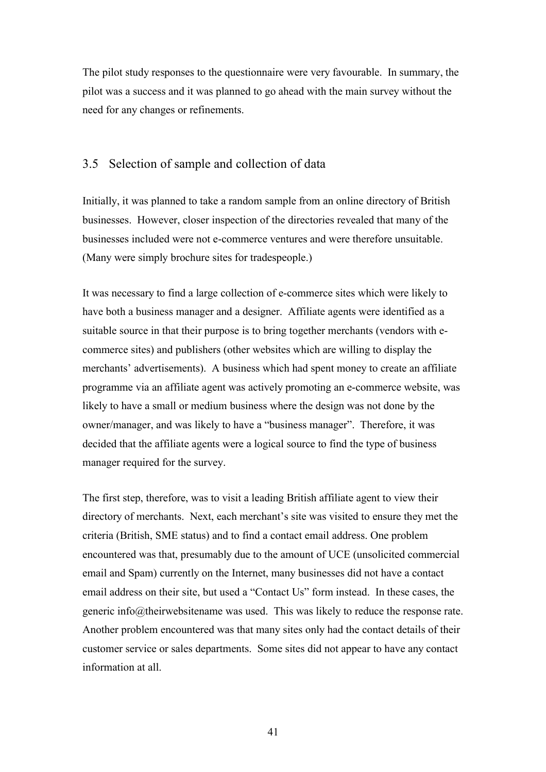The pilot study responses to the questionnaire were very favourable. In summary, the pilot was a success and it was planned to go ahead with the main survey without the need for any changes or refinements.

### 3.5 Selection of sample and collection of data

Initially, it was planned to take a random sample from an online directory of British businesses. However, closer inspection of the directories revealed that many of the businesses included were not e-commerce ventures and were therefore unsuitable. (Many were simply brochure sites for tradespeople.)

It was necessary to find a large collection of e-commerce sites which were likely to have both a business manager and a designer. Affiliate agents were identified as a suitable source in that their purpose is to bring together merchants (vendors with ecommerce sites) and publishers (other websites which are willing to display the merchants' advertisements). A business which had spent money to create an affiliate programme via an affiliate agent was actively promoting an e-commerce website, was likely to have a small or medium business where the design was not done by the owner/manager, and was likely to have a "business manager". Therefore, it was decided that the affiliate agents were a logical source to find the type of business manager required for the survey.

The first step, therefore, was to visit a leading British affiliate agent to view their directory of merchants. Next, each merchant's site was visited to ensure they met the criteria (British, SME status) and to find a contact email address. One problem encountered was that, presumably due to the amount of UCE (unsolicited commercial email and Spam) currently on the Internet, many businesses did not have a contact email address on their site, but used a "Contact Us" form instead. In these cases, the generic info $@$ theirwebsitename was used. This was likely to reduce the response rate. Another problem encountered was that many sites only had the contact details of their customer service or sales departments. Some sites did not appear to have any contact information at all.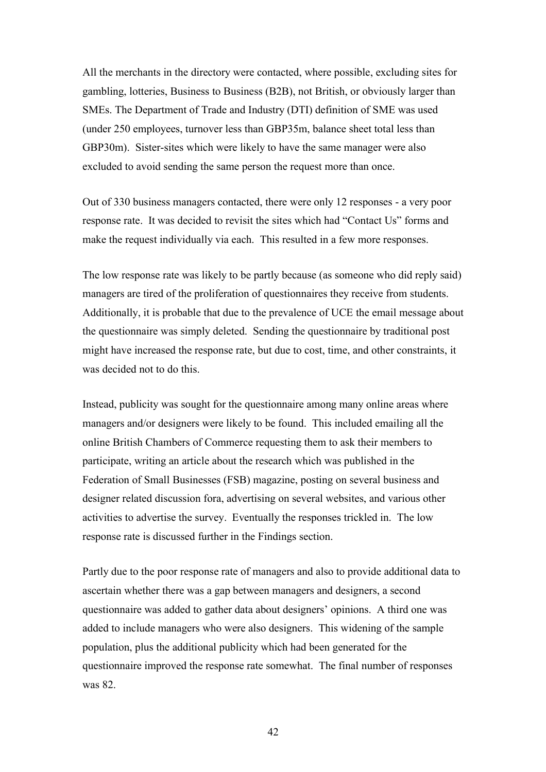All the merchants in the directory were contacted, where possible, excluding sites for gambling, lotteries, Business to Business (B2B), not British, or obviously larger than SMEs. The Department of Trade and Industry (DTI) definition of SME was used (under 250 employees, turnover less than GBP35m, balance sheet total less than GBP30m). Sister-sites which were likely to have the same manager were also excluded to avoid sending the same person the request more than once.

Out of 330 business managers contacted, there were only 12 responses - a very poor response rate. It was decided to revisit the sites which had "Contact Us" forms and make the request individually via each. This resulted in a few more responses.

The low response rate was likely to be partly because (as someone who did reply said) managers are tired of the proliferation of questionnaires they receive from students. Additionally, it is probable that due to the prevalence of UCE the email message about the questionnaire was simply deleted. Sending the questionnaire by traditional post might have increased the response rate, but due to cost, time, and other constraints, it was decided not to do this.

Instead, publicity was sought for the questionnaire among many online areas where managers and/or designers were likely to be found. This included emailing all the online British Chambers of Commerce requesting them to ask their members to participate, writing an article about the research which was published in the Federation of Small Businesses (FSB) magazine, posting on several business and designer related discussion fora, advertising on several websites, and various other activities to advertise the survey. Eventually the responses trickled in. The low response rate is discussed further in the Findings section.

Partly due to the poor response rate of managers and also to provide additional data to ascertain whether there was a gap between managers and designers, a second questionnaire was added to gather data about designers' opinions. A third one was added to include managers who were also designers. This widening of the sample population, plus the additional publicity which had been generated for the questionnaire improved the response rate somewhat. The final number of responses was 82.

42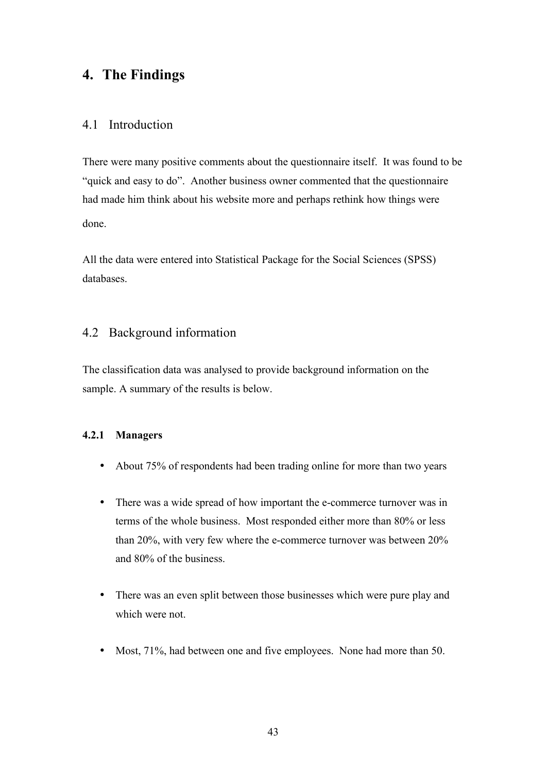# **4. The Findings**

## 4.1 Introduction

There were many positive comments about the questionnaire itself. It was found to be "quick and easy to do". Another business owner commented that the questionnaire had made him think about his website more and perhaps rethink how things were done.

All the data were entered into Statistical Package for the Social Sciences (SPSS) databases.

# 4.2 Background information

The classification data was analysed to provide background information on the sample. A summary of the results is below.

## **4.2.1 Managers**

- About 75% of respondents had been trading online for more than two years
- There was a wide spread of how important the e-commerce turnover was in terms of the whole business. Most responded either more than 80% or less than 20%, with very few where the e-commerce turnover was between 20% and 80% of the business.
- There was an even split between those businesses which were pure play and which were not.
- Most, 71%, had between one and five employees. None had more than 50.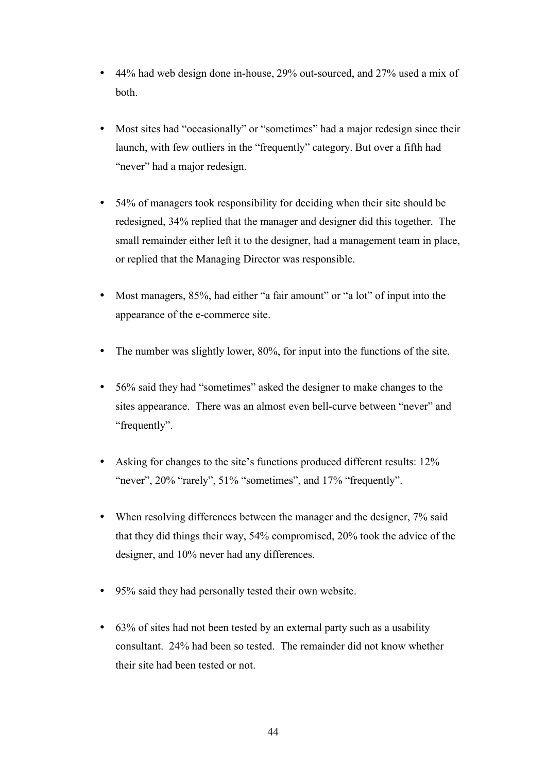- 44% had web design done in-house, 29% out-sourced, and 27% used a mix of both.
- Most sites had "occasionally" or "sometimes" had a major redesign since their launch, with few outliers in the "frequently" category. But over a fifth had "never" had a major redesign.
- 54% of managers took responsibility for deciding when their site should be redesigned, 34% replied that the manager and designer did this together. The small remainder either left it to the designer, had a management team in place, or replied that the Managing Director was responsible.
- Most managers, 85%, had either "a fair amount" or "a lot" of input into the appearance of the e-commerce site.
- The number was slightly lower, 80%, for input into the functions of the site.
- 56% said they had "sometimes" asked the designer to make changes to the sites appearance. There was an almost even bell-curve between "never" and "frequently".
- Asking for changes to the site's functions produced different results: 12% "never", 20% "rarely", 51% "sometimes", and 17% "frequently".
- When resolving differences between the manager and the designer, 7% said that they did things their way, 54% compromised, 20% took the advice of the designer, and 10% never had any differences.
- 95% said they had personally tested their own website.
- 63% of sites had not been tested by an external party such as a usability consultant. 24% had been so tested. The remainder did not know whether their site had been tested or not.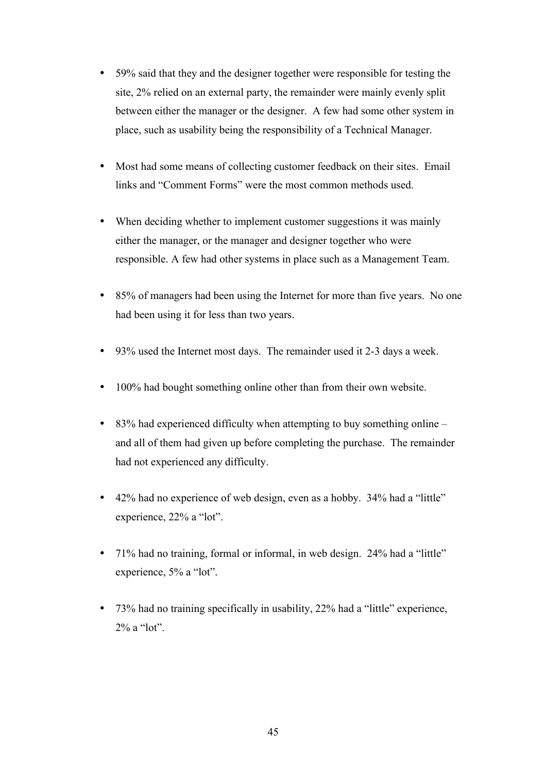- 59% said that they and the designer together were responsible for testing the site, 2% relied on an external party, the remainder were mainly evenly split between either the manager or the designer. A few had some other system in place, such as usability being the responsibility of a Technical Manager.
- Most had some means of collecting customer feedback on their sites. Email links and "Comment Forms" were the most common methods used.
- When deciding whether to implement customer suggestions it was mainly either the manager, or the manager and designer together who were responsible. A few had other systems in place such as a Management Team.
- 85% of managers had been using the Internet for more than five years. No one had been using it for less than two years.
- 93% used the Internet most days. The remainder used it 2-3 days a week.
- 100% had bought something online other than from their own website.
- 83% had experienced difficulty when attempting to buy something online and all of them had given up before completing the purchase. The remainder had not experienced any difficulty.
- 42% had no experience of web design, even as a hobby. 34% had a "little" experience, 22% a "lot".
- 71% had no training, formal or informal, in web design. 24% had a "little" experience, 5% a "lot".
- 73% had no training specifically in usability, 22% had a "little" experience, 2% a "lot".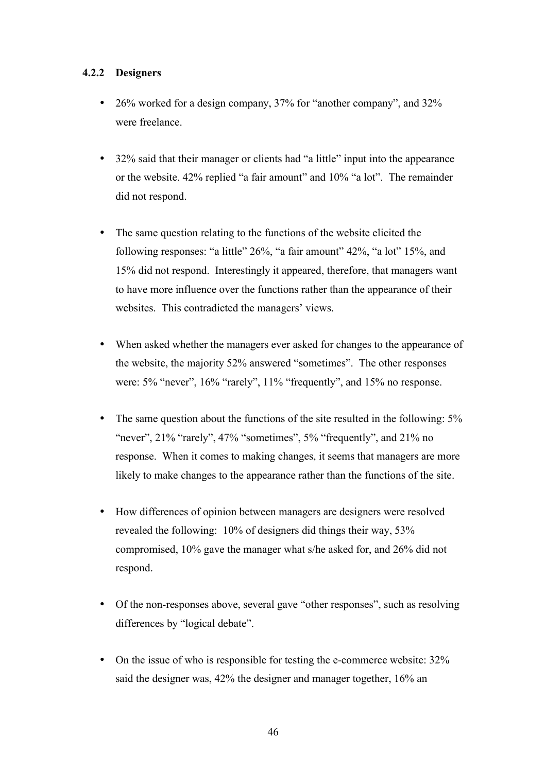## **4.2.2 Designers**

- 26% worked for a design company, 37% for "another company", and 32% were freelance.
- 32% said that their manager or clients had "a little" input into the appearance or the website. 42% replied "a fair amount" and 10% "a lot". The remainder did not respond.
- The same question relating to the functions of the website elicited the following responses: "a little" 26%, "a fair amount" 42%, "a lot" 15%, and 15% did not respond. Interestingly it appeared, therefore, that managers want to have more influence over the functions rather than the appearance of their websites. This contradicted the managers' views.
- When asked whether the managers ever asked for changes to the appearance of the website, the majority 52% answered "sometimes". The other responses were: 5% "never", 16% "rarely", 11% "frequently", and 15% no response.
- The same question about the functions of the site resulted in the following: 5% "never", 21% "rarely", 47% "sometimes", 5% "frequently", and 21% no response. When it comes to making changes, it seems that managers are more likely to make changes to the appearance rather than the functions of the site.
- How differences of opinion between managers are designers were resolved revealed the following: 10% of designers did things their way, 53% compromised, 10% gave the manager what s/he asked for, and 26% did not respond.
- Of the non-responses above, several gave "other responses", such as resolving differences by "logical debate".
- On the issue of who is responsible for testing the e-commerce website:  $32\%$ said the designer was, 42% the designer and manager together, 16% an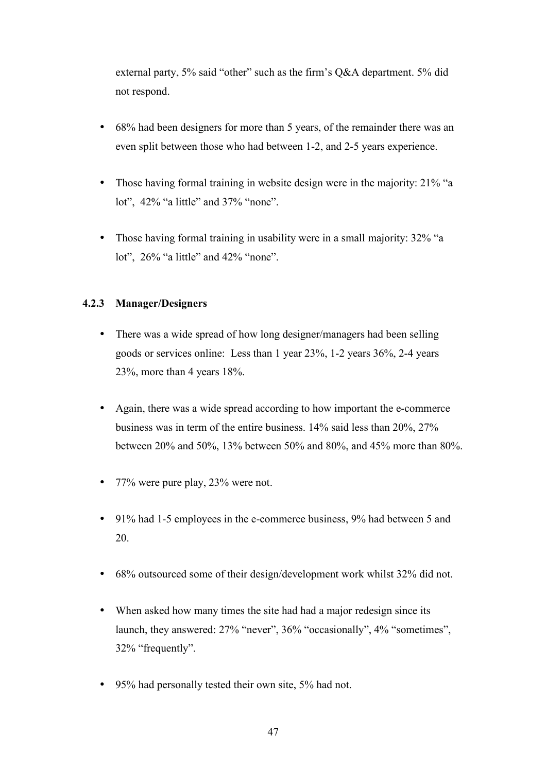external party, 5% said "other" such as the firm's Q&A department. 5% did not respond.

- 68% had been designers for more than 5 years, of the remainder there was an even split between those who had between 1-2, and 2-5 years experience.
- Those having formal training in website design were in the majority: 21% "a lot", 42% "a little" and 37% "none".
- Those having formal training in usability were in a small majority: 32% "a lot", 26% "a little" and 42% "none".

## **4.2.3 Manager/Designers**

- There was a wide spread of how long designer/managers had been selling goods or services online: Less than 1 year 23%, 1-2 years 36%, 2-4 years 23%, more than 4 years 18%.
- Again, there was a wide spread according to how important the e-commerce business was in term of the entire business. 14% said less than 20%, 27% between 20% and 50%, 13% between 50% and 80%, and 45% more than 80%.
- 77% were pure play, 23% were not.
- 91% had 1-5 employees in the e-commerce business, 9% had between 5 and 20.
- 68% outsourced some of their design/development work whilst 32% did not.
- When asked how many times the site had had a major redesign since its launch, they answered: 27% "never", 36% "occasionally", 4% "sometimes", 32% "frequently".
- 95% had personally tested their own site, 5% had not.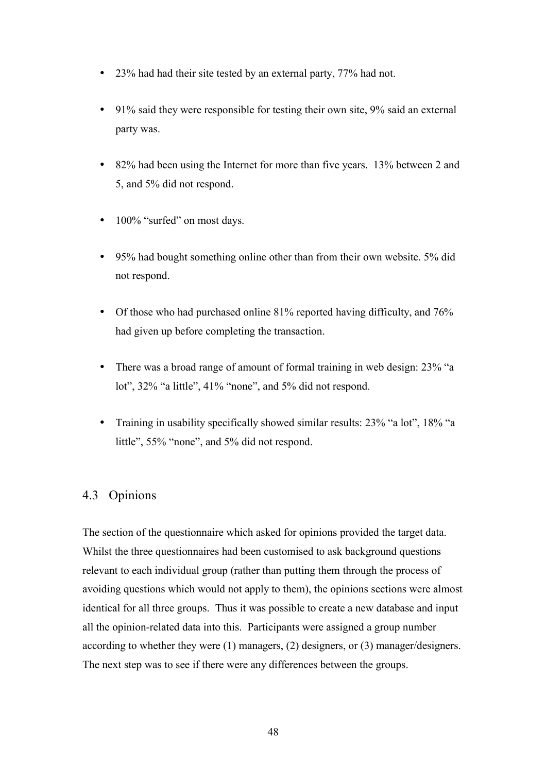- 23% had had their site tested by an external party, 77% had not.
- 91% said they were responsible for testing their own site, 9% said an external party was.
- 82% had been using the Internet for more than five years. 13% between 2 and 5, and 5% did not respond.
- 100% "surfed" on most days.
- 95% had bought something online other than from their own website. 5% did not respond.
- Of those who had purchased online 81% reported having difficulty, and 76% had given up before completing the transaction.
- There was a broad range of amount of formal training in web design: 23% "a lot", 32% "a little", 41% "none", and 5% did not respond.
- Training in usability specifically showed similar results: 23% "a lot", 18% "a little", 55% "none", and 5% did not respond.

## 4.3 Opinions

The section of the questionnaire which asked for opinions provided the target data. Whilst the three questionnaires had been customised to ask background questions relevant to each individual group (rather than putting them through the process of avoiding questions which would not apply to them), the opinions sections were almost identical for all three groups. Thus it was possible to create a new database and input all the opinion-related data into this. Participants were assigned a group number according to whether they were (1) managers, (2) designers, or (3) manager/designers. The next step was to see if there were any differences between the groups.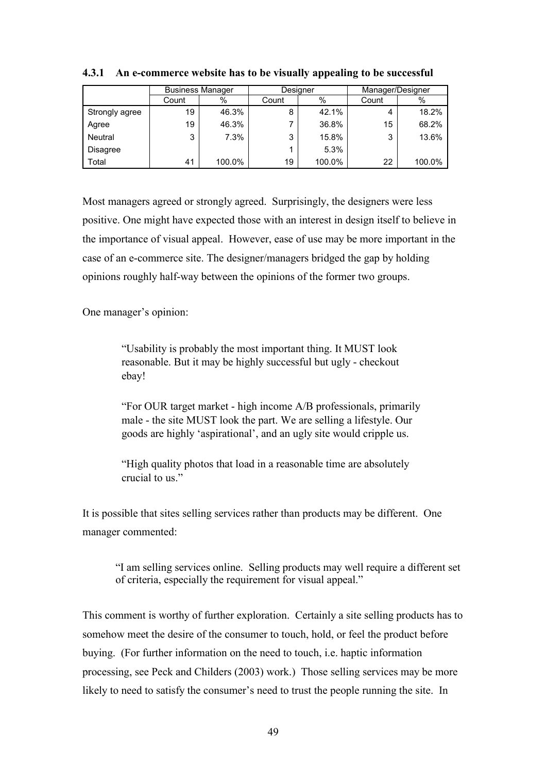|                |       | <b>Business Manager</b> | Designer |        | Manager/Designer |        |  |
|----------------|-------|-------------------------|----------|--------|------------------|--------|--|
|                | Count | $\%$                    | Count    | %      | Count            | %      |  |
| Strongly agree | 19    | 46.3%                   | 8        | 42.1%  | 4                | 18.2%  |  |
| Agree          | 19    | 46.3%                   |          | 36.8%  | 15               | 68.2%  |  |
| Neutral        | 3     | 7.3%                    | 3        | 15.8%  | 3                | 13.6%  |  |
| Disagree       |       |                         |          | 5.3%   |                  |        |  |
| Total          | 41    | 100.0%                  | 19       | 100.0% | 22               | 100.0% |  |

**4.3.1 An e-commerce website has to be visually appealing to be successful**

Most managers agreed or strongly agreed. Surprisingly, the designers were less positive. One might have expected those with an interest in design itself to believe in the importance of visual appeal. However, ease of use may be more important in the case of an e-commerce site. The designer/managers bridged the gap by holding opinions roughly half-way between the opinions of the former two groups.

One manager's opinion:

"Usability is probably the most important thing. It MUST look reasonable. But it may be highly successful but ugly - checkout ebay!

"For OUR target market - high income A/B professionals, primarily male - the site MUST look the part. We are selling a lifestyle. Our goods are highly 'aspirational', and an ugly site would cripple us.

"High quality photos that load in a reasonable time are absolutely crucial to us."

It is possible that sites selling services rather than products may be different. One manager commented:

"I am selling services online. Selling products may well require a different set of criteria, especially the requirement for visual appeal."

This comment is worthy of further exploration. Certainly a site selling products has to somehow meet the desire of the consumer to touch, hold, or feel the product before buying. (For further information on the need to touch, i.e. haptic information processing, see Peck and Childers (2003) work.) Those selling services may be more likely to need to satisfy the consumer's need to trust the people running the site. In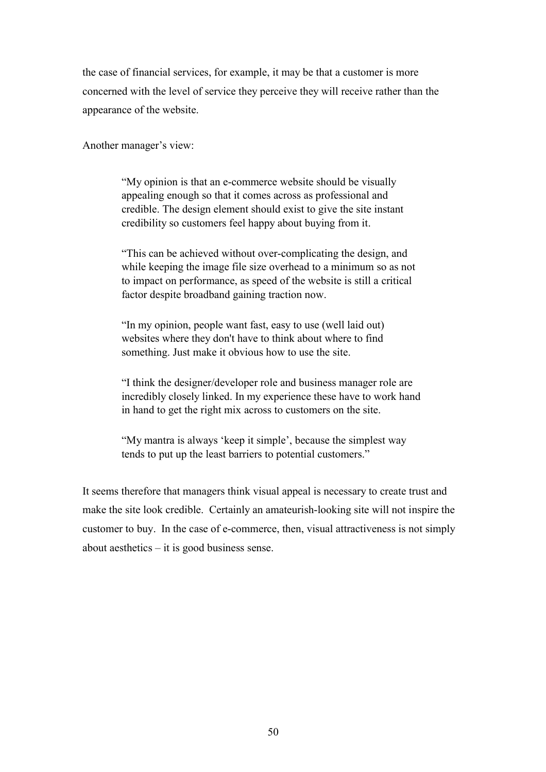the case of financial services, for example, it may be that a customer is more concerned with the level of service they perceive they will receive rather than the appearance of the website.

Another manager's view:

"My opinion is that an e-commerce website should be visually appealing enough so that it comes across as professional and credible. The design element should exist to give the site instant credibility so customers feel happy about buying from it.

"This can be achieved without over-complicating the design, and while keeping the image file size overhead to a minimum so as not to impact on performance, as speed of the website is still a critical factor despite broadband gaining traction now.

"In my opinion, people want fast, easy to use (well laid out) websites where they don't have to think about where to find something. Just make it obvious how to use the site.

"I think the designer/developer role and business manager role are incredibly closely linked. In my experience these have to work hand in hand to get the right mix across to customers on the site.

"My mantra is always 'keep it simple', because the simplest way tends to put up the least barriers to potential customers."

It seems therefore that managers think visual appeal is necessary to create trust and make the site look credible. Certainly an amateurish-looking site will not inspire the customer to buy. In the case of e-commerce, then, visual attractiveness is not simply about aesthetics – it is good business sense.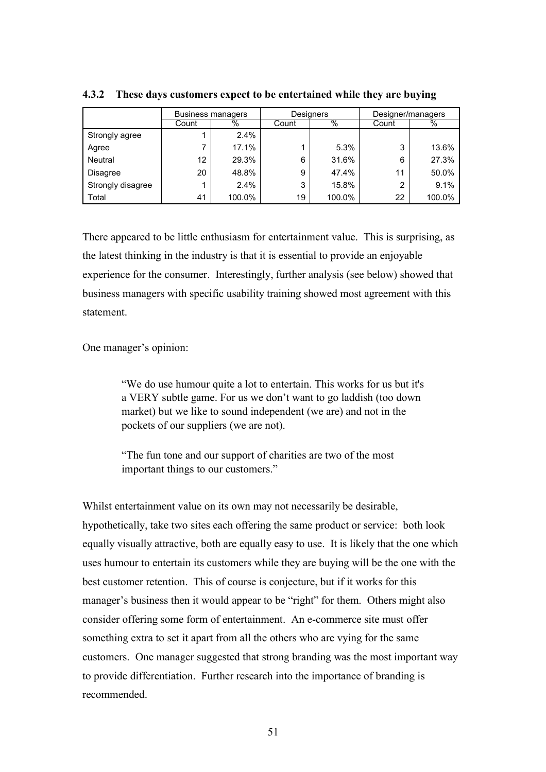|                   |                   | <b>Business managers</b> |       | Designers | Designer/managers |        |  |
|-------------------|-------------------|--------------------------|-------|-----------|-------------------|--------|--|
|                   | %<br>Count        |                          | Count | %         |                   | %      |  |
| Strongly agree    |                   | $2.4\%$                  |       |           |                   |        |  |
| Agree             |                   | 17.1%                    |       | 5.3%      | 3                 | 13.6%  |  |
| Neutral           | $12 \overline{ }$ | 29.3%                    | 6     | 31.6%     | 6                 | 27.3%  |  |
| Disagree          | 20                | 48.8%                    | 9     | 47.4%     | 11                | 50.0%  |  |
| Strongly disagree |                   | 2.4%                     | 3     | 15.8%     | ◠                 | 9.1%   |  |
| Total             | 41                | 100.0%                   | 19    | 100.0%    | 22                | 100.0% |  |

**4.3.2 These days customers expect to be entertained while they are buying**

There appeared to be little enthusiasm for entertainment value. This is surprising, as the latest thinking in the industry is that it is essential to provide an enjoyable experience for the consumer. Interestingly, further analysis (see below) showed that business managers with specific usability training showed most agreement with this statement.

One manager's opinion:

"We do use humour quite a lot to entertain. This works for us but it's a VERY subtle game. For us we don't want to go laddish (too down market) but we like to sound independent (we are) and not in the pockets of our suppliers (we are not).

"The fun tone and our support of charities are two of the most important things to our customers."

Whilst entertainment value on its own may not necessarily be desirable, hypothetically, take two sites each offering the same product or service: both look equally visually attractive, both are equally easy to use. It is likely that the one which uses humour to entertain its customers while they are buying will be the one with the best customer retention. This of course is conjecture, but if it works for this manager's business then it would appear to be "right" for them. Others might also consider offering some form of entertainment. An e-commerce site must offer something extra to set it apart from all the others who are vying for the same customers. One manager suggested that strong branding was the most important way to provide differentiation. Further research into the importance of branding is recommended.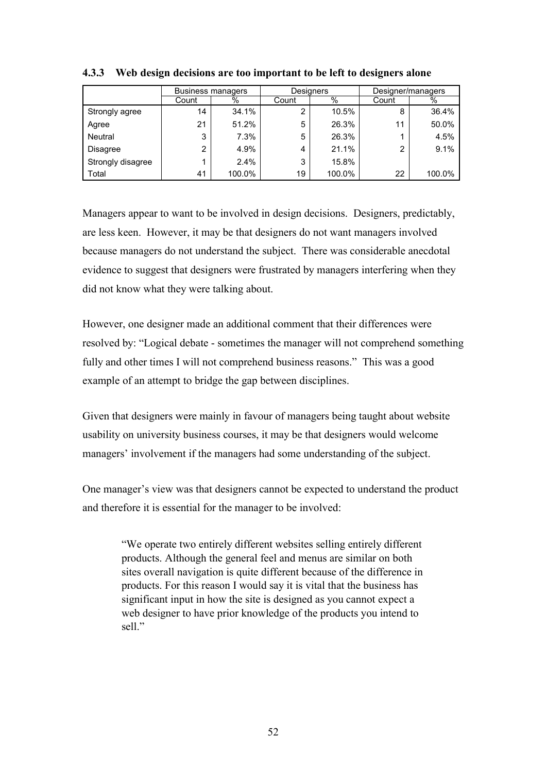|                   | <b>Business managers</b> |         |       | <b>Designers</b> | Designer/managers |        |  |
|-------------------|--------------------------|---------|-------|------------------|-------------------|--------|--|
|                   | %<br>Count               |         | Count | $\%$             |                   | %      |  |
| Strongly agree    | 14                       | 34.1%   | 2     | 10.5%            | 8                 | 36.4%  |  |
| Agree             | 21                       | 51.2%   | 5     | 26.3%            | 11                | 50.0%  |  |
| Neutral           | 3                        | 7.3%    | 5     | 26.3%            |                   | 4.5%   |  |
| Disagree          | 2                        | 4.9%    | 4     | 21.1%            | ົ                 | 9.1%   |  |
| Strongly disagree |                          | $2.4\%$ | 3     | 15.8%            |                   |        |  |
| Total             | 41                       | 100.0%  | 19    | 100.0%           | 22                | 100.0% |  |

**4.3.3 Web design decisions are too important to be left to designers alone**

Managers appear to want to be involved in design decisions. Designers, predictably, are less keen. However, it may be that designers do not want managers involved because managers do not understand the subject. There was considerable anecdotal evidence to suggest that designers were frustrated by managers interfering when they did not know what they were talking about.

However, one designer made an additional comment that their differences were resolved by: "Logical debate - sometimes the manager will not comprehend something fully and other times I will not comprehend business reasons." This was a good example of an attempt to bridge the gap between disciplines.

Given that designers were mainly in favour of managers being taught about website usability on university business courses, it may be that designers would welcome managers' involvement if the managers had some understanding of the subject.

One manager's view was that designers cannot be expected to understand the product and therefore it is essential for the manager to be involved:

> "We operate two entirely different websites selling entirely different products. Although the general feel and menus are similar on both sites overall navigation is quite different because of the difference in products. For this reason I would say it is vital that the business has significant input in how the site is designed as you cannot expect a web designer to have prior knowledge of the products you intend to sell."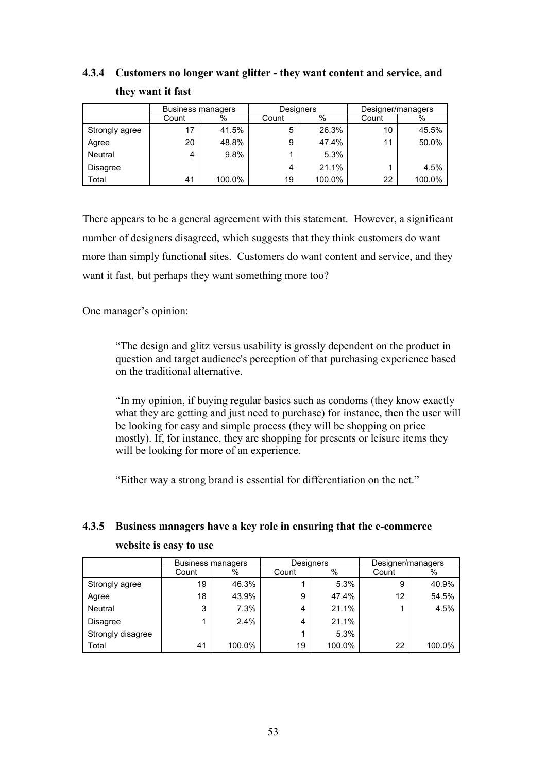# **4.3.4 Customers no longer want glitter - they want content and service, and they want it fast**

|                | Business managers |        |               | Designers | Designer/managers |        |  |
|----------------|-------------------|--------|---------------|-----------|-------------------|--------|--|
|                | Count             | $\%$   | $\%$<br>Count |           | Count             | %      |  |
| Strongly agree | 17                | 41.5%  | 5             | 26.3%     |                   | 45.5%  |  |
| Agree          | 20                | 48.8%  | 9             | 47.4%     | 11                | 50.0%  |  |
| Neutral        | 4                 | 9.8%   |               | 5.3%      |                   |        |  |
| Disagree       |                   |        | 4             | 21.1%     |                   | 4.5%   |  |
| Total          | 41                | 100.0% | 19            | 100.0%    | 22                | 100.0% |  |

There appears to be a general agreement with this statement. However, a significant number of designers disagreed, which suggests that they think customers do want more than simply functional sites. Customers do want content and service, and they want it fast, but perhaps they want something more too?

One manager's opinion:

"The design and glitz versus usability is grossly dependent on the product in question and target audience's perception of that purchasing experience based on the traditional alternative.

"In my opinion, if buying regular basics such as condoms (they know exactly what they are getting and just need to purchase) for instance, then the user will be looking for easy and simple process (they will be shopping on price mostly). If, for instance, they are shopping for presents or leisure items they will be looking for more of an experience.

"Either way a strong brand is essential for differentiation on the net."

# **4.3.5 Business managers have a key role in ensuring that the e-commerce website is easy to use**

|                   |            | <b>Business managers</b> |       | Desianers | Designer/managers |        |  |
|-------------------|------------|--------------------------|-------|-----------|-------------------|--------|--|
|                   | %<br>Count |                          | Count | %         | Count             | %      |  |
| Strongly agree    | 19         | 46.3%                    |       | 5.3%      | 9                 | 40.9%  |  |
| Agree             | 18         | 43.9%                    | 9     | 47.4%     | 12                | 54.5%  |  |
| Neutral           | 3          | 7.3%                     | 4     | 21.1%     |                   | 4.5%   |  |
| Disagree          |            | 2.4%                     | 4     | 21.1%     |                   |        |  |
| Strongly disagree |            |                          |       | 5.3%      |                   |        |  |
| Total             | 41         | 100.0%                   | 19    | 100.0%    | 22                | 100.0% |  |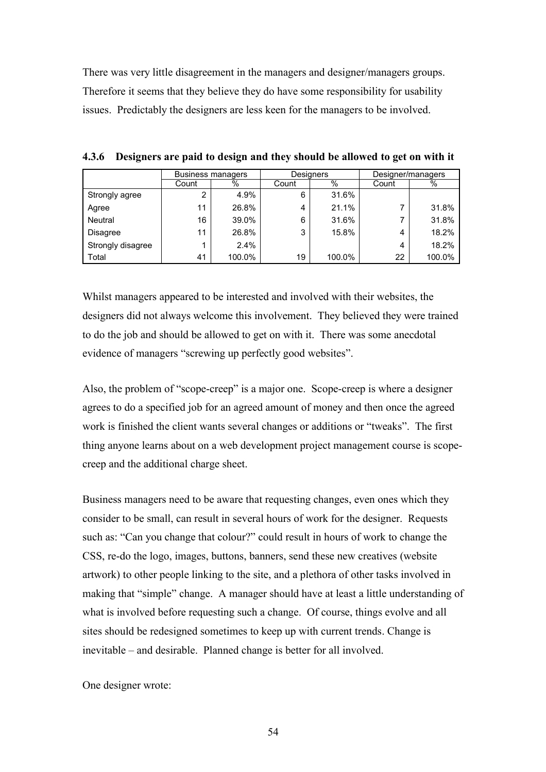There was very little disagreement in the managers and designer/managers groups. Therefore it seems that they believe they do have some responsibility for usability issues. Predictably the designers are less keen for the managers to be involved.

|                   |       | Business managers |       | Desianers | Designer/managers |        |  |
|-------------------|-------|-------------------|-------|-----------|-------------------|--------|--|
|                   | Count | %                 | Count | %         | Count             | %      |  |
| Strongly agree    | 2     | 4.9%              | 6     | 31.6%     |                   |        |  |
| Agree             | 11    | 26.8%             | 4     | 21.1%     |                   | 31.8%  |  |
| Neutral           | 16    | 39.0%             | 6     | 31.6%     |                   | 31.8%  |  |
| <b>Disagree</b>   | 11    | 26.8%             | 3     | 15.8%     | 4                 | 18.2%  |  |
| Strongly disagree | 1     | 2.4%              |       |           | 4                 | 18.2%  |  |
| Total             | 41    | 100.0%            | 19    | 100.0%    | 22                | 100.0% |  |

**4.3.6 Designers are paid to design and they should be allowed to get on with it**

Whilst managers appeared to be interested and involved with their websites, the designers did not always welcome this involvement. They believed they were trained to do the job and should be allowed to get on with it. There was some anecdotal evidence of managers "screwing up perfectly good websites".

Also, the problem of "scope-creep" is a major one. Scope-creep is where a designer agrees to do a specified job for an agreed amount of money and then once the agreed work is finished the client wants several changes or additions or "tweaks". The first thing anyone learns about on a web development project management course is scopecreep and the additional charge sheet.

Business managers need to be aware that requesting changes, even ones which they consider to be small, can result in several hours of work for the designer. Requests such as: "Can you change that colour?" could result in hours of work to change the CSS, re-do the logo, images, buttons, banners, send these new creatives (website artwork) to other people linking to the site, and a plethora of other tasks involved in making that "simple" change. A manager should have at least a little understanding of what is involved before requesting such a change. Of course, things evolve and all sites should be redesigned sometimes to keep up with current trends. Change is inevitable – and desirable. Planned change is better for all involved.

One designer wrote: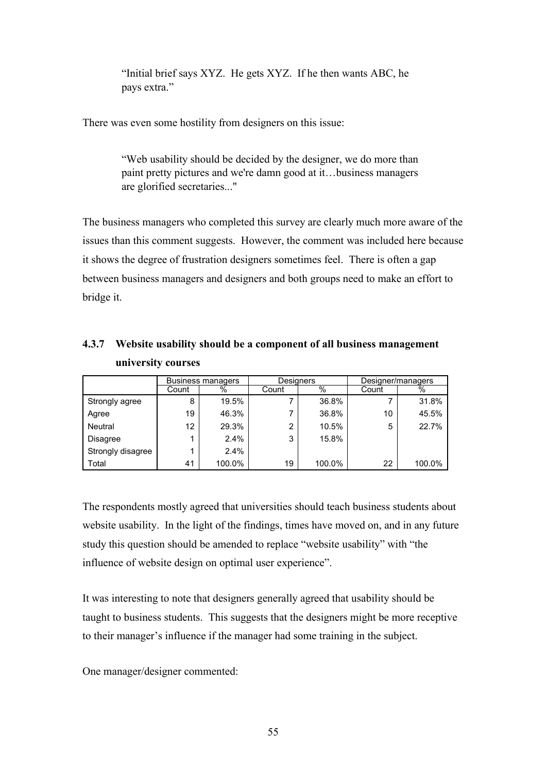"Initial brief says XYZ. He gets XYZ. If he then wants ABC, he pays extra."

There was even some hostility from designers on this issue:

"Web usability should be decided by the designer, we do more than paint pretty pictures and we're damn good at it…business managers are glorified secretaries..."

The business managers who completed this survey are clearly much more aware of the issues than this comment suggests. However, the comment was included here because it shows the degree of frustration designers sometimes feel. There is often a gap between business managers and designers and both groups need to make an effort to bridge it.

|                   |            | <b>Business managers</b> | Designers |        |       | Designer/managers |  |  |
|-------------------|------------|--------------------------|-----------|--------|-------|-------------------|--|--|
|                   | %<br>Count |                          | Count     | %      | Count | %                 |  |  |
| Strongly agree    | 8          | 19.5%                    |           | 36.8%  |       | 31.8%             |  |  |
| Agree             | 19         | 46.3%                    |           | 36.8%  | 10    | 45.5%             |  |  |
| Neutral           | 12         | 29.3%                    | 2         | 10.5%  | 5     | 22.7%             |  |  |
| Disagree          |            | 2.4%                     | 3         | 15.8%  |       |                   |  |  |
| Strongly disagree |            | 2.4%                     |           |        |       |                   |  |  |
| Total             | 41         | 100.0%                   | 19        | 100.0% | 22    | 100.0%            |  |  |

# **4.3.7 Website usability should be a component of all business management university courses**

The respondents mostly agreed that universities should teach business students about website usability. In the light of the findings, times have moved on, and in any future study this question should be amended to replace "website usability" with "the influence of website design on optimal user experience".

It was interesting to note that designers generally agreed that usability should be taught to business students. This suggests that the designers might be more receptive to their manager's influence if the manager had some training in the subject.

One manager/designer commented: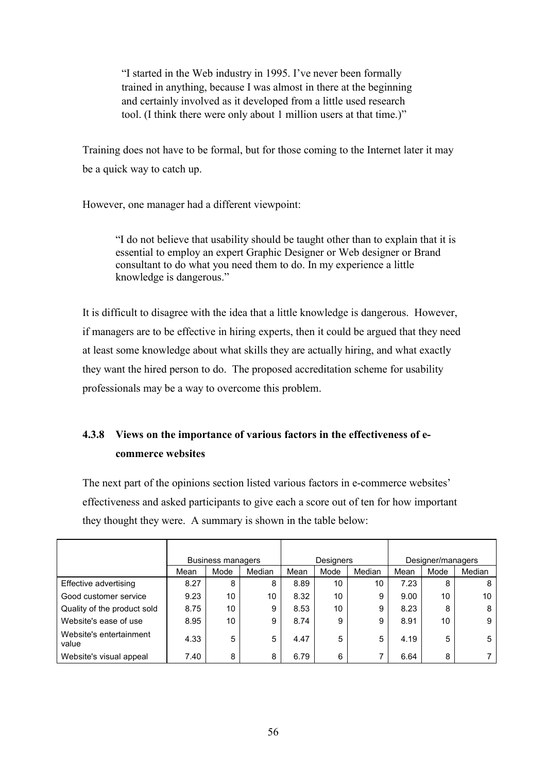"I started in the Web industry in 1995. I've never been formally trained in anything, because I was almost in there at the beginning and certainly involved as it developed from a little used research tool. (I think there were only about 1 million users at that time.)"

Training does not have to be formal, but for those coming to the Internet later it may be a quick way to catch up.

However, one manager had a different viewpoint:

"I do not believe that usability should be taught other than to explain that it is essential to employ an expert Graphic Designer or Web designer or Brand consultant to do what you need them to do. In my experience a little knowledge is dangerous."

It is difficult to disagree with the idea that a little knowledge is dangerous. However, if managers are to be effective in hiring experts, then it could be argued that they need at least some knowledge about what skills they are actually hiring, and what exactly they want the hired person to do. The proposed accreditation scheme for usability professionals may be a way to overcome this problem.

# **4.3.8 Views on the importance of various factors in the effectiveness of ecommerce websites**

The next part of the opinions section listed various factors in e-commerce websites' effectiveness and asked participants to give each a score out of ten for how important they thought they were. A summary is shown in the table below:

|                                  |      | Business managers |        | <b>Designers</b> |      |        | Designer/managers |      |        |
|----------------------------------|------|-------------------|--------|------------------|------|--------|-------------------|------|--------|
|                                  | Mean | Mode              | Median | Mean             | Mode | Median | Mean              | Mode | Median |
| Effective advertising            | 8.27 | 8                 | 8      | 8.89             | 10   | 10     | 7.23              | 8    | 8      |
| Good customer service            | 9.23 | 10                | 10     | 8.32             | 10   | 9      | 9.00              | 10   | 10     |
| Quality of the product sold      | 8.75 | 10                | 9      | 8.53             | 10   | 9      | 8.23              | 8    | 8      |
| Website's ease of use            | 8.95 | 10                | 9      | 8.74             | 9    | 9      | 8.91              | 10   | 9      |
| Website's entertainment<br>value | 4.33 | 5                 | 5      | 4.47             | 5    | 5      | 4.19              | 5    | 5      |
| Website's visual appeal          | 7.40 | 8                 | 8      | 6.79             | 6    |        | 6.64              | 8    |        |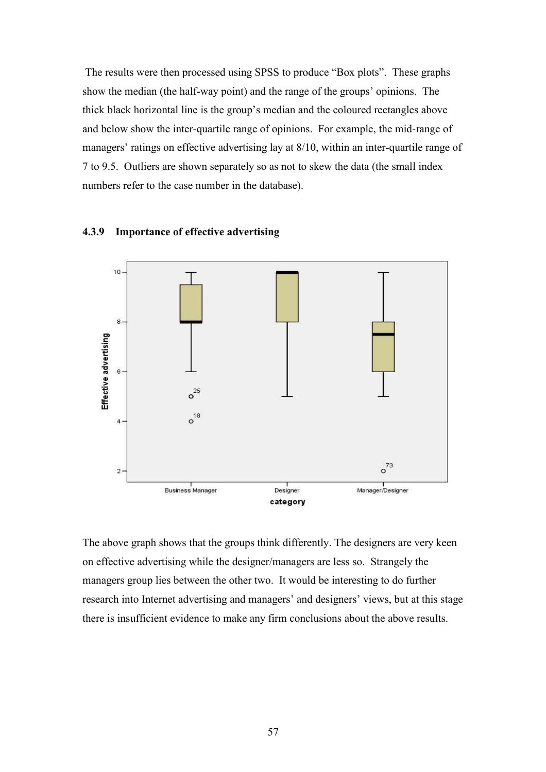The results were then processed using SPSS to produce "Box plots". These graphs show the median (the half-way point) and the range of the groups' opinions. The thick black horizontal line is the group's median and the coloured rectangles above and below show the inter-quartile range of opinions. For example, the mid-range of managers' ratings on effective advertising lay at 8/10, within an inter-quartile range of 7 to 9.5. Outliers are shown separately so as not to skew the data (the small index numbers refer to the case number in the database).



#### **4.3.9 Importance of effective advertising**

The above graph shows that the groups think differently. The designers are very keen on effective advertising while the designer/managers are less so. Strangely the managers group lies between the other two. It would be interesting to do further research into Internet advertising and managers' and designers' views, but at this stage there is insufficient evidence to make any firm conclusions about the above results.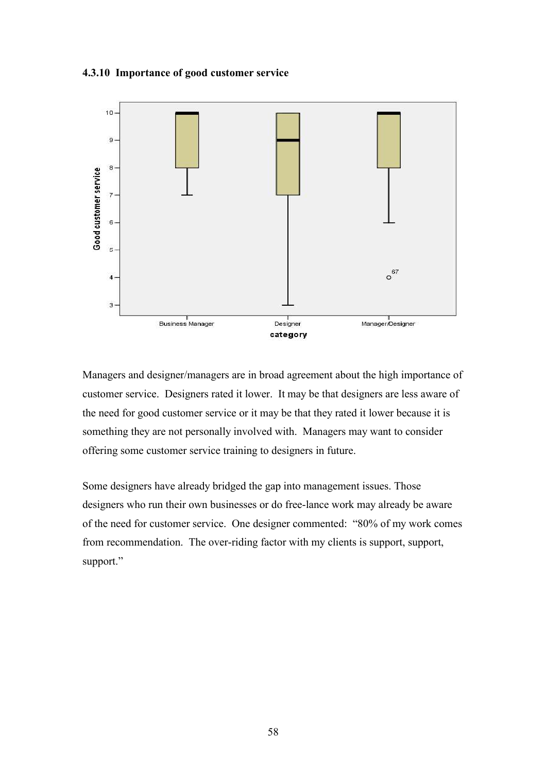### **4.3.10 Importance of good customer service**



Managers and designer/managers are in broad agreement about the high importance of customer service. Designers rated it lower. It may be that designers are less aware of the need for good customer service or it may be that they rated it lower because it is something they are not personally involved with. Managers may want to consider offering some customer service training to designers in future.

Some designers have already bridged the gap into management issues. Those designers who run their own businesses or do free-lance work may already be aware of the need for customer service. One designer commented: "80% of my work comes from recommendation. The over-riding factor with my clients is support, support, support."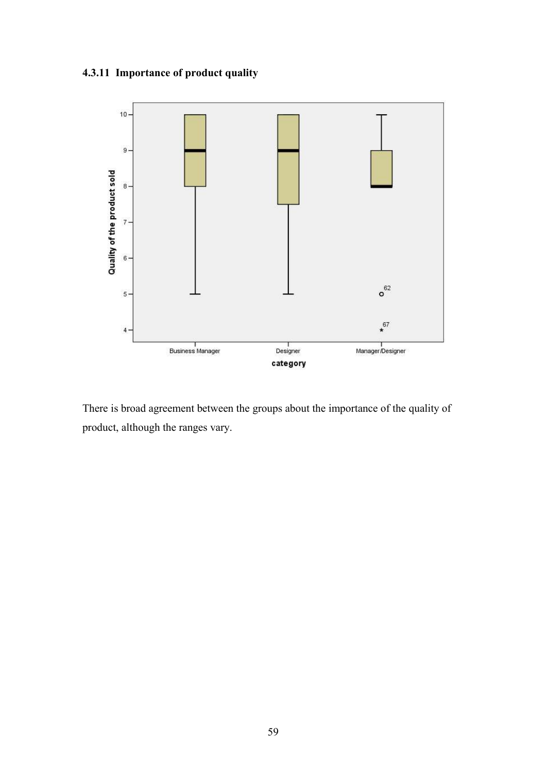# **4.3.11 Importance of product quality**



There is broad agreement between the groups about the importance of the quality of product, although the ranges vary.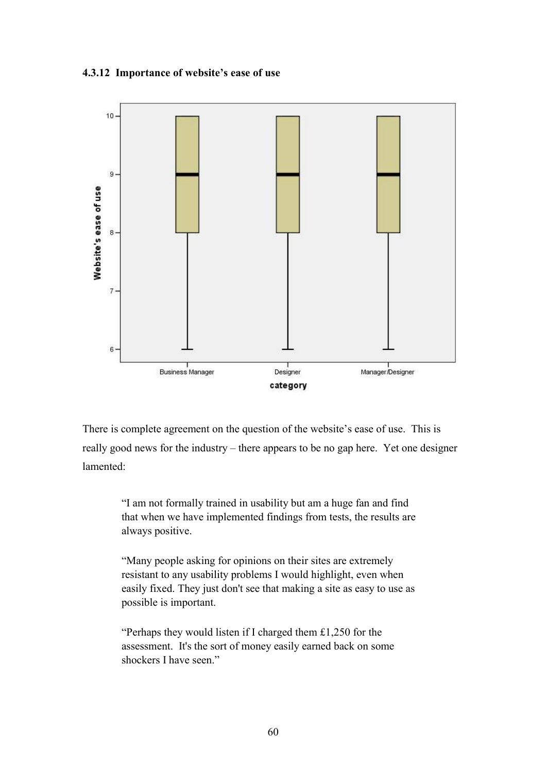### **4.3.12 Importance of website's ease of use**



There is complete agreement on the question of the website's ease of use. This is really good news for the industry – there appears to be no gap here. Yet one designer lamented:

> "I am not formally trained in usability but am a huge fan and find that when we have implemented findings from tests, the results are always positive.

> "Many people asking for opinions on their sites are extremely resistant to any usability problems I would highlight, even when easily fixed. They just don't see that making a site as easy to use as possible is important.

"Perhaps they would listen if I charged them £1,250 for the assessment. It's the sort of money easily earned back on some shockers I have seen."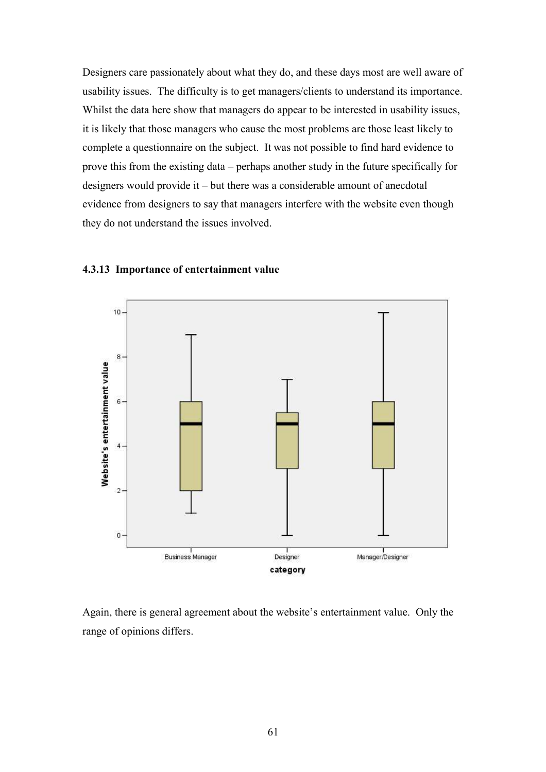Designers care passionately about what they do, and these days most are well aware of usability issues. The difficulty is to get managers/clients to understand its importance. Whilst the data here show that managers do appear to be interested in usability issues, it is likely that those managers who cause the most problems are those least likely to complete a questionnaire on the subject. It was not possible to find hard evidence to prove this from the existing data – perhaps another study in the future specifically for designers would provide it – but there was a considerable amount of anecdotal evidence from designers to say that managers interfere with the website even though they do not understand the issues involved.



#### **4.3.13 Importance of entertainment value**

Again, there is general agreement about the website's entertainment value. Only the range of opinions differs.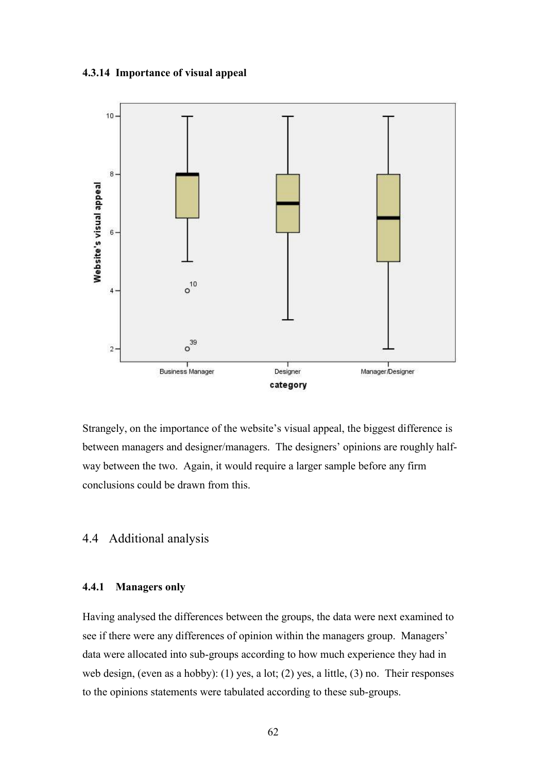#### **4.3.14 Importance of visual appeal**



Strangely, on the importance of the website's visual appeal, the biggest difference is between managers and designer/managers. The designers' opinions are roughly halfway between the two. Again, it would require a larger sample before any firm conclusions could be drawn from this.

## 4.4 Additional analysis

## **4.4.1 Managers only**

Having analysed the differences between the groups, the data were next examined to see if there were any differences of opinion within the managers group. Managers' data were allocated into sub-groups according to how much experience they had in web design, (even as a hobby): (1) yes, a lot; (2) yes, a little, (3) no. Their responses to the opinions statements were tabulated according to these sub-groups.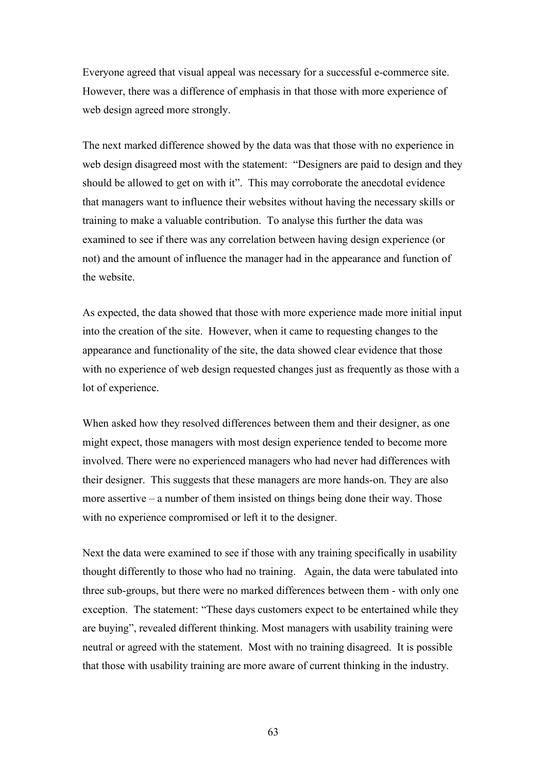Everyone agreed that visual appeal was necessary for a successful e-commerce site. However, there was a difference of emphasis in that those with more experience of web design agreed more strongly.

The next marked difference showed by the data was that those with no experience in web design disagreed most with the statement: "Designers are paid to design and they should be allowed to get on with it". This may corroborate the anecdotal evidence that managers want to influence their websites without having the necessary skills or training to make a valuable contribution. To analyse this further the data was examined to see if there was any correlation between having design experience (or not) and the amount of influence the manager had in the appearance and function of the website.

As expected, the data showed that those with more experience made more initial input into the creation of the site. However, when it came to requesting changes to the appearance and functionality of the site, the data showed clear evidence that those with no experience of web design requested changes just as frequently as those with a lot of experience.

When asked how they resolved differences between them and their designer, as one might expect, those managers with most design experience tended to become more involved. There were no experienced managers who had never had differences with their designer. This suggests that these managers are more hands-on. They are also more assertive – a number of them insisted on things being done their way. Those with no experience compromised or left it to the designer.

Next the data were examined to see if those with any training specifically in usability thought differently to those who had no training. Again, the data were tabulated into three sub-groups, but there were no marked differences between them - with only one exception. The statement: "These days customers expect to be entertained while they are buying", revealed different thinking. Most managers with usability training were neutral or agreed with the statement. Most with no training disagreed. It is possible that those with usability training are more aware of current thinking in the industry.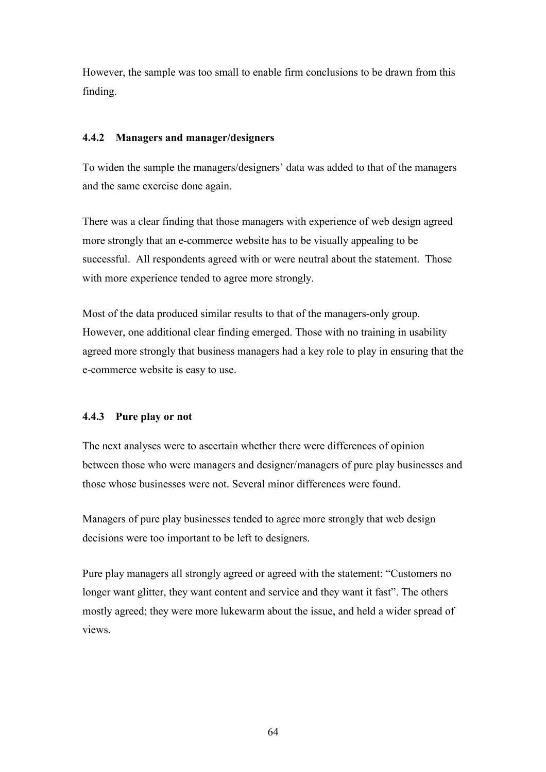However, the sample was too small to enable firm conclusions to be drawn from this finding.

### **4.4.2 Managers and manager/designers**

To widen the sample the managers/designers' data was added to that of the managers and the same exercise done again.

There was a clear finding that those managers with experience of web design agreed more strongly that an e-commerce website has to be visually appealing to be successful. All respondents agreed with or were neutral about the statement. Those with more experience tended to agree more strongly.

Most of the data produced similar results to that of the managers-only group. However, one additional clear finding emerged. Those with no training in usability agreed more strongly that business managers had a key role to play in ensuring that the e-commerce website is easy to use.

### **4.4.3 Pure play or not**

The next analyses were to ascertain whether there were differences of opinion between those who were managers and designer/managers of pure play businesses and those whose businesses were not. Several minor differences were found.

Managers of pure play businesses tended to agree more strongly that web design decisions were too important to be left to designers.

Pure play managers all strongly agreed or agreed with the statement: "Customers no longer want glitter, they want content and service and they want it fast". The others mostly agreed; they were more lukewarm about the issue, and held a wider spread of views.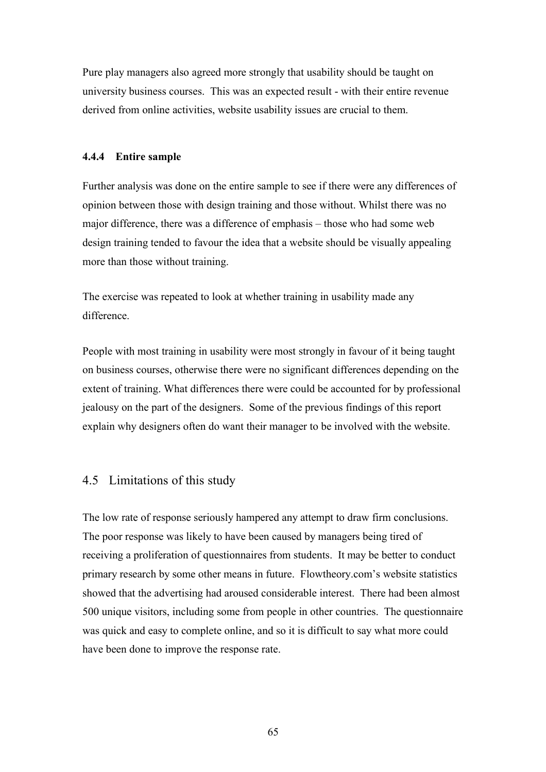Pure play managers also agreed more strongly that usability should be taught on university business courses. This was an expected result - with their entire revenue derived from online activities, website usability issues are crucial to them.

#### **4.4.4 Entire sample**

Further analysis was done on the entire sample to see if there were any differences of opinion between those with design training and those without. Whilst there was no major difference, there was a difference of emphasis – those who had some web design training tended to favour the idea that a website should be visually appealing more than those without training.

The exercise was repeated to look at whether training in usability made any difference.

People with most training in usability were most strongly in favour of it being taught on business courses, otherwise there were no significant differences depending on the extent of training. What differences there were could be accounted for by professional jealousy on the part of the designers. Some of the previous findings of this report explain why designers often do want their manager to be involved with the website.

### 4.5 Limitations of this study

The low rate of response seriously hampered any attempt to draw firm conclusions. The poor response was likely to have been caused by managers being tired of receiving a proliferation of questionnaires from students. It may be better to conduct primary research by some other means in future. Flowtheory.com's website statistics showed that the advertising had aroused considerable interest. There had been almost 500 unique visitors, including some from people in other countries. The questionnaire was quick and easy to complete online, and so it is difficult to say what more could have been done to improve the response rate.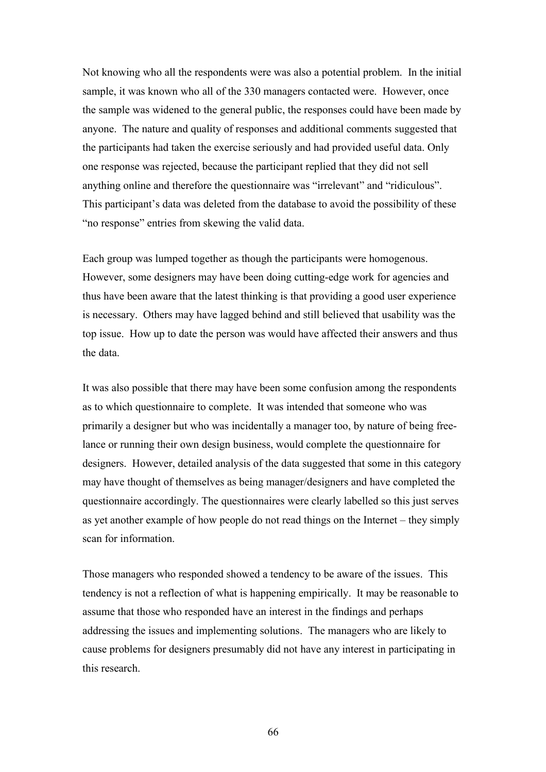Not knowing who all the respondents were was also a potential problem. In the initial sample, it was known who all of the 330 managers contacted were. However, once the sample was widened to the general public, the responses could have been made by anyone. The nature and quality of responses and additional comments suggested that the participants had taken the exercise seriously and had provided useful data. Only one response was rejected, because the participant replied that they did not sell anything online and therefore the questionnaire was "irrelevant" and "ridiculous". This participant's data was deleted from the database to avoid the possibility of these "no response" entries from skewing the valid data.

Each group was lumped together as though the participants were homogenous. However, some designers may have been doing cutting-edge work for agencies and thus have been aware that the latest thinking is that providing a good user experience is necessary. Others may have lagged behind and still believed that usability was the top issue. How up to date the person was would have affected their answers and thus the data.

It was also possible that there may have been some confusion among the respondents as to which questionnaire to complete. It was intended that someone who was primarily a designer but who was incidentally a manager too, by nature of being freelance or running their own design business, would complete the questionnaire for designers. However, detailed analysis of the data suggested that some in this category may have thought of themselves as being manager/designers and have completed the questionnaire accordingly. The questionnaires were clearly labelled so this just serves as yet another example of how people do not read things on the Internet – they simply scan for information.

Those managers who responded showed a tendency to be aware of the issues. This tendency is not a reflection of what is happening empirically. It may be reasonable to assume that those who responded have an interest in the findings and perhaps addressing the issues and implementing solutions. The managers who are likely to cause problems for designers presumably did not have any interest in participating in this research.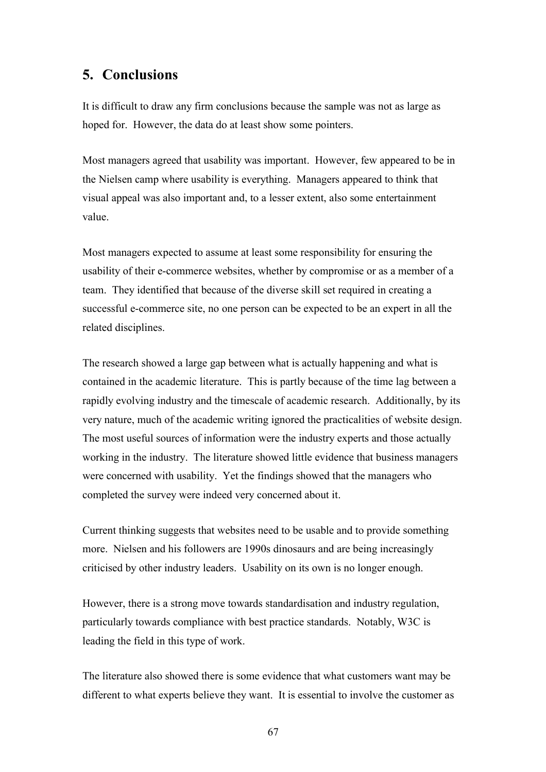## **5. Conclusions**

It is difficult to draw any firm conclusions because the sample was not as large as hoped for. However, the data do at least show some pointers.

Most managers agreed that usability was important. However, few appeared to be in the Nielsen camp where usability is everything. Managers appeared to think that visual appeal was also important and, to a lesser extent, also some entertainment value.

Most managers expected to assume at least some responsibility for ensuring the usability of their e-commerce websites, whether by compromise or as a member of a team. They identified that because of the diverse skill set required in creating a successful e-commerce site, no one person can be expected to be an expert in all the related disciplines.

The research showed a large gap between what is actually happening and what is contained in the academic literature. This is partly because of the time lag between a rapidly evolving industry and the timescale of academic research. Additionally, by its very nature, much of the academic writing ignored the practicalities of website design. The most useful sources of information were the industry experts and those actually working in the industry. The literature showed little evidence that business managers were concerned with usability. Yet the findings showed that the managers who completed the survey were indeed very concerned about it.

Current thinking suggests that websites need to be usable and to provide something more. Nielsen and his followers are 1990s dinosaurs and are being increasingly criticised by other industry leaders. Usability on its own is no longer enough.

However, there is a strong move towards standardisation and industry regulation, particularly towards compliance with best practice standards. Notably, W3C is leading the field in this type of work.

The literature also showed there is some evidence that what customers want may be different to what experts believe they want. It is essential to involve the customer as

67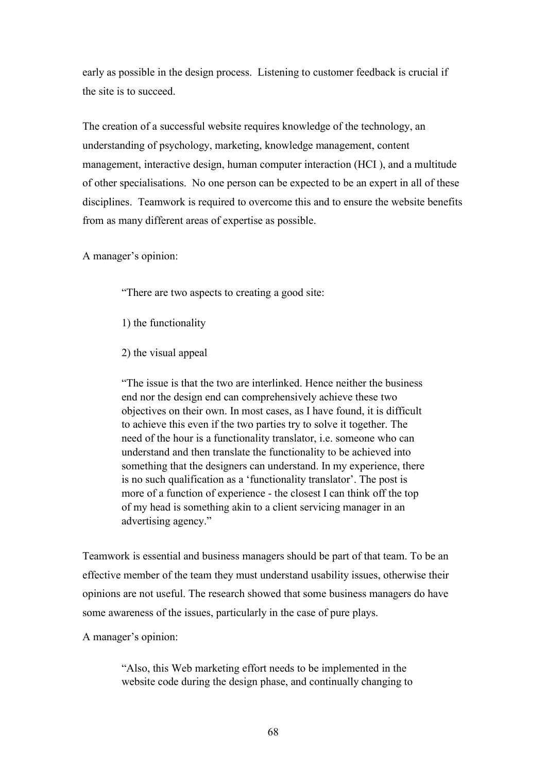early as possible in the design process. Listening to customer feedback is crucial if the site is to succeed.

The creation of a successful website requires knowledge of the technology, an understanding of psychology, marketing, knowledge management, content management, interactive design, human computer interaction (HCI ), and a multitude of other specialisations. No one person can be expected to be an expert in all of these disciplines. Teamwork is required to overcome this and to ensure the website benefits from as many different areas of expertise as possible.

A manager's opinion:

"There are two aspects to creating a good site:

1) the functionality

2) the visual appeal

"The issue is that the two are interlinked. Hence neither the business end nor the design end can comprehensively achieve these two objectives on their own. In most cases, as I have found, it is difficult to achieve this even if the two parties try to solve it together. The need of the hour is a functionality translator, i.e. someone who can understand and then translate the functionality to be achieved into something that the designers can understand. In my experience, there is no such qualification as a 'functionality translator'. The post is more of a function of experience - the closest I can think off the top of my head is something akin to a client servicing manager in an advertising agency."

Teamwork is essential and business managers should be part of that team. To be an effective member of the team they must understand usability issues, otherwise their opinions are not useful. The research showed that some business managers do have some awareness of the issues, particularly in the case of pure plays.

A manager's opinion:

"Also, this Web marketing effort needs to be implemented in the website code during the design phase, and continually changing to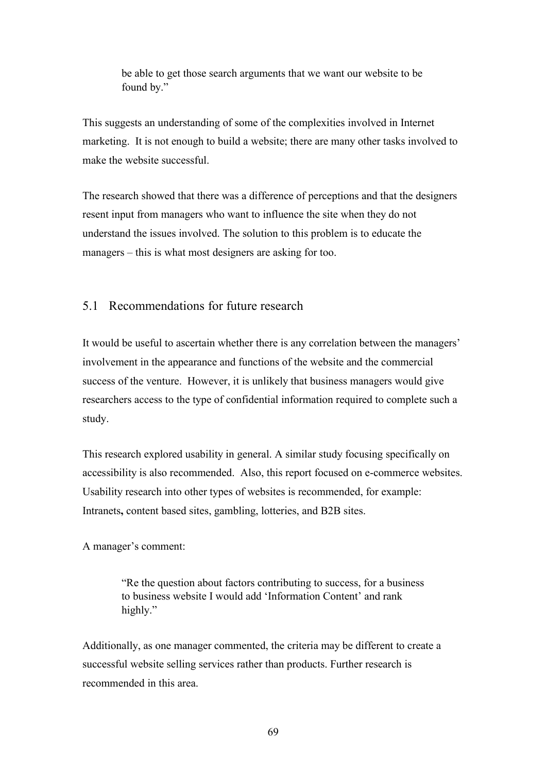be able to get those search arguments that we want our website to be found by."

This suggests an understanding of some of the complexities involved in Internet marketing. It is not enough to build a website; there are many other tasks involved to make the website successful.

The research showed that there was a difference of perceptions and that the designers resent input from managers who want to influence the site when they do not understand the issues involved. The solution to this problem is to educate the managers – this is what most designers are asking for too.

## 5.1 Recommendations for future research

It would be useful to ascertain whether there is any correlation between the managers' involvement in the appearance and functions of the website and the commercial success of the venture. However, it is unlikely that business managers would give researchers access to the type of confidential information required to complete such a study.

This research explored usability in general. A similar study focusing specifically on accessibility is also recommended. Also, this report focused on e-commerce websites. Usability research into other types of websites is recommended, for example: Intranets**,** content based sites, gambling, lotteries, and B2B sites.

A manager's comment:

"Re the question about factors contributing to success, for a business to business website I would add 'Information Content' and rank highly."

Additionally, as one manager commented, the criteria may be different to create a successful website selling services rather than products. Further research is recommended in this area.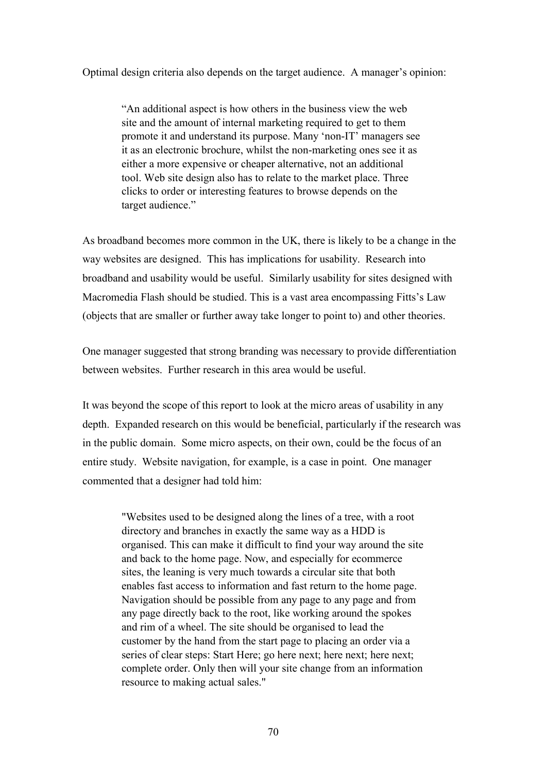### Optimal design criteria also depends on the target audience. A manager's opinion:

"An additional aspect is how others in the business view the web site and the amount of internal marketing required to get to them promote it and understand its purpose. Many 'non-IT' managers see it as an electronic brochure, whilst the non-marketing ones see it as either a more expensive or cheaper alternative, not an additional tool. Web site design also has to relate to the market place. Three clicks to order or interesting features to browse depends on the target audience."

As broadband becomes more common in the UK, there is likely to be a change in the way websites are designed. This has implications for usability. Research into broadband and usability would be useful. Similarly usability for sites designed with Macromedia Flash should be studied. This is a vast area encompassing Fitts's Law (objects that are smaller or further away take longer to point to) and other theories.

One manager suggested that strong branding was necessary to provide differentiation between websites. Further research in this area would be useful.

It was beyond the scope of this report to look at the micro areas of usability in any depth. Expanded research on this would be beneficial, particularly if the research was in the public domain. Some micro aspects, on their own, could be the focus of an entire study. Website navigation, for example, is a case in point. One manager commented that a designer had told him:

> "Websites used to be designed along the lines of a tree, with a root directory and branches in exactly the same way as a HDD is organised. This can make it difficult to find your way around the site and back to the home page. Now, and especially for ecommerce sites, the leaning is very much towards a circular site that both enables fast access to information and fast return to the home page. Navigation should be possible from any page to any page and from any page directly back to the root, like working around the spokes and rim of a wheel. The site should be organised to lead the customer by the hand from the start page to placing an order via a series of clear steps: Start Here; go here next; here next; here next; complete order. Only then will your site change from an information resource to making actual sales."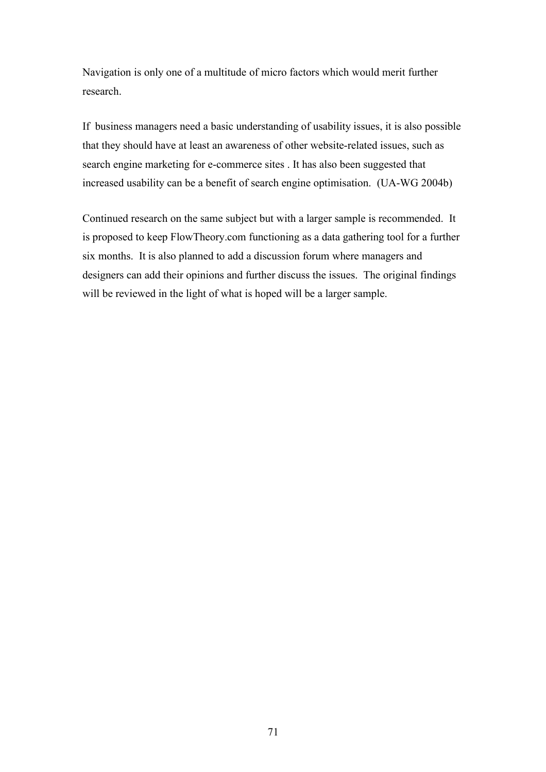Navigation is only one of a multitude of micro factors which would merit further research.

If business managers need a basic understanding of usability issues, it is also possible that they should have at least an awareness of other website-related issues, such as search engine marketing for e-commerce sites . It has also been suggested that increased usability can be a benefit of search engine optimisation. (UA-WG 2004b)

Continued research on the same subject but with a larger sample is recommended. It is proposed to keep FlowTheory.com functioning as a data gathering tool for a further six months. It is also planned to add a discussion forum where managers and designers can add their opinions and further discuss the issues. The original findings will be reviewed in the light of what is hoped will be a larger sample.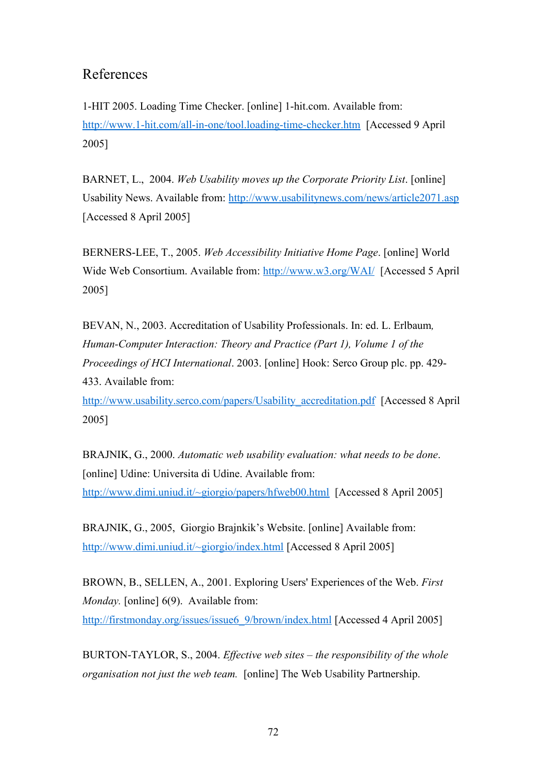# References

1-HIT 2005. Loading Time Checker. [online] 1-hit.com. Available from: http://www.1-hit.com/all-in-one/tool.loading-time-checker.htm [Accessed 9 April] 2005]

BARNET, L., 2004. *Web Usability moves up the Corporate Priority List*. [online] Usability News. Available from: http://www.usabilitynews.com/news/article2071.asp [Accessed 8 April 2005]

BERNERS-LEE, T., 2005. *Web Accessibility Initiative Home Page*. [online] World Wide Web Consortium. Available from: http://www.w3.org/WAI/ [Accessed 5 April] 2005]

BEVAN, N., 2003. Accreditation of Usability Professionals. In: ed. L. Erlbaum*, Human-Computer Interaction: Theory and Practice (Part 1), Volume 1 of the Proceedings of HCI International*. 2003. [online] Hook: Serco Group plc. pp. 429- 433. Available from:

http://www.usability.serco.com/papers/Usability\_accreditation.pdf [Accessed 8 April] 2005]

BRAJNIK, G., 2000. *Automatic web usability evaluation: what needs to be done*. [online] Udine: Universita di Udine. Available from: http://www.dimi.uniud.it/~giorgio/papers/hfweb00.html [Accessed 8 April 2005]

BRAJNIK, G., 2005, Giorgio Brajnkik's Website. [online] Available from: http://www.dimi.uniud.it/~giorgio/index.html [Accessed 8 April 2005]

BROWN, B., SELLEN, A., 2001. Exploring Users' Experiences of the Web. *First Monday.* [online] 6(9). Available from:

http://firstmonday.org/issues/issue6\_9/brown/index.html [Accessed 4 April 2005]

BURTON-TAYLOR, S., 2004. *Effective web sites – the responsibility of the whole organisation not just the web team.* [online] The Web Usability Partnership.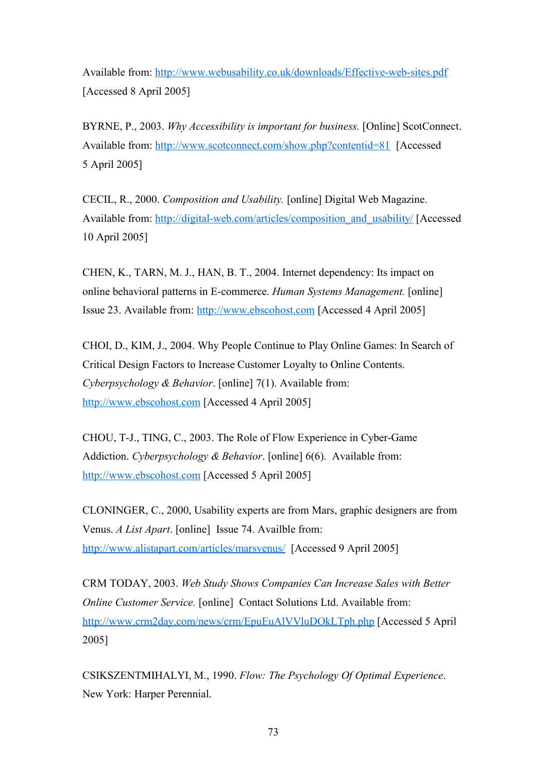Available from: http://www.webusability.co.uk/downloads/Effective-web-sites.pdf [Accessed 8 April 2005]

BYRNE, P., 2003. *Why Accessibility is important for business.* [Online] ScotConnect. Available from: http://www.scotconnect.com/show.php?contentid=81 [Accessed 5 April 2005]

CECIL, R., 2000. *Composition and Usability.* [online] Digital Web Magazine. Available from: http://digital-web.com/articles/composition\_and\_usability/ [Accessed 10 April 2005]

CHEN, K., TARN, M. J., HAN, B. T., 2004. Internet dependency: Its impact on online behavioral patterns in E-commerce. *Human Systems Management.* [online] Issue 23. Available from: http://www.ebscohost.com [Accessed 4 April 2005]

CHOI, D., KIM, J., 2004. Why People Continue to Play Online Games: In Search of Critical Design Factors to Increase Customer Loyalty to Online Contents. *Cyberpsychology & Behavior*. [online] 7(1). Available from: http://www.ebscohost.com [Accessed 4 April 2005]

CHOU, T-J., TING, C., 2003. The Role of Flow Experience in Cyber-Game Addiction. *Cyberpsychology & Behavior*. [online] 6(6). Available from: http://www.ebscohost.com [Accessed 5 April 2005]

CLONINGER, C., 2000, Usability experts are from Mars, graphic designers are from Venus. *A List Apart*. [online] Issue 74. Availble from: http://www.alistapart.com/articles/marsvenus/ [Accessed 9 April 2005]

CRM TODAY, 2003. *Web Study Shows Companies Can Increase Sales with Better Online Customer Service.* [online] Contact Solutions Ltd. Available from: http://www.crm2day.com/news/crm/EpuEuAlVVluDOkLTph.php [Accessed 5 April 2005]

CSIKSZENTMIHALYI, M., 1990. *Flow: The Psychology Of Optimal Experience*. New York: Harper Perennial.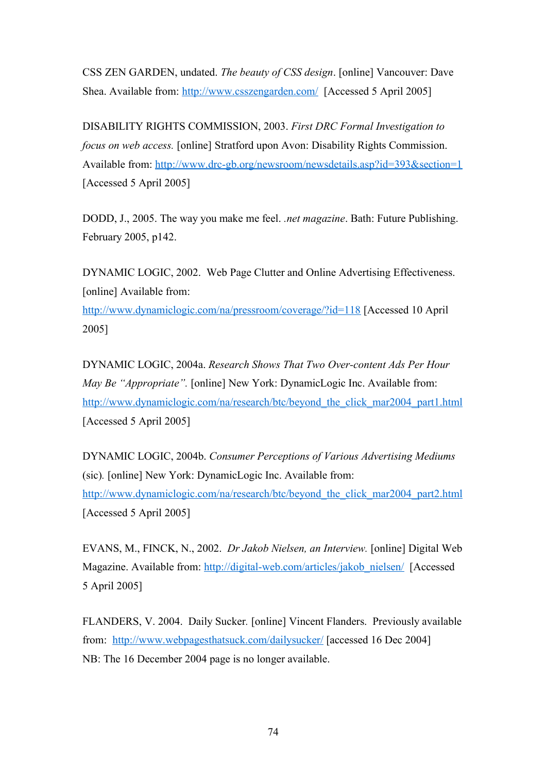CSS ZEN GARDEN, undated. *The beauty of CSS design*. [online] Vancouver: Dave Shea. Available from: http://www.csszengarden.com/ [Accessed 5 April 2005]

DISABILITY RIGHTS COMMISSION, 2003. *First DRC Formal Investigation to focus on web access.* [online] Stratford upon Avon: Disability Rights Commission. Available from: http://www.drc-gb.org/newsroom/newsdetails.asp?id=393&section=1 [Accessed 5 April 2005]

DODD, J., 2005. The way you make me feel. *.net magazine*. Bath: Future Publishing. February 2005, p142.

DYNAMIC LOGIC, 2002. Web Page Clutter and Online Advertising Effectiveness. [online] Available from:

http://www.dynamiclogic.com/na/pressroom/coverage/?id=118 [Accessed 10 April 2005]

DYNAMIC LOGIC, 2004a. *Research Shows That Two Over-content Ads Per Hour May Be "Appropriate".* [online] New York: DynamicLogic Inc. Available from: http://www.dynamiclogic.com/na/research/btc/beyond\_the\_click\_mar2004\_part1.html [Accessed 5 April 2005]

DYNAMIC LOGIC, 2004b. *Consumer Perceptions of Various Advertising Mediums* (sic)*.* [online] New York: DynamicLogic Inc. Available from: http://www.dynamiclogic.com/na/research/btc/beyond the click mar2004 part2.html [Accessed 5 April 2005]

EVANS, M., FINCK, N., 2002. *Dr Jakob Nielsen, an Interview.* [online] Digital Web Magazine. Available from: http://digital-web.com/articles/jakob\_nielsen/ [Accessed] 5 April 2005]

FLANDERS, V. 2004. Daily Sucker*.* [online] Vincent Flanders. Previously available from: http://www.webpagesthatsuck.com/dailysucker/ [accessed 16 Dec 2004] NB: The 16 December 2004 page is no longer available.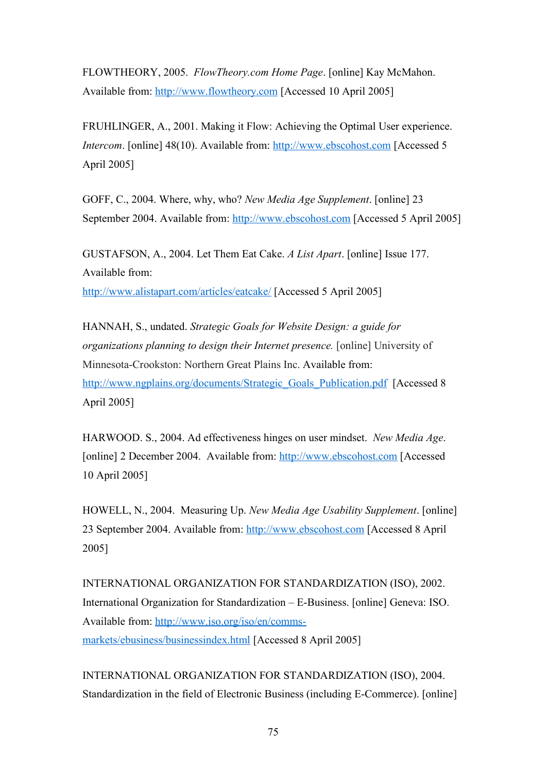FLOWTHEORY, 2005. *FlowTheory.com Home Page*. [online] Kay McMahon. Available from: http://www.flowtheory.com [Accessed 10 April 2005]

FRUHLINGER, A., 2001. Making it Flow: Achieving the Optimal User experience. *Intercom.* [online] 48(10). Available from: http://www.ebscohost.com [Accessed 5] April 2005]

GOFF, C., 2004. Where, why, who? *New Media Age Supplement*. [online] 23 September 2004. Available from: http://www.ebscohost.com [Accessed 5 April 2005]

GUSTAFSON, A., 2004. Let Them Eat Cake. *A List Apart*. [online] Issue 177. Available from: http://www.alistapart.com/articles/eatcake/ [Accessed 5 April 2005]

HANNAH, S., undated. *Strategic Goals for Website Design: a guide for organizations planning to design their Internet presence.* [online] University of Minnesota-Crookston: Northern Great Plains Inc. Available from: http://www.ngplains.org/documents/Strategic\_Goals\_Publication.pdf [Accessed 8] April 2005]

HARWOOD. S., 2004. Ad effectiveness hinges on user mindset. *New Media Age*. [online] 2 December 2004. Available from: http://www.ebscohost.com [Accessed] 10 April 2005]

HOWELL, N., 2004. Measuring Up. *New Media Age Usability Supplement*. [online] 23 September 2004. Available from: http://www.ebscohost.com [Accessed 8 April 2005]

INTERNATIONAL ORGANIZATION FOR STANDARDIZATION (ISO), 2002. International Organization for Standardization – E-Business. [online] Geneva: ISO. Available from: http://www.iso.org/iso/en/commsmarkets/ebusiness/businessindex.html [Accessed 8 April 2005]

INTERNATIONAL ORGANIZATION FOR STANDARDIZATION (ISO), 2004. Standardization in the field of Electronic Business (including E-Commerce). [online]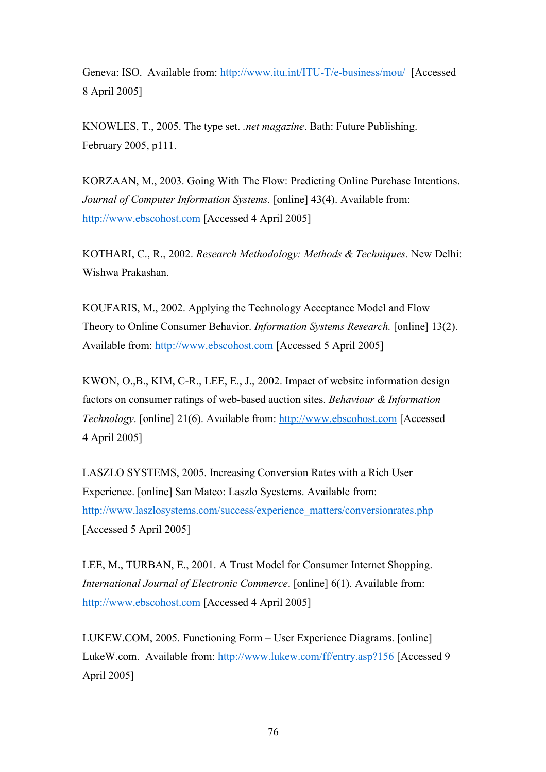Geneva: ISO. Available from: http://www.itu.int/ITU-T/e-business/mou/ [Accessed 8 April 2005]

KNOWLES, T., 2005. The type set. *.net magazine*. Bath: Future Publishing. February 2005, p111.

KORZAAN, M., 2003. Going With The Flow: Predicting Online Purchase Intentions. *Journal of Computer Information Systems.* [online] 43(4). Available from: http://www.ebscohost.com [Accessed 4 April 2005]

KOTHARI, C., R., 2002. *Research Methodology: Methods & Techniques.* New Delhi: Wishwa Prakashan.

KOUFARIS, M., 2002. Applying the Technology Acceptance Model and Flow Theory to Online Consumer Behavior. *Information Systems Research.* [online] 13(2). Available from: http://www.ebscohost.com [Accessed 5 April 2005]

KWON, O.,B., KIM, C-R., LEE, E., J., 2002. Impact of website information design factors on consumer ratings of web-based auction sites. *Behaviour & Information Technology*. [online] 21(6). Available from: http://www.ebscohost.com [Accessed 4 April 2005]

LASZLO SYSTEMS, 2005. Increasing Conversion Rates with a Rich User Experience. [online] San Mateo: Laszlo Syestems. Available from: http://www.laszlosystems.com/success/experience\_matters/conversionrates.php [Accessed 5 April 2005]

LEE, M., TURBAN, E., 2001. A Trust Model for Consumer Internet Shopping. *International Journal of Electronic Commerce*. [online] 6(1). Available from: http://www.ebscohost.com [Accessed 4 April 2005]

LUKEW.COM, 2005. Functioning Form – User Experience Diagrams. [online] LukeW.com. Available from: http://www.lukew.com/ff/entry.asp?156 [Accessed 9 April 2005]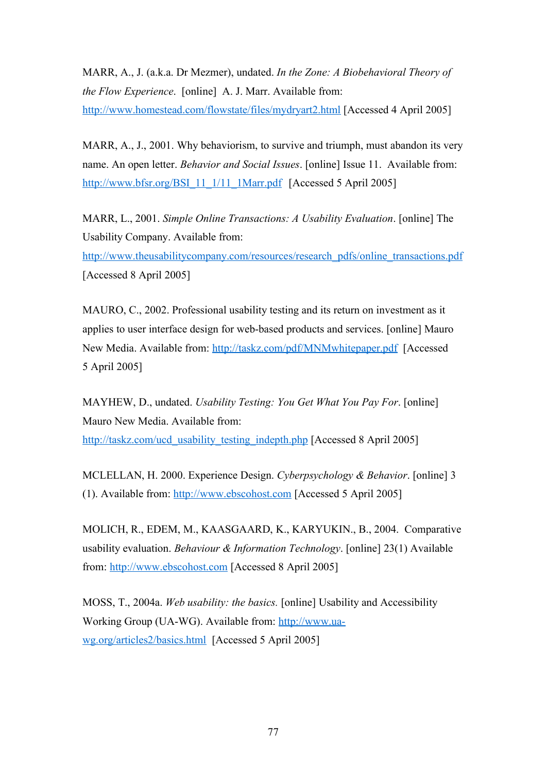MARR, A., J. (a.k.a. Dr Mezmer), undated. *In the Zone: A Biobehavioral Theory of the Flow Experience*. [online] A. J. Marr. Available from: http://www.homestead.com/flowstate/files/mydryart2.html [Accessed 4 April 2005]

MARR, A., J., 2001. Why behaviorism, to survive and triumph, must abandon its very name. An open letter. *Behavior and Social Issues*. [online] Issue 11. Available from: http://www.bfsr.org/BSI\_11\_1/11\_1Marr.pdf [Accessed 5 April 2005]

MARR, L., 2001. *Simple Online Transactions: A Usability Evaluation*. [online] The Usability Company. Available from:

http://www.theusabilitycompany.com/resources/research\_pdfs/online\_transactions.pdf [Accessed 8 April 2005]

MAURO, C., 2002. Professional usability testing and its return on investment as it applies to user interface design for web-based products and services. [online] Mauro New Media. Available from: http://taskz.com/pdf/MNMwhitepaper.pdf [Accessed 5 April 2005]

MAYHEW, D., undated. *Usability Testing: You Get What You Pay For*. [online] Mauro New Media. Available from: http://taskz.com/ucd\_usability\_testing\_indepth.php [Accessed 8 April 2005]

MCLELLAN, H. 2000. Experience Design. *Cyberpsychology & Behavior*. [online] 3 (1). Available from: http://www.ebscohost.com [Accessed 5 April 2005]

MOLICH, R., EDEM, M., KAASGAARD, K., KARYUKIN., B., 2004. Comparative usability evaluation. *Behaviour & Information Technology*. [online] 23(1) Available from: http://www.ebscohost.com [Accessed 8 April 2005]

MOSS, T., 2004a. *Web usability: the basics.* [online] Usability and Accessibility Working Group (UA-WG). Available from: http://www.uawg.org/articles2/basics.html [Accessed 5 April 2005]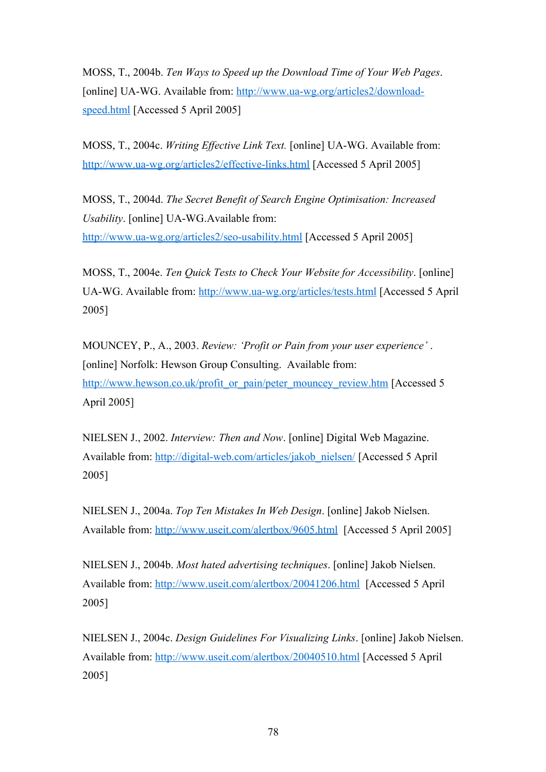MOSS, T., 2004b. *Ten Ways to Speed up the Download Time of Your Web Pages*. [online] UA-WG. Available from: http://www.ua-wg.org/articles2/downloadspeed.html [Accessed 5 April 2005]

MOSS, T., 2004c. *Writing Effective Link Text.* [online] UA-WG. Available from: http://www.ua-wg.org/articles2/effective-links.html [Accessed 5 April 2005]

MOSS, T., 2004d. *The Secret Benefit of Search Engine Optimisation: Increased Usability*. [online] UA-WG.Available from: http://www.ua-wg.org/articles2/seo-usability.html [Accessed 5 April 2005]

MOSS, T., 2004e. *Ten Quick Tests to Check Your Website for Accessibility*. [online] UA-WG. Available from: http://www.ua-wg.org/articles/tests.html [Accessed 5 April 2005]

MOUNCEY, P., A., 2003. *Review: 'Profit or Pain from your user experience'* . [online] Norfolk: Hewson Group Consulting. Available from: http://www.hewson.co.uk/profit\_or\_pain/peter\_mouncey\_review.htm [Accessed 5 April 2005]

NIELSEN J., 2002. *Interview: Then and Now*. [online] Digital Web Magazine. Available from: http://digital-web.com/articles/jakob\_nielsen/ [Accessed 5 April 2005]

NIELSEN J., 2004a. *Top Ten Mistakes In Web Design*. [online] Jakob Nielsen. Available from: http://www.useit.com/alertbox/9605.html [Accessed 5 April 2005]

NIELSEN J., 2004b. *Most hated advertising techniques*. [online] Jakob Nielsen. Available from: http://www.useit.com/alertbox/20041206.html [Accessed 5 April 2005]

NIELSEN J., 2004c. *Design Guidelines For Visualizing Links*. [online] Jakob Nielsen. Available from: http://www.useit.com/alertbox/20040510.html [Accessed 5 April 2005]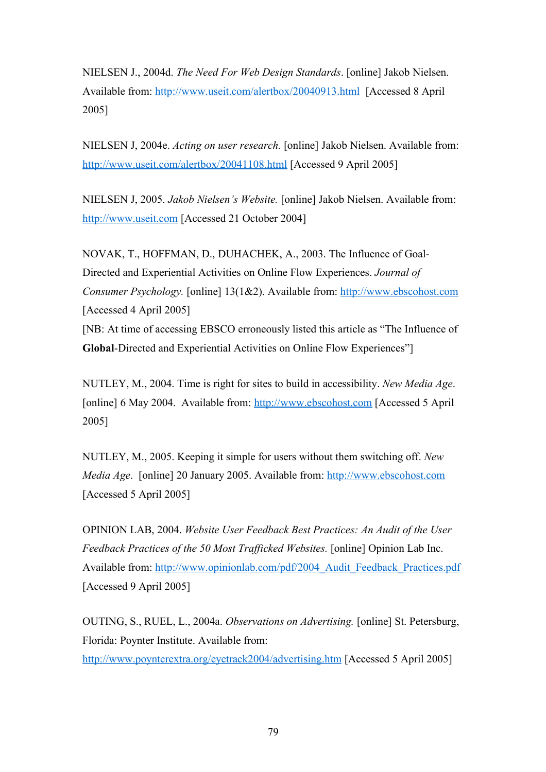NIELSEN J., 2004d. *The Need For Web Design Standards*. [online] Jakob Nielsen. Available from: http://www.useit.com/alertbox/20040913.html [Accessed 8 April 2005]

NIELSEN J, 2004e. *Acting on user research.* [online] Jakob Nielsen. Available from: http://www.useit.com/alertbox/20041108.html [Accessed 9 April 2005]

NIELSEN J, 2005. *Jakob Nielsen's Website.* [online] Jakob Nielsen. Available from: http://www.useit.com [Accessed 21 October 2004]

NOVAK, T., HOFFMAN, D., DUHACHEK, A., 2003. The Influence of Goal-Directed and Experiential Activities on Online Flow Experiences. *Journal of Consumer Psychology.* [online] 13(1&2). Available from: http://www.ebscohost.com [Accessed 4 April 2005] [NB: At time of accessing EBSCO erroneously listed this article as "The Influence of **Global**-Directed and Experiential Activities on Online Flow Experiences"]

NUTLEY, M., 2004. Time is right for sites to build in accessibility. *New Media Age*. [online] 6 May 2004. Available from: http://www.ebscohost.com [Accessed 5 April] 2005]

NUTLEY, M., 2005. Keeping it simple for users without them switching off. *New Media Age*. [online] 20 January 2005. Available from: http://www.ebscohost.com [Accessed 5 April 2005]

OPINION LAB, 2004. *Website User Feedback Best Practices: An Audit of the User Feedback Practices of the 50 Most Trafficked Websites.* [online] Opinion Lab Inc. Available from: http://www.opinionlab.com/pdf/2004\_Audit\_Feedback\_Practices.pdf [Accessed 9 April 2005]

OUTING, S., RUEL, L., 2004a. *Observations on Advertising.* [online] St. Petersburg, Florida: Poynter Institute. Available from: http://www.poynterextra.org/eyetrack2004/advertising.htm [Accessed 5 April 2005]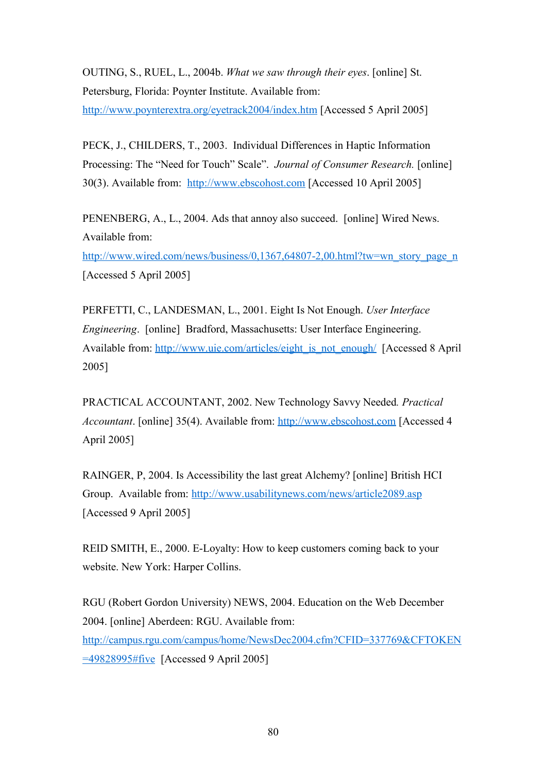OUTING, S., RUEL, L., 2004b. *What we saw through their eyes*. [online] St. Petersburg, Florida: Poynter Institute. Available from: http://www.poynterextra.org/eyetrack2004/index.htm [Accessed 5 April 2005]

PECK, J., CHILDERS, T., 2003. Individual Differences in Haptic Information Processing: The "Need for Touch" Scale". *Journal of Consumer Research.* [online] 30(3). Available from: http://www.ebscohost.com [Accessed 10 April 2005]

PENENBERG, A., L., 2004. Ads that annoy also succeed. [online] Wired News. Available from:

http://www.wired.com/news/business/0,1367,64807-2,00.html?tw=wn\_story\_page\_n [Accessed 5 April 2005]

PERFETTI, C., LANDESMAN, L., 2001. Eight Is Not Enough. *User Interface Engineering*. [online] Bradford, Massachusetts: User Interface Engineering. Available from: http://www.uie.com/articles/eight\_is\_not\_enough/ [Accessed 8 April 2005]

PRACTICAL ACCOUNTANT, 2002. New Technology Savvy Needed*. Practical Accountant*. [online] 35(4). Available from: http://www.ebscohost.com [Accessed 4 April 2005]

RAINGER, P, 2004. Is Accessibility the last great Alchemy? [online] British HCI Group. Available from: http://www.usabilitynews.com/news/article2089.asp [Accessed 9 April 2005]

REID SMITH, E., 2000. E-Loyalty: How to keep customers coming back to your website. New York: Harper Collins.

RGU (Robert Gordon University) NEWS, 2004. Education on the Web December 2004. [online] Aberdeen: RGU. Available from: http://campus.rgu.com/campus/home/NewsDec2004.cfm?CFID=337769&CFTOKEN =49828995#five [Accessed 9 April 2005]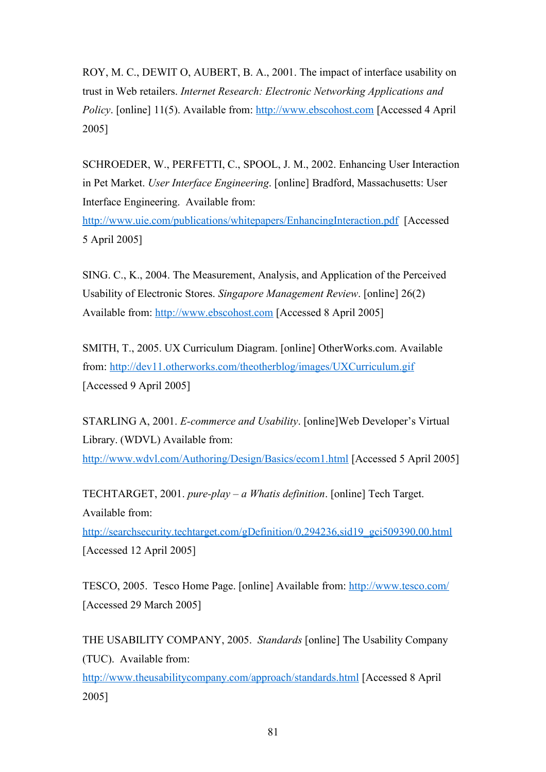ROY, M. C., DEWIT O, AUBERT, B. A., 2001. The impact of interface usability on trust in Web retailers. *Internet Research: Electronic Networking Applications and Policy*. [online] 11(5). Available from: http://www.ebscohost.com [Accessed 4 April] 2005]

SCHROEDER, W., PERFETTI, C., SPOOL, J. M., 2002. Enhancing User Interaction in Pet Market. *User Interface Engineering*. [online] Bradford, Massachusetts: User Interface Engineering. Available from:

http://www.uie.com/publications/whitepapers/EnhancingInteraction.pdf [Accessed 5 April 2005]

SING. C., K., 2004. The Measurement, Analysis, and Application of the Perceived Usability of Electronic Stores. *Singapore Management Review*. [online] 26(2) Available from: http://www.ebscohost.com [Accessed 8 April 2005]

SMITH, T., 2005. UX Curriculum Diagram. [online] OtherWorks.com. Available from: http://dev11.otherworks.com/theotherblog/images/UXCurriculum.gif [Accessed 9 April 2005]

STARLING A, 2001. *E-commerce and Usability*. [online]Web Developer's Virtual Library. (WDVL) Available from:

http://www.wdvl.com/Authoring/Design/Basics/ecom1.html [Accessed 5 April 2005]

TECHTARGET, 2001. *pure-play – a Whatis definition*. [online] Tech Target. Available from:

http://searchsecurity.techtarget.com/gDefinition/0,294236,sid19\_gci509390,00.html [Accessed 12 April 2005]

TESCO, 2005. Tesco Home Page. [online] Available from: http://www.tesco.com/ [Accessed 29 March 2005]

THE USABILITY COMPANY, 2005. *Standards* [online] The Usability Company (TUC). Available from: http://www.theusabilitycompany.com/approach/standards.html [Accessed 8 April 2005]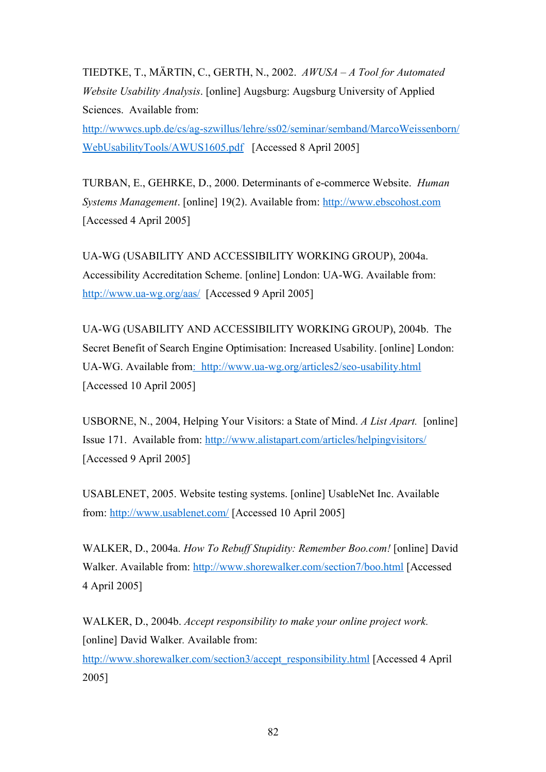TIEDTKE, T., MÄRTIN, C., GERTH, N., 2002. *AWUSA – A Tool for Automated Website Usability Analysis*. [online] Augsburg: Augsburg University of Applied Sciences. Available from:

http://wwwcs.upb.de/cs/ag-szwillus/lehre/ss02/seminar/semband/MarcoWeissenborn/ WebUsabilityTools/AWUS1605.pdf [Accessed 8 April 2005]

TURBAN, E., GEHRKE, D., 2000. Determinants of e-commerce Website. *Human Systems Management*. [online] 19(2). Available from: http://www.ebscohost.com [Accessed 4 April 2005]

UA-WG (USABILITY AND ACCESSIBILITY WORKING GROUP), 2004a. Accessibility Accreditation Scheme. [online] London: UA-WG. Available from: http://www.ua-wg.org/aas/ [Accessed 9 April 2005]

UA-WG (USABILITY AND ACCESSIBILITY WORKING GROUP), 2004b. The Secret Benefit of Search Engine Optimisation: Increased Usability. [online] London: UA-WG. Available from: http://www.ua-wg.org/articles2/seo-usability.html [Accessed 10 April 2005]

USBORNE, N., 2004, Helping Your Visitors: a State of Mind. *A List Apart.* [online] Issue 171. Available from: http://www.alistapart.com/articles/helpingvisitors/ [Accessed 9 April 2005]

USABLENET, 2005. Website testing systems. [online] UsableNet Inc. Available from: http://www.usablenet.com/ [Accessed 10 April 2005]

WALKER, D., 2004a. *How To Rebuff Stupidity: Remember Boo.com!* [online] David Walker. Available from: http://www.shorewalker.com/section7/boo.html [Accessed 4 April 2005]

WALKER, D., 2004b. *Accept responsibility to make your online project work.* [online] David Walker*.* Available from:

http://www.shorewalker.com/section3/accept\_responsibility.html [Accessed 4 April 2005]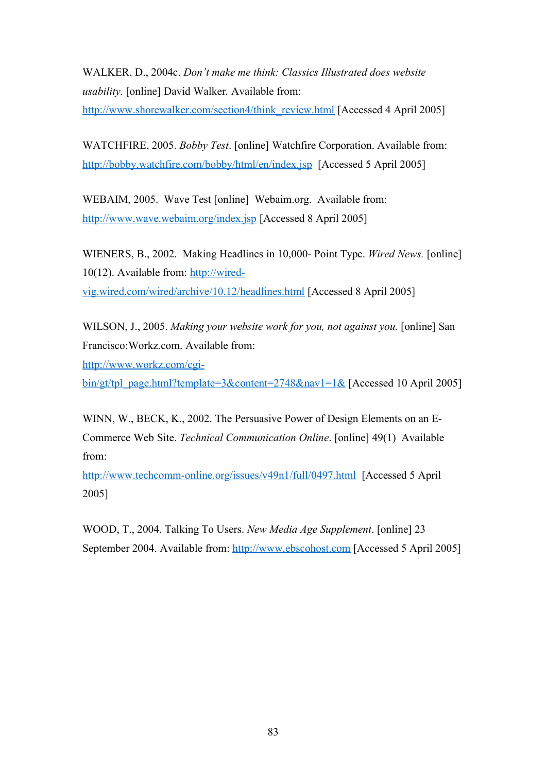WALKER, D., 2004c. *Don't make me think: Classics Illustrated does website usability.* [online] David Walker*.* Available from:

http://www.shorewalker.com/section4/think\_review.html [Accessed 4 April 2005]

WATCHFIRE, 2005. *Bobby Test*. [online] Watchfire Corporation. Available from: http://bobby.watchfire.com/bobby/html/en/index.jsp [Accessed 5 April 2005]

WEBAIM, 2005. Wave Test [online] Webaim.org. Available from: http://www.wave.webaim.org/index.jsp [Accessed 8 April 2005]

WIENERS, B., 2002. Making Headlines in 10,000- Point Type. *Wired News.* [online] 10(12). Available from: http://wiredvig.wired.com/wired/archive/10.12/headlines.html [Accessed 8 April 2005]

WILSON, J., 2005. *Making your website work for you, not against you.* [online] San Francisco:Workz.com. Available from:

http://www.workz.com/cgi-

bin/gt/tpl\_page.html?template=3&content=2748&nav1=1& [Accessed 10 April 2005]

WINN, W., BECK, K., 2002. The Persuasive Power of Design Elements on an E-Commerce Web Site. *Technical Communication Online*. [online] 49(1) Available from:

http://www.techcomm-online.org/issues/v49n1/full/0497.html [Accessed 5 April 2005]

WOOD, T., 2004. Talking To Users. *New Media Age Supplement*. [online] 23 September 2004. Available from: http://www.ebscohost.com [Accessed 5 April 2005]